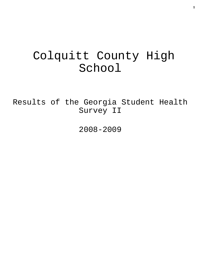# Colquitt County High School

Results of the Georgia Student Health Survey II

2008-2009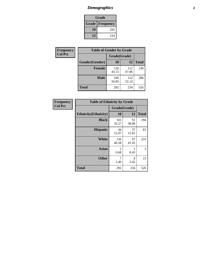# *Demographics* **2**

| Grade                    |     |  |  |  |
|--------------------------|-----|--|--|--|
| <b>Grade   Frequency</b> |     |  |  |  |
| 10                       | 292 |  |  |  |
| 12                       | 234 |  |  |  |

| <b>Frequency</b> | <b>Table of Gender by Grade</b> |              |              |              |  |
|------------------|---------------------------------|--------------|--------------|--------------|--|
| <b>Col Pct</b>   |                                 | Grade(Grade) |              |              |  |
|                  | Gender(Gender)                  | 10           | 12           | <b>Total</b> |  |
|                  | <b>Female</b>                   | 126<br>43.15 | 112<br>47.86 | 238          |  |
|                  | <b>Male</b>                     | 166<br>56.85 | 122<br>52.14 | 288          |  |
|                  | <b>Total</b>                    | 292          | 234          | 526          |  |

| Frequency<br>Col Pct |
|----------------------|

| <b>Table of Ethnicity by Grade</b> |              |             |              |  |  |  |
|------------------------------------|--------------|-------------|--------------|--|--|--|
|                                    | Grade(Grade) |             |              |  |  |  |
| <b>Ethnicity</b> (Ethnicity)       | 10           | 12          | <b>Total</b> |  |  |  |
| <b>Black</b>                       | 103<br>35.27 | 91<br>38.89 | 194          |  |  |  |
| <b>Hispanic</b>                    | 44<br>15.07  | 37<br>15.81 | 81           |  |  |  |
| White                              | 136<br>46.58 | 97<br>41.45 | 233          |  |  |  |
| <b>Asian</b>                       | 2<br>0.68    | 0.43        | 3            |  |  |  |
| <b>Other</b>                       | 7<br>2.40    | 8<br>3.42   | 15           |  |  |  |
| <b>Total</b>                       | 292          | 234         | 526          |  |  |  |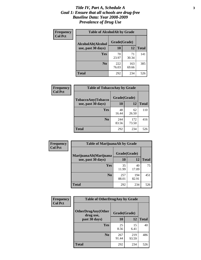### *Title IV, Part A, Schedule A* **3** *Goal 1: Ensure that all schools are drug-free Baseline Data: Year 2008-2009 Prevalence of Drug Use*

| Frequency<br><b>Col Pct</b> | <b>Table of AlcoholAlt by Grade</b> |              |              |              |  |  |
|-----------------------------|-------------------------------------|--------------|--------------|--------------|--|--|
|                             | AlcoholAlt(Alcohol                  | Grade(Grade) |              |              |  |  |
|                             | use, past 30 days)                  | <b>10</b>    | 12           | <b>Total</b> |  |  |
|                             | <b>Yes</b>                          | 70<br>23.97  | 71<br>30.34  | 141          |  |  |
|                             | N <sub>0</sub>                      | 222<br>76.03 | 163<br>69.66 | 385          |  |  |
|                             | <b>Total</b>                        | 292          | 234          | 526          |  |  |

| Frequency      | <b>Table of TobaccoAny by Grade</b> |              |              |              |  |
|----------------|-------------------------------------|--------------|--------------|--------------|--|
| <b>Col Pct</b> | <b>TobaccoAny(Tobacco</b>           | Grade(Grade) |              |              |  |
|                | use, past 30 days)                  | <b>10</b>    | 12           | <b>Total</b> |  |
|                | Yes                                 | 48<br>16.44  | 62<br>26.50  | 110          |  |
|                | N <sub>0</sub>                      | 244<br>83.56 | 172<br>73.50 | 416          |  |
|                | Total                               | 292          | 234          | 526          |  |

| Frequency<br><b>Col Pct</b> | <b>Table of MarijuanaAlt by Grade</b> |              |              |              |  |  |
|-----------------------------|---------------------------------------|--------------|--------------|--------------|--|--|
|                             | MarijuanaAlt(Marijuana                | Grade(Grade) |              |              |  |  |
|                             | use, past 30 days)                    | <b>10</b>    | 12           | <b>Total</b> |  |  |
|                             | <b>Yes</b>                            | 35<br>11.99  | 40<br>17.09  | 75           |  |  |
|                             | N <sub>0</sub>                        | 257<br>88.01 | 194<br>82.91 | 451          |  |  |
|                             | <b>Total</b>                          | 292          | 234          | 526          |  |  |

| Frequency<br><b>Col Pct</b> | <b>Table of OtherDrugAny by Grade</b>                  |              |              |              |  |
|-----------------------------|--------------------------------------------------------|--------------|--------------|--------------|--|
|                             | <b>OtherDrugAny(Other</b><br>Grade(Grade)<br>drug use, |              |              |              |  |
|                             | past 30 days)                                          | 10           | 12           | <b>Total</b> |  |
|                             | Yes                                                    | 25<br>8.56   | 15<br>6.41   | 40           |  |
|                             | N <sub>0</sub>                                         | 267<br>91.44 | 219<br>93.59 | 486          |  |
|                             | <b>Total</b>                                           | 292          | 234          | 526          |  |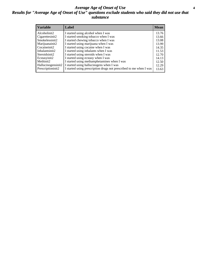### *Average Age of Onset of Use* **4** *Results for "Average Age of Onset of Use" questions exclude students who said they did not use that substance*

| <b>Variable</b>    | Label                                                              | <b>Mean</b> |
|--------------------|--------------------------------------------------------------------|-------------|
| Alcoholinit2       | I started using alcohol when I was                                 | 13.76       |
| Cigarettesinit2    | I started smoking tobacco when I was                               | 13.66       |
| Smokelessinit2     | I started chewing tobacco when I was                               | 13.08       |
| Marijuanainit2     | I started using marijuana when I was                               | 13.99       |
| Cocaineinit2       | I started using cocaine when I was                                 | 14.35       |
| Inhalantsinit2     | I started using inhalants when I was                               | 11.53       |
| Steroidsinit2      | I started using steroids when I was                                | 12.70       |
| Ecstasyinit2       | I started using ecstasy when I was                                 | 14.13       |
| Methinit2          | I started using methamphetamines when I was                        | 12.50       |
| Hallucinogensinit2 | I started using hallucinogens when I was                           | 12.29       |
| Prescriptioninit2  | I started using prescription drugs not prescribed to me when I was | 13.63       |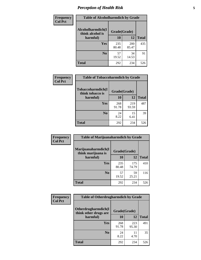# *Perception of Health Risk* **5**

| <b>Frequency</b> | <b>Table of Alcoholharmdich by Grade</b> |              |              |              |  |
|------------------|------------------------------------------|--------------|--------------|--------------|--|
| <b>Col Pct</b>   | Alcoholharmdich(I<br>think alcohol is    | Grade(Grade) |              |              |  |
|                  | harmful)                                 | 10           | 12           | <b>Total</b> |  |
|                  | <b>Yes</b>                               | 235<br>80.48 | 200<br>85.47 | 435          |  |
|                  | N <sub>0</sub>                           | 57<br>19.52  | 34<br>14.53  | 91           |  |
|                  | <b>Total</b>                             | 292          | 234          | 526          |  |

| Frequency      | <b>Table of Tobaccoharmdich by Grade</b> |              |              |              |  |
|----------------|------------------------------------------|--------------|--------------|--------------|--|
| <b>Col Pct</b> | Tobaccoharmdich(I<br>think tobacco is    | Grade(Grade) |              |              |  |
|                | harmful)                                 | 10           | 12           | <b>Total</b> |  |
|                | <b>Yes</b>                               | 268<br>91.78 | 219<br>93.59 | 487          |  |
|                | N <sub>0</sub>                           | 24<br>8.22   | 15<br>6.41   | 39           |  |
|                | <b>Total</b>                             | 292          | 234          | 526          |  |

| Frequency      | <b>Table of Marijuanaharmdich by Grade</b> |              |              |              |  |  |
|----------------|--------------------------------------------|--------------|--------------|--------------|--|--|
| <b>Col Pct</b> | Marijuanaharmdich(I<br>think marijuana is  | Grade(Grade) |              |              |  |  |
|                | harmful)                                   | 10           | 12           | <b>Total</b> |  |  |
|                | Yes                                        | 235<br>80.48 | 175<br>74.79 | 410          |  |  |
|                | N <sub>0</sub>                             | 57<br>19.52  | 59<br>25.21  | 116          |  |  |
|                | <b>Total</b>                               | 292          | 234          | 526          |  |  |

| <b>Frequency</b> | <b>Table of Otherdrugharmdich by Grade</b>                   |              |              |              |  |  |  |  |
|------------------|--------------------------------------------------------------|--------------|--------------|--------------|--|--|--|--|
| <b>Col Pct</b>   | Otherdrugharmdich(I<br>Grade(Grade)<br>think other drugs are |              |              |              |  |  |  |  |
|                  | harmful)                                                     | <b>10</b>    | 12           | <b>Total</b> |  |  |  |  |
|                  | <b>Yes</b>                                                   | 268<br>91.78 | 223<br>95.30 | 491          |  |  |  |  |
|                  | N <sub>0</sub>                                               | 24<br>8.22   | 11<br>4.70   | 35           |  |  |  |  |
|                  | <b>Total</b>                                                 | 292          | 234          | 526          |  |  |  |  |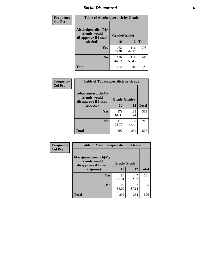# *Social Disapproval* **6**

| Frequency      | <b>Table of Alcoholpeerdich by Grade</b>                    |              |              |     |  |  |  |  |
|----------------|-------------------------------------------------------------|--------------|--------------|-----|--|--|--|--|
| <b>Col Pct</b> | Alcoholpeerdich(My<br>friends would<br>disapprove if I used | Grade(Grade) |              |     |  |  |  |  |
|                | alcohol)                                                    | 10           | <b>Total</b> |     |  |  |  |  |
|                | <b>Yes</b>                                                  | 162<br>55.48 | 116<br>49.57 | 278 |  |  |  |  |
|                | N <sub>0</sub>                                              | 130<br>44.52 | 118<br>50.43 | 248 |  |  |  |  |
|                | <b>Total</b>                                                | 292          | 234          | 526 |  |  |  |  |

| <b>Frequency</b> |
|------------------|
| <b>Col Pct</b>   |

| <b>Table of Tobaccopeerdich by Grade</b>                    |              |              |              |  |  |  |  |
|-------------------------------------------------------------|--------------|--------------|--------------|--|--|--|--|
| Tobaccopeerdich(My<br>friends would<br>disapprove if I used | Grade(Grade) |              |              |  |  |  |  |
| tobacco)                                                    | 10           | 12           | <b>Total</b> |  |  |  |  |
| Yes                                                         | 179<br>61.30 | 132<br>56.41 | 311          |  |  |  |  |
| N <sub>0</sub>                                              | 113<br>38.70 | 102<br>43.59 | 215          |  |  |  |  |
| <b>Total</b>                                                | 292          | 234          | 526          |  |  |  |  |

| Frequency      | <b>Table of Marijuanapeerdich by Grade</b>                    |              |              |              |  |  |  |  |
|----------------|---------------------------------------------------------------|--------------|--------------|--------------|--|--|--|--|
| <b>Col Pct</b> | Marijuanapeerdich(My<br>friends would<br>disapprove if I used | Grade(Grade) |              |              |  |  |  |  |
|                | marijuana)                                                    | 10           | 12           | <b>Total</b> |  |  |  |  |
|                | <b>Yes</b>                                                    | 184<br>63.01 | 147<br>62.82 | 331          |  |  |  |  |
|                | N <sub>0</sub>                                                | 108<br>36.99 | 87<br>37.18  | 195          |  |  |  |  |
|                | <b>Total</b>                                                  | 292          | 234          | 526          |  |  |  |  |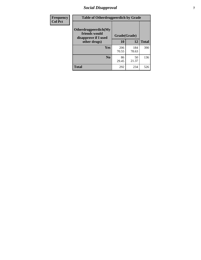# *Social Disapproval* **7**

| Frequency      | <b>Table of Otherdrugpeerdich by Grade</b>                    |              |              |              |  |  |  |  |
|----------------|---------------------------------------------------------------|--------------|--------------|--------------|--|--|--|--|
| <b>Col Pct</b> | Otherdrugpeerdich(My<br>friends would<br>disapprove if I used | Grade(Grade) |              |              |  |  |  |  |
|                | other drugs)                                                  | 10           | 12           | <b>Total</b> |  |  |  |  |
|                | Yes                                                           | 206<br>70.55 | 184<br>78.63 | 390          |  |  |  |  |
|                | N <sub>0</sub>                                                | 86<br>29.45  | 50<br>21.37  | 136          |  |  |  |  |
|                | <b>Total</b>                                                  | 292          | 234          | 526          |  |  |  |  |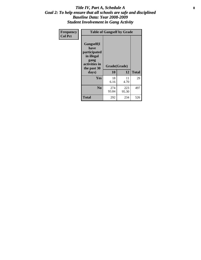### Title IV, Part A, Schedule A **8** *Goal 2: To help ensure that all schools are safe and disciplined Baseline Data: Year 2008-2009 Student Involvement in Gang Activity*

| Frequency      | <b>Table of Gangself by Grade</b>                                                                 |                    |              |              |
|----------------|---------------------------------------------------------------------------------------------------|--------------------|--------------|--------------|
| <b>Col Pct</b> | Gangself(I<br>have<br>participated<br>in illegal<br>gang<br>activities in<br>the past 30<br>days) | Grade(Grade)<br>10 | 12           | <b>Total</b> |
|                | Yes                                                                                               | 18<br>6.16         | 11<br>4.70   | 29           |
|                | N <sub>0</sub>                                                                                    | 274<br>93.84       | 223<br>95.30 | 497          |
|                | <b>Total</b>                                                                                      | 292                | 234          | 526          |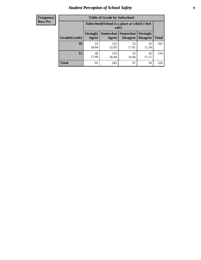# *Student Perception of School Safety* **9**

| <b>Frequency</b><br>Row Pct |
|-----------------------------|
|                             |

| <b>Table of Grade by Safeschool</b> |                                                                                                                                                  |                                                        |             |             |     |  |  |
|-------------------------------------|--------------------------------------------------------------------------------------------------------------------------------------------------|--------------------------------------------------------|-------------|-------------|-----|--|--|
|                                     |                                                                                                                                                  | Safeschool (School is a place at which I feel<br>safe) |             |             |     |  |  |
| Grade(Grade)                        | <b>Somewhat</b><br><b>Somewhat</b><br><b>Strongly</b><br><b>Strongly</b><br><b>Disagree</b><br>Agree<br><b>Disagree</b><br><b>Total</b><br>Agree |                                                        |             |             |     |  |  |
| <b>10</b>                           | 55<br>18.84                                                                                                                                      | 152<br>52.05                                           | 52<br>17.81 | 33<br>11.30 | 292 |  |  |
| 12                                  | 40<br>17.09                                                                                                                                      | 133<br>56.84                                           | 35<br>14.96 | 26<br>11.11 | 234 |  |  |
| <b>Total</b>                        | 95                                                                                                                                               | 285                                                    | 87          | 59          | 526 |  |  |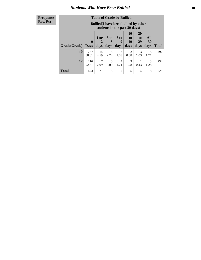### *Students Who Have Been Bullied* **10**

| Frequency |
|-----------|
| Row Pct   |

| <b>Table of Grade by Bullied</b> |                            |                                                                               |                              |                   |                        |                        |                          |              |
|----------------------------------|----------------------------|-------------------------------------------------------------------------------|------------------------------|-------------------|------------------------|------------------------|--------------------------|--------------|
|                                  |                            | <b>Bullied</b> (I have been bullied by other<br>students in the past 30 days) |                              |                   |                        |                        |                          |              |
| Grade(Grade)                     | $\mathbf 0$<br><b>Days</b> | 1 or<br>2<br>days                                                             | 3 <sub>to</sub><br>5<br>days | 6 to<br>9<br>days | 10<br>to<br>19<br>days | 20<br>to<br>29<br>days | All<br><b>30</b><br>days | <b>Total</b> |
| 10                               | 257<br>88.01               | 14<br>4.79                                                                    | 8<br>2.74                    | 3<br>1.03         | 2<br>0.68              | 3<br>1.03              | 5<br>1.71                | 292          |
| 12                               | 216<br>92.31               | 7<br>2.99                                                                     | $\Omega$<br>0.00             | 4<br>1.71         | 3<br>1.28              | 0.43                   | 3<br>1.28                | 234          |
| <b>Total</b>                     | 473                        | 21                                                                            | 8                            | 7                 | 5                      | 4                      | 8                        | 526          |

 $\blacksquare$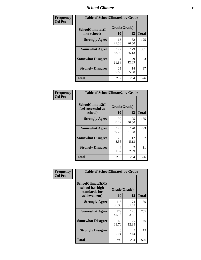### *School Climate* **11**

| Frequency      | <b>Table of SchoolClimate1 by Grade</b> |                    |              |              |  |  |
|----------------|-----------------------------------------|--------------------|--------------|--------------|--|--|
| <b>Col Pct</b> | SchoolClimate1(I<br>like school)        | Grade(Grade)<br>10 | 12           | <b>Total</b> |  |  |
|                | <b>Strongly Agree</b>                   | 63<br>21.58        | 62<br>26.50  | 125          |  |  |
|                | <b>Somewhat Agree</b>                   | 172<br>58.90       | 129<br>55.13 | 301          |  |  |
|                | <b>Somewhat Disagree</b>                | 34<br>11.64        | 29<br>12.39  | 63           |  |  |
|                | <b>Strongly Disagree</b>                | 23<br>7.88         | 14<br>5.98   | 37           |  |  |
|                | <b>Total</b>                            | 292                | 234          | 526          |  |  |

| Frequency      | <b>Table of SchoolClimate2 by Grade</b>           |                    |              |              |
|----------------|---------------------------------------------------|--------------------|--------------|--------------|
| <b>Col Pct</b> | SchoolClimate2(I<br>feel successful at<br>school) | Grade(Grade)<br>10 | 12           | <b>Total</b> |
|                | <b>Strongly Agree</b>                             | 90<br>30.82        | 95<br>40.60  | 185          |
|                | <b>Somewhat Agree</b>                             | 173<br>59.25       | 120<br>51.28 | 293          |
|                | <b>Somewhat Disagree</b>                          | 25<br>8.56         | 12<br>5.13   | 37           |
|                | <b>Strongly Disagree</b>                          | 4<br>1.37          | 7<br>2.99    | 11           |
|                | <b>Total</b>                                      | 292                | 234          | 526          |

| Frequency      | <b>Table of SchoolClimate3 by Grade</b>               |              |              |              |  |
|----------------|-------------------------------------------------------|--------------|--------------|--------------|--|
| <b>Col Pct</b> | SchoolClimate3(My<br>school has high<br>standards for | Grade(Grade) |              |              |  |
|                | achievement)                                          | <b>10</b>    | 12           | <b>Total</b> |  |
|                | <b>Strongly Agree</b>                                 | 115<br>39.38 | 74<br>31.62  | 189          |  |
|                | <b>Somewhat Agree</b>                                 | 129<br>44.18 | 126<br>53.85 | 255          |  |
|                | <b>Somewhat Disagree</b>                              | 40<br>13.70  | 29<br>12.39  | 69           |  |
|                | <b>Strongly Disagree</b>                              | 8<br>2.74    | 5<br>2.14    | 13           |  |
|                | Total                                                 | 292          | 234          | 526          |  |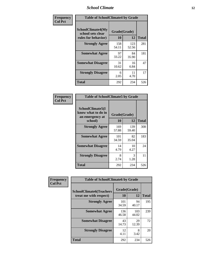### *School Climate* **12**

| Frequency      | <b>Table of SchoolClimate4 by Grade</b>                              |                    |              |              |
|----------------|----------------------------------------------------------------------|--------------------|--------------|--------------|
| <b>Col Pct</b> | <b>SchoolClimate4(My</b><br>school sets clear<br>rules for behavior) | Grade(Grade)<br>10 | 12           | <b>Total</b> |
|                | <b>Strongly Agree</b>                                                | 158<br>54.11       | 123<br>52.56 | 281          |
|                | <b>Somewhat Agree</b>                                                | 97<br>33.22        | 84<br>35.90  | 181          |
|                | <b>Somewhat Disagree</b>                                             | 31<br>10.62        | 16<br>6.84   | 47           |
|                | <b>Strongly Disagree</b>                                             | 6<br>2.05          | 11<br>4.70   | 17           |
|                | <b>Total</b>                                                         | 292                | 234          | 526          |

| <b>Table of SchoolClimate5 by Grade</b>                   |              |              |              |  |  |
|-----------------------------------------------------------|--------------|--------------|--------------|--|--|
| SchoolClimate5(I<br>know what to do in<br>an emergency at | Grade(Grade) |              |              |  |  |
| school)                                                   | 10           | 12           | <b>Total</b> |  |  |
| <b>Strongly Agree</b>                                     | 169<br>57.88 | 139<br>59.40 | 308          |  |  |
| <b>Somewhat Agree</b>                                     | 101<br>34.59 | 82<br>35.04  | 183          |  |  |
| <b>Somewhat Disagree</b>                                  | 14<br>4.79   | 10<br>4.27   | 24           |  |  |
| <b>Strongly Disagree</b>                                  | 8<br>2.74    | 3<br>1.28    | 11           |  |  |
| Total                                                     | 292          | 234          | 526          |  |  |

| Frequency      | <b>Table of SchoolClimate6 by Grade</b>                  |                    |              |              |
|----------------|----------------------------------------------------------|--------------------|--------------|--------------|
| <b>Col Pct</b> | <b>SchoolClimate6(Teachers</b><br>treat me with respect) | Grade(Grade)<br>10 | 12           | <b>Total</b> |
|                | <b>Strongly Agree</b>                                    | 101<br>34.59       | 94<br>40.17  | 195          |
|                | <b>Somewhat Agree</b>                                    | 136<br>46.58       | 103<br>44.02 | 239          |
|                | <b>Somewhat Disagree</b>                                 | 43<br>14.73        | 29<br>12.39  | 72           |
|                | <b>Strongly Disagree</b>                                 | 12<br>4.11         | 8<br>3.42    | 20           |
|                | <b>Total</b>                                             | 292                | 234          | 526          |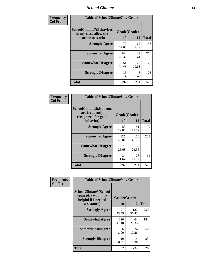### *School Climate* **13**

| Frequency      | <b>Table of SchoolClimate7 by Grade</b>                                       |                           |              |              |
|----------------|-------------------------------------------------------------------------------|---------------------------|--------------|--------------|
| <b>Col Pct</b> | <b>SchoolClimate7(Behaviors</b><br>in my class allow the<br>teacher to teach) | Grade(Grade)<br><b>10</b> | 12           | <b>Total</b> |
|                | <b>Strongly Agree</b>                                                         | 79<br>27.05               | 69<br>29.49  | 148          |
|                | <b>Somewhat Agree</b>                                                         | 144<br>49.32              | 132<br>56.41 | 276          |
|                | <b>Somewhat Disagree</b>                                                      | 54<br>18.49               | 25<br>10.68  | 79           |
|                | <b>Strongly Disagree</b>                                                      | 15<br>5.14                | 8<br>3.42    | 23           |
|                | <b>Total</b>                                                                  | 292                       | 234          | 526          |

| Frequency      | <b>Table of SchoolClimate8 by Grade</b>                                              |                    |              |              |
|----------------|--------------------------------------------------------------------------------------|--------------------|--------------|--------------|
| <b>Col Pct</b> | <b>SchoolClimate8(Students</b><br>are frequently<br>recognized for good<br>behavior) | Grade(Grade)<br>10 | 12           | <b>Total</b> |
|                | <b>Strongly Agree</b>                                                                | 58<br>19.86        | 41<br>17.52  | 99           |
|                | <b>Somewhat Agree</b>                                                                | 125<br>42.81       | 108<br>46.15 | 233          |
|                | <b>Somewhat Disagree</b>                                                             | 75<br>25.68        | 57<br>24.36  | 132          |
|                | <b>Strongly Disagree</b>                                                             | 34<br>11.64        | 28<br>11.97  | 62           |
|                | <b>Total</b>                                                                         | 292                | 234          | 526          |

| Frequency      | <b>Table of SchoolClimate9 by Grade</b>                                           |                    |              |              |
|----------------|-----------------------------------------------------------------------------------|--------------------|--------------|--------------|
| <b>Col Pct</b> | SchoolClimate9(School<br>counselor would be<br>helpful if I needed<br>assistance) | Grade(Grade)<br>10 | 12           | <b>Total</b> |
|                | <b>Strongly Agree</b>                                                             | 127<br>43.49       | 132<br>56.41 | 259          |
|                | <b>Somewhat Agree</b>                                                             | 120<br>41.10       | 64<br>27.35  | 184          |
|                | <b>Somewhat Disagree</b>                                                          | 26<br>8.90         | 24<br>10.26  | 50           |
|                | <b>Strongly Disagree</b>                                                          | 19<br>6.51         | 14<br>5.98   | 33           |
|                | Total                                                                             | 292                | 234          | 526          |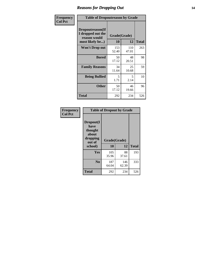### *Reasons for Dropping Out* **14**

| Frequency      | <b>Table of Dropoutreason by Grade</b>                                   |                    |              |              |
|----------------|--------------------------------------------------------------------------|--------------------|--------------|--------------|
| <b>Col Pct</b> | Dropoutreason(If<br>I dropped out the<br>reason would<br>most likely be) | Grade(Grade)<br>10 | 12           | <b>Total</b> |
|                | Won't Drop out                                                           | 153<br>52.40       | 110<br>47.01 | 263          |
|                | <b>Bored</b>                                                             | 50<br>17.12        | 48<br>20.51  | 98           |
|                | <b>Family Reasons</b>                                                    | 34<br>11.64        | 25<br>10.68  | 59           |
|                | <b>Being Bullied</b>                                                     | 5<br>1.71          | 5<br>2.14    | 10           |
|                | <b>Other</b>                                                             | 50<br>17.12        | 46<br>19.66  | 96           |
|                | <b>Total</b>                                                             | 292                | 234          | 526          |

| Frequency<br><b>Col Pct</b> | <b>Table of Dropout by Grade</b>                            |                    |              |     |  |  |
|-----------------------------|-------------------------------------------------------------|--------------------|--------------|-----|--|--|
|                             | Dropout(I<br>have<br>thought<br>about<br>dropping<br>out of | Grade(Grade)<br>10 | <b>Total</b> |     |  |  |
|                             | school)                                                     |                    | 12           |     |  |  |
|                             | Yes                                                         | 105<br>35.96       | 88<br>37.61  | 193 |  |  |
|                             | N <sub>0</sub>                                              | 187<br>64.04       | 146<br>62.39 | 333 |  |  |
|                             | <b>Total</b>                                                | 292                | 234          | 526 |  |  |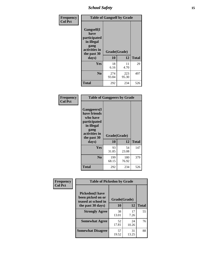*School Safety* **15**

| Frequency      | <b>Table of Gangself by Grade</b>                                                                 |                    |              |              |
|----------------|---------------------------------------------------------------------------------------------------|--------------------|--------------|--------------|
| <b>Col Pct</b> | Gangself(I<br>have<br>participated<br>in illegal<br>gang<br>activities in<br>the past 30<br>days) | Grade(Grade)<br>10 | 12           | <b>Total</b> |
|                | Yes                                                                                               | 18<br>6.16         | 11<br>4.70   | 29           |
|                | N <sub>0</sub>                                                                                    | 274<br>93.84       | 223<br>95.30 | 497          |
|                | Total                                                                                             | 292                | 234          | 526          |

| Frequency<br><b>Col Pct</b> | <b>Table of Gangpeers by Grade</b>                                                                                             |                    |              |              |
|-----------------------------|--------------------------------------------------------------------------------------------------------------------------------|--------------------|--------------|--------------|
|                             | <b>Gangpeers</b> (I<br>have friends<br>who have<br>participated<br>in illegal<br>gang<br>activities in<br>the past 30<br>days) | Grade(Grade)<br>10 | 12           | <b>Total</b> |
|                             | <b>Yes</b>                                                                                                                     | 93<br>31.85        | 54<br>23.08  | 147          |
|                             | N <sub>0</sub>                                                                                                                 | 199<br>68.15       | 180<br>76.92 | 379          |
|                             | <b>Total</b>                                                                                                                   | 292                | 234          | 526          |

| Frequency      |                                                                    | <b>Table of Pickedon by Grade</b> |             |              |  |  |  |  |  |  |  |
|----------------|--------------------------------------------------------------------|-----------------------------------|-------------|--------------|--|--|--|--|--|--|--|
| <b>Col Pct</b> | <b>Pickedon(I have</b><br>been picked on or<br>teased at school in | Grade(Grade)                      |             |              |  |  |  |  |  |  |  |
|                | the past 30 days)                                                  | 10                                | 12          | <b>Total</b> |  |  |  |  |  |  |  |
|                | <b>Strongly Agree</b>                                              | 38<br>13.01                       | 17<br>7.26  | 55           |  |  |  |  |  |  |  |
|                | <b>Somewhat Agree</b>                                              | 52<br>17.81                       | 24<br>10.26 | 76           |  |  |  |  |  |  |  |
|                | <b>Somewhat Disagree</b>                                           | 57<br>19.52                       | 31<br>13.25 | 88           |  |  |  |  |  |  |  |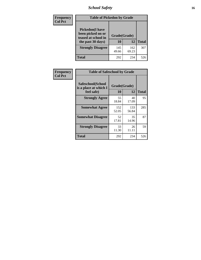# *School Safety* **16**

| <b>Frequency</b> | <b>Table of Pickedon by Grade</b>                                                       |                    |              |     |
|------------------|-----------------------------------------------------------------------------------------|--------------------|--------------|-----|
| <b>Col Pct</b>   | <b>Pickedon(I have</b><br>been picked on or<br>teased at school in<br>the past 30 days) | Grade(Grade)<br>10 | <b>Total</b> |     |
|                  | <b>Strongly Disagree</b>                                                                | 145<br>49.66       | 162<br>69.23 | 307 |
|                  | Total                                                                                   | 292                | 234          | 526 |

| Frequency      | <b>Table of Safeschool by Grade</b>                      |                    |              |              |  |  |  |  |  |  |
|----------------|----------------------------------------------------------|--------------------|--------------|--------------|--|--|--|--|--|--|
| <b>Col Pct</b> | Safeschool(School<br>is a place at which I<br>feel safe) | Grade(Grade)<br>10 | 12           | <b>Total</b> |  |  |  |  |  |  |
|                | <b>Strongly Agree</b>                                    | 55<br>18.84        | 40<br>17.09  | 95           |  |  |  |  |  |  |
|                | <b>Somewhat Agree</b>                                    | 152<br>52.05       | 133<br>56.84 | 285          |  |  |  |  |  |  |
|                | <b>Somewhat Disagree</b>                                 | 52<br>17.81        | 35<br>14.96  | 87           |  |  |  |  |  |  |
|                | <b>Strongly Disagree</b>                                 | 33<br>11.30        | 26<br>11.11  | 59           |  |  |  |  |  |  |
|                | <b>Total</b>                                             | 292                | 234          | 526          |  |  |  |  |  |  |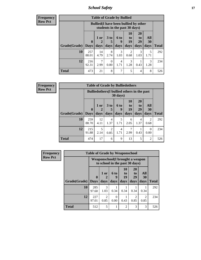*School Safety* **17**

| Frequency      |
|----------------|
| <b>Row Pct</b> |

| <b>Table of Grade by Bullied</b> |              |                                                                               |                      |                  |                       |                       |           |              |  |  |  |
|----------------------------------|--------------|-------------------------------------------------------------------------------|----------------------|------------------|-----------------------|-----------------------|-----------|--------------|--|--|--|
|                                  |              | <b>Bullied</b> (I have been bullied by other<br>students in the past 30 days) |                      |                  |                       |                       |           |              |  |  |  |
|                                  | $\mathbf{0}$ | $1$ or                                                                        | 3 <sub>to</sub><br>5 | <b>6 to</b><br>9 | <b>10</b><br>to<br>19 | <b>20</b><br>to<br>29 | All<br>30 |              |  |  |  |
| Grade(Grade)                     | <b>Days</b>  | days                                                                          | days                 | days             | days                  | days                  | days      | <b>Total</b> |  |  |  |
| 10                               | 257<br>88.01 | 14<br>4.79                                                                    | 8<br>2.74            | 3<br>1.03        | 0.68                  | 3<br>1.03             | 5<br>1.71 | 292          |  |  |  |
| 12                               | 216<br>92.31 | 2.99                                                                          | $\Omega$<br>0.00     | 4<br>1.71        | 3<br>1.28             | 0.43                  | 3<br>1.28 | 234          |  |  |  |
| <b>Total</b>                     | 473          | 21                                                                            | 8                    | 7                | 5                     | 4                     | 8         | 526          |  |  |  |

| <b>Frequency</b> |
|------------------|
| <b>Row Pct</b>   |

| V | <b>Table of Grade by Bulliedothers</b> |                             |                                                                         |                        |                          |                        |                               |                          |              |  |  |
|---|----------------------------------------|-----------------------------|-------------------------------------------------------------------------|------------------------|--------------------------|------------------------|-------------------------------|--------------------------|--------------|--|--|
|   |                                        |                             | <b>Bulliedothers</b> (I bullied others in the past<br>$30 \text{ days}$ |                        |                          |                        |                               |                          |              |  |  |
|   | Grade(Grade)                           | $\mathbf{0}$<br><b>Days</b> | 1 or<br>$\mathbf 2$<br>days                                             | 3 to<br>days           | <b>6 to</b><br>9<br>days | 10<br>to<br>19<br>days | <b>20</b><br>to<br>29<br>days | All<br><b>30</b><br>days | <b>Total</b> |  |  |
|   | 10                                     | 259<br>88.70                | 12<br>4.11                                                              | 4<br>1.37              | 5<br>1.71                | 6<br>2.05              | 4<br>1.37                     | 2<br>0.68                | 292          |  |  |
|   | 12                                     | 215<br>91.88                | 5<br>2.14                                                               | $\overline{2}$<br>0.85 | 4<br>1.71                | 2.99                   | 0.43                          | $\Omega$<br>0.00         | 234          |  |  |
|   | <b>Total</b>                           | 474                         | 17                                                                      | 6                      | 9                        | 13                     | 5                             | $\overline{2}$           | 526          |  |  |

| <b>Frequency</b> | <b>Table of Grade by Weaponschool</b> |                            |                                                                   |                   |                        |                                    |                   |              |  |  |
|------------------|---------------------------------------|----------------------------|-------------------------------------------------------------------|-------------------|------------------------|------------------------------------|-------------------|--------------|--|--|
| <b>Row Pct</b>   |                                       |                            | Weaponschool(I brought a weapon<br>to school in the past 30 days) |                   |                        |                                    |                   |              |  |  |
|                  | Grade(Grade)                          | $\mathbf 0$<br><b>Days</b> | 1 or<br>days                                                      | 6 to<br>9<br>days | 10<br>to<br>19<br>days | 20<br>t <sub>0</sub><br>29<br>days | All<br>30<br>days | <b>Total</b> |  |  |
|                  | 10                                    | 285<br>97.60               | 3<br>1.03                                                         | 0.34              | 0.34                   | 0.34                               | 0.34              | 292          |  |  |
|                  | 12                                    | 227<br>97.01               | $\mathcal{D}_{\mathcal{A}}$<br>0.85                               | 0.00              | 0.43                   | $\mathfrak{D}$<br>0.85             | 2<br>0.85         | 234          |  |  |
|                  | <b>Total</b>                          | 512                        | 5                                                                 |                   | $\overline{2}$         | 3                                  | 3                 | 526          |  |  |

h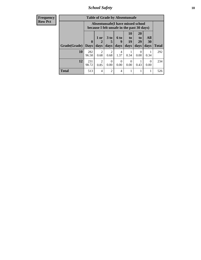*School Safety* **18**

| <b>Frequency</b> | <b>Table of Grade by Absentunsafe</b> |                                                                                 |                        |                        |                  |                  |                       |                  |              |  |  |
|------------------|---------------------------------------|---------------------------------------------------------------------------------|------------------------|------------------------|------------------|------------------|-----------------------|------------------|--------------|--|--|
| <b>Row Pct</b>   |                                       | Absentunsafe(I have missed school<br>because I felt unsafe in the past 30 days) |                        |                        |                  |                  |                       |                  |              |  |  |
|                  |                                       | $\mathbf{0}$                                                                    | 1 or<br>2              | 3 <sub>to</sub><br>5   | 6 to<br>y        | 10<br>to<br>19   | <b>20</b><br>to<br>29 | All<br>30        |              |  |  |
|                  | Grade(Grade)                          | <b>Days</b>                                                                     | days                   | days                   | days             | days             | days                  | days             | <b>Total</b> |  |  |
|                  | 10                                    | 282<br>96.58                                                                    | $\mathfrak{D}$<br>0.68 | $\overline{2}$<br>0.68 | 4<br>1.37        | 0.34             | 0<br>0.00             | 0.34             | 292          |  |  |
|                  | 12                                    | 231<br>98.72                                                                    | $\overline{2}$<br>0.85 | $\Omega$<br>0.00       | $\Omega$<br>0.00 | $\Omega$<br>0.00 | 0.43                  | $\Omega$<br>0.00 | 234          |  |  |
|                  | <b>Total</b>                          | 513                                                                             | $\overline{4}$         | $\overline{2}$         | 4                |                  |                       |                  | 526          |  |  |
|                  |                                       |                                                                                 |                        |                        |                  |                  |                       |                  |              |  |  |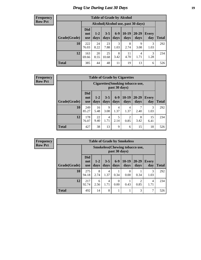# *Drug Use During Last 30 Days* **19**

#### **Frequency Row Pct**

| <b>Table of Grade by Alcohol</b> |                                 |                                     |                 |                 |                 |                   |                     |       |  |  |  |  |
|----------------------------------|---------------------------------|-------------------------------------|-----------------|-----------------|-----------------|-------------------|---------------------|-------|--|--|--|--|
|                                  |                                 | Alcohol (Alcohol use, past 30 days) |                 |                 |                 |                   |                     |       |  |  |  |  |
| Grade(Grade)                     | <b>Did</b><br>not<br><b>use</b> | $1 - 2$<br>days                     | $3 - 5$<br>days | $6 - 9$<br>days | $10-19$<br>days | $20 - 29$<br>days | <b>Every</b><br>day | Total |  |  |  |  |
| 10                               | 222<br>76.03                    | 24<br>8.22                          | 23<br>7.88      | 3<br>1.03       | 8<br>2.74       | 9<br>3.08         | 3<br>1.03           | 292   |  |  |  |  |
| 12                               | 163<br>69.66                    | 20<br>8.55                          | 25<br>10.68     | 8<br>3.42       | 11<br>4.70      | 4<br>1.71         | 3<br>1.28           | 234   |  |  |  |  |
| <b>Total</b>                     | 385                             | 44                                  | 48              | 11              | 19              | 13                | 6                   | 526   |  |  |  |  |

#### **Frequency Row Pct**

| <b>Table of Grade by Cigarettes</b> |                                 |                                                          |                 |                 |                        |               |                     |              |  |  |  |
|-------------------------------------|---------------------------------|----------------------------------------------------------|-----------------|-----------------|------------------------|---------------|---------------------|--------------|--|--|--|
|                                     |                                 | <b>Cigarettes</b> (Smoking tobacco use,<br>past 30 days) |                 |                 |                        |               |                     |              |  |  |  |
| Grade(Grade)                        | <b>Did</b><br>not<br><b>use</b> | $1-2$<br>days                                            | $3 - 5$<br>days | $6 - 9$<br>days | $10-19$<br>days        | 20-29<br>days | <b>Every</b><br>day | <b>Total</b> |  |  |  |
| 10                                  | 249<br>85.27                    | 16<br>5.48                                               | 9<br>3.08       | 4<br>1.37       | 4<br>1.37              | 2.40          | 3<br>1.03           | 292          |  |  |  |
| 12                                  | 178<br>76.07                    | 22<br>9.40                                               | 4<br>1.71       | 5<br>2.14       | $\overline{c}$<br>0.85 | 8<br>3.42     | 15<br>6.41          | 234          |  |  |  |
| <b>Total</b>                        | 427                             | 38                                                       | 13              | 9               | 6                      | 15            | 18                  | 526          |  |  |  |

**Frequency Row Pct**

| <b>Table of Grade by Smokeless</b> |                                 |                                                        |                 |                  |                 |                        |                     |              |  |  |  |  |
|------------------------------------|---------------------------------|--------------------------------------------------------|-----------------|------------------|-----------------|------------------------|---------------------|--------------|--|--|--|--|
|                                    |                                 | <b>Smokeless</b> (Chewing tobaccouse,<br>past 30 days) |                 |                  |                 |                        |                     |              |  |  |  |  |
| Grade(Grade)                       | <b>Did</b><br>not<br><b>use</b> | $1 - 2$<br>days                                        | $3 - 5$<br>days | $6 - 9$<br>days  | $10-19$<br>days | $20 - 29$<br>days      | <b>Every</b><br>day | <b>Total</b> |  |  |  |  |
| 10                                 | 275<br>94.18                    | 8<br>2.74                                              | 4<br>1.37       | 0.34             | 0<br>0.00       | 0.34                   | 3<br>1.03           | 292          |  |  |  |  |
| 12                                 | 217<br>92.74                    | 6<br>2.56                                              | 4<br>1.71       | $\Omega$<br>0.00 | 0.43            | $\mathfrak{D}$<br>0.85 | 4<br>1.71           | 234          |  |  |  |  |
| <b>Total</b>                       | 492                             | 14                                                     | 8               |                  | 1               | 3                      | 7                   | 526          |  |  |  |  |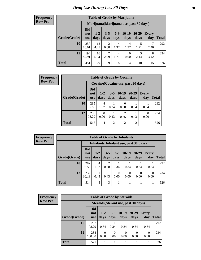#### **Frequency Row Pct**

I

| <b>Table of Grade by Marijuana</b> |                                 |                                         |                 |               |                  |               |              |              |  |  |
|------------------------------------|---------------------------------|-----------------------------------------|-----------------|---------------|------------------|---------------|--------------|--------------|--|--|
|                                    |                                 | Marijuana (Marijuana use, past 30 days) |                 |               |                  |               |              |              |  |  |
| Grade(Grade)                       | <b>Did</b><br>not<br><b>use</b> | $1-2$<br>days                           | $3 - 5$<br>days | $6-9$<br>days | $10-19$<br>days  | 20-29<br>days | Every<br>day | <b>Total</b> |  |  |
| 10                                 | 257<br>88.01                    | 13<br>4.45                              | 2<br>0.68       | 4<br>1.37     | 4<br>1.37        | 5<br>1.71     | 2.40         | 292          |  |  |
| 12                                 | 194<br>82.91                    | 16<br>6.84                              | 7<br>2.99       | 4<br>1.71     | $\Omega$<br>0.00 | 5<br>2.14     | 8<br>3.42    | 234          |  |  |
| <b>Total</b>                       | 451                             | 29                                      | 9               | 8             | $\overline{4}$   | 10            | 15           | 526          |  |  |

| <b>Frequency</b> |              | <b>Table of Grade by Cocaine</b> |                                     |                 |                        |                   |                     |              |  |  |  |
|------------------|--------------|----------------------------------|-------------------------------------|-----------------|------------------------|-------------------|---------------------|--------------|--|--|--|
| <b>Row Pct</b>   |              |                                  | Cocaine (Cocaine use, past 30 days) |                 |                        |                   |                     |              |  |  |  |
|                  | Grade(Grade) | <b>Did</b><br>not<br>use         | $1 - 2$<br>days                     | $3 - 5$<br>days | $ 10-19$<br>days       | $20 - 29$<br>days | <b>Every</b><br>day | <b>Total</b> |  |  |  |
|                  | 10           | 285<br>97.60                     | 4<br>1.37                           | 0.34            | $\Omega$<br>0.00       | 0.34              | 0.34                | 292          |  |  |  |
|                  | 12           | 230<br>98.29                     | 0.00                                | 0.43            | $\overline{2}$<br>0.85 | 0.43              | $\Omega$<br>0.00    | 234          |  |  |  |
|                  | <b>Total</b> | 515                              | 4                                   | $\overline{2}$  | $\overline{2}$         | $\overline{2}$    |                     | 526          |  |  |  |

| <b>Frequency</b> | <b>Table of Grade by Inhalants</b> |                                        |                 |                 |                  |                 |                  |                     |              |  |
|------------------|------------------------------------|----------------------------------------|-----------------|-----------------|------------------|-----------------|------------------|---------------------|--------------|--|
| <b>Row Pct</b>   |                                    | Inhalants (Inhalant use, past 30 days) |                 |                 |                  |                 |                  |                     |              |  |
|                  | Grade(Grade)                       | <b>Did</b><br>not<br><b>use</b>        | $1 - 2$<br>days | $3 - 5$<br>days | $6-9$<br>days    | $10-19$<br>days | $20-29$<br>days  | <b>Every</b><br>day | <b>Total</b> |  |
|                  | 10                                 | 282<br>96.58                           | 4<br>1.37       | 0.68            | 0.34             | 0.34            | 0.34             | 0.34                | 292          |  |
|                  | 12                                 | 232<br>99.15                           | 0.43            | 0.43            | $\Omega$<br>0.00 | 0<br>0.00       | $\Omega$<br>0.00 | $\Omega$<br>0.00    | 234          |  |
|                  | <b>Total</b>                       | 514                                    | 5               | 3               |                  |                 |                  |                     | 526          |  |

| <b>Frequency</b><br>Row Pct |
|-----------------------------|
|                             |

r

| <b>Table of Grade by Steroids</b> |                          |                                      |                 |                 |               |                     |              |  |  |  |
|-----------------------------------|--------------------------|--------------------------------------|-----------------|-----------------|---------------|---------------------|--------------|--|--|--|
|                                   |                          | Steroids (Steroid use, past 30 days) |                 |                 |               |                     |              |  |  |  |
| Grade(Grade)                      | <b>Did</b><br>not<br>use | $1-2$<br>days                        | $3 - 5$<br>days | $10-19$<br>days | 20-29<br>days | <b>Every</b><br>day | <b>Total</b> |  |  |  |
| 10                                | 287<br>98.29             | 0.34                                 | 0.34            | 0.34            | 0.34          | 0.34                | 292          |  |  |  |
| 12                                | 234<br>100.00            | 0.00                                 | 0<br>0.00       | 0<br>0.00       | 0.00          | $\Omega$<br>0.00    | 234          |  |  |  |
| <b>Total</b>                      | 521                      |                                      | 1               | 1               | 1             |                     | 526          |  |  |  |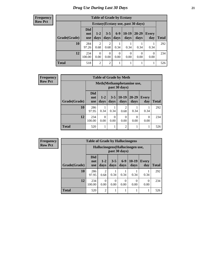**Frequency Row Pct**

| <b>Table of Grade by Ecstasy</b> |                                 |                                     |                        |                  |                 |                   |                     |       |  |  |
|----------------------------------|---------------------------------|-------------------------------------|------------------------|------------------|-----------------|-------------------|---------------------|-------|--|--|
|                                  |                                 | Ecstasy (Ecstasy use, past 30 days) |                        |                  |                 |                   |                     |       |  |  |
| Grade(Grade)                     | <b>Did</b><br>not<br><b>use</b> | $1-2$<br>days                       | $3 - 5$<br>days        | $6 - 9$<br>days  | $10-19$<br>days | $20 - 29$<br>days | <b>Every</b><br>day | Total |  |  |
| 10                               | 284<br>97.26                    | $\overline{2}$<br>0.68              | $\overline{c}$<br>0.68 | 0.34             | 0.34            | 0.34              | 0.34                | 292   |  |  |
| 12                               | 234<br>100.00                   | $\Omega$<br>0.00                    | 0<br>0.00              | $\Omega$<br>0.00 | 0<br>0.00       | 0<br>0.00         | $\Omega$<br>0.00    | 234   |  |  |
| <b>Total</b>                     | 518                             | 2                                   | $\overline{2}$         | 1                | 1               |                   | 1                   | 526   |  |  |

| <b>Frequency</b> |              | <b>Table of Grade by Meth</b>   |                                            |                  |                        |                   |                  |              |  |
|------------------|--------------|---------------------------------|--------------------------------------------|------------------|------------------------|-------------------|------------------|--------------|--|
| <b>Row Pct</b>   |              |                                 | Meth(Methamphetamine use,<br>past 30 days) |                  |                        |                   |                  |              |  |
|                  | Grade(Grade) | <b>Did</b><br>not<br><b>use</b> | $1-2$<br>days                              | days             | $3-5$   10-19<br>days  | $20 - 29$<br>days | Every<br>day     | <b>Total</b> |  |
|                  | 10           | 286<br>97.95                    | 0.34                                       | 0.34             | $\overline{c}$<br>0.68 | 0.34              | 0.34             | 292          |  |
|                  | 12           | 234<br>100.00                   | $\Omega$<br>0.00                           | $\Omega$<br>0.00 | $\theta$<br>0.00       | 0<br>0.00         | $\Omega$<br>0.00 | 234          |  |
|                  | <b>Total</b> | 520                             |                                            |                  | $\overline{2}$         |                   |                  | 526          |  |

| Frequency      |              | <b>Table of Grade by Hallucinogens</b> |                                                   |                  |                  |                  |                     |              |  |  |  |
|----------------|--------------|----------------------------------------|---------------------------------------------------|------------------|------------------|------------------|---------------------|--------------|--|--|--|
| <b>Row Pct</b> |              |                                        | Hallucinogens (Hallucinogen use,<br>past 30 days) |                  |                  |                  |                     |              |  |  |  |
|                | Grade(Grade) | <b>Did</b><br>not<br><b>use</b>        | $1 - 2$<br>days                                   | $3 - 5$<br>days  | $6-9$<br>days    | $10-19$<br>days  | <b>Every</b><br>day | <b>Total</b> |  |  |  |
|                | 10           | 286<br>97.95                           | 0.68                                              | 0.34             | 0.34             | 0.34             | 0.34                | 292          |  |  |  |
|                | 12           | 234<br>100.00                          | 0<br>0.00                                         | $\Omega$<br>0.00 | $\Omega$<br>0.00 | $\theta$<br>0.00 | $\Omega$<br>0.00    | 234          |  |  |  |
|                | <b>Total</b> | 520                                    | $\overline{2}$                                    |                  |                  |                  |                     | 526          |  |  |  |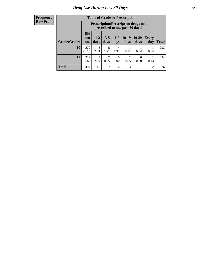#### **Frequency Row Pct**

| <b>Table of Grade by Prescription</b> |                                                                                                                                                         |                                                                                |                        |           |           |                       |      |     |  |  |
|---------------------------------------|---------------------------------------------------------------------------------------------------------------------------------------------------------|--------------------------------------------------------------------------------|------------------------|-----------|-----------|-----------------------|------|-----|--|--|
|                                       |                                                                                                                                                         | <b>Prescription</b> (Prescription drugs not<br>prescribed to me, past 30 days) |                        |           |           |                       |      |     |  |  |
| Grade(Grade)                          | <b>Did</b><br>$6-9$<br>$10-19$<br>$20 - 29$<br>$3 - 5$<br>$1 - 2$<br>Every<br>not<br>days<br>Total<br>days<br>days<br>day<br>days<br>days<br><b>use</b> |                                                                                |                        |           |           |                       |      |     |  |  |
| 10                                    | 272<br>93.15                                                                                                                                            | 8<br>2.74                                                                      | 5<br>1.71              | 4<br>1.37 | 0.34      | 0.34                  | 0.34 | 292 |  |  |
| 12                                    | 222<br>94.87                                                                                                                                            | $\mathcal{L}$<br>2.99                                                          | $\overline{2}$<br>0.85 | 0<br>0.00 | 2<br>0.85 | $\mathcal{O}$<br>0.00 | 0.43 | 234 |  |  |
| <b>Total</b>                          | 494                                                                                                                                                     | 15                                                                             | 7                      | 4         | 3         |                       | 2    | 526 |  |  |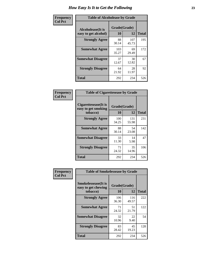| Frequency      | <b>Table of Alcoholease by Grade</b>              |                    |              |     |  |  |  |  |
|----------------|---------------------------------------------------|--------------------|--------------|-----|--|--|--|--|
| <b>Col Pct</b> | <b>Alcoholease</b> (It is<br>easy to get alcohol) | Grade(Grade)<br>10 | <b>Total</b> |     |  |  |  |  |
|                | <b>Strongly Agree</b>                             | 88<br>30.14        | 107<br>45.73 | 195 |  |  |  |  |
|                | <b>Somewhat Agree</b>                             | 103<br>35.27       | 69<br>29.49  | 172 |  |  |  |  |
|                | <b>Somewhat Disagree</b>                          | 37<br>12.67        | 30<br>12.82  | 67  |  |  |  |  |
|                | <b>Strongly Disagree</b>                          | 64<br>21.92        | 28<br>11.97  | 92  |  |  |  |  |
|                | <b>Total</b>                                      | 292                | 234          | 526 |  |  |  |  |

| Frequency      |                                                          | <b>Table of Cigarettesease by Grade</b> |              |              |  |  |  |  |  |
|----------------|----------------------------------------------------------|-----------------------------------------|--------------|--------------|--|--|--|--|--|
| <b>Col Pct</b> | Cigarettesease (It is<br>easy to get smoking<br>tobacco) | Grade(Grade)<br>10                      | 12           | <b>Total</b> |  |  |  |  |  |
|                | <b>Strongly Agree</b>                                    | 100<br>34.25                            | 131<br>55.98 | 231          |  |  |  |  |  |
|                | <b>Somewhat Agree</b>                                    | 88<br>30.14                             | 54<br>23.08  | 142          |  |  |  |  |  |
|                | <b>Somewhat Disagree</b>                                 | 33<br>11.30                             | 14<br>5.98   | 47           |  |  |  |  |  |
|                | <b>Strongly Disagree</b>                                 | 71<br>24.32                             | 35<br>14.96  | 106          |  |  |  |  |  |
|                | <b>Total</b>                                             | 292                                     | 234          | 526          |  |  |  |  |  |

| Frequency      | <b>Table of Smokelessease by Grade</b>             |              |              |              |  |
|----------------|----------------------------------------------------|--------------|--------------|--------------|--|
| <b>Col Pct</b> | <b>Smokelessease</b> (It is<br>easy to get chewing | Grade(Grade) |              |              |  |
|                | tobacco)                                           | 10           | 12           | <b>Total</b> |  |
|                | <b>Strongly Agree</b>                              | 106<br>36.30 | 116<br>49.57 | 222          |  |
|                | <b>Somewhat Agree</b>                              | 71<br>24.32  | 51<br>21.79  | 122          |  |
|                | <b>Somewhat Disagree</b>                           | 32<br>10.96  | 22<br>9.40   | 54           |  |
|                | <b>Strongly Disagree</b>                           | 83<br>28.42  | 45<br>19.23  | 128          |  |
|                | Total                                              | 292          | 234          | 526          |  |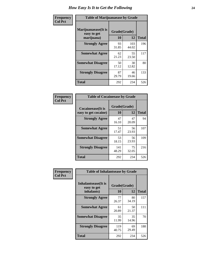| Frequency      | <b>Table of Marijuanaease by Grade</b>           |                    |              |              |  |  |  |  |  |  |
|----------------|--------------------------------------------------|--------------------|--------------|--------------|--|--|--|--|--|--|
| <b>Col Pct</b> | Marijuanaease(It is<br>easy to get<br>marijuana) | Grade(Grade)<br>10 | 12           | <b>Total</b> |  |  |  |  |  |  |
|                | <b>Strongly Agree</b>                            | 93<br>31.85        | 103<br>44.02 | 196          |  |  |  |  |  |  |
|                | <b>Somewhat Agree</b>                            | 62<br>21.23        | 55<br>23.50  | 117          |  |  |  |  |  |  |
|                | <b>Somewhat Disagree</b>                         | 50<br>17.12        | 30<br>12.82  | 80           |  |  |  |  |  |  |
|                | <b>Strongly Disagree</b>                         | 87<br>29.79        | 46<br>19.66  | 133          |  |  |  |  |  |  |
|                | <b>Total</b>                                     | 292                | 234          | 526          |  |  |  |  |  |  |

| <b>Table of Cocaineease by Grade</b>              |                    |             |              |  |  |  |  |  |  |  |
|---------------------------------------------------|--------------------|-------------|--------------|--|--|--|--|--|--|--|
| <b>Cocaineease</b> (It is<br>easy to get cocaine) | Grade(Grade)<br>10 | 12          | <b>Total</b> |  |  |  |  |  |  |  |
| <b>Strongly Agree</b>                             | 47<br>16.10        | 47<br>20.09 | 94           |  |  |  |  |  |  |  |
| <b>Somewhat Agree</b>                             | 51<br>17.47        | 56<br>23.93 | 107          |  |  |  |  |  |  |  |
| <b>Somewhat Disagree</b>                          | 53<br>18.15        | 56<br>23.93 | 109          |  |  |  |  |  |  |  |
| <b>Strongly Disagree</b>                          | 141<br>48.29       | 75<br>32.05 | 216          |  |  |  |  |  |  |  |
| <b>Total</b>                                      | 292                | 234         | 526          |  |  |  |  |  |  |  |

| Frequency      | <b>Table of Inhalantsease by Grade</b>                   |                    |             |              |
|----------------|----------------------------------------------------------|--------------------|-------------|--------------|
| <b>Col Pct</b> | <b>Inhalantsease</b> (It is<br>easy to get<br>inhalants) | Grade(Grade)<br>10 | 12          | <b>Total</b> |
|                | <b>Strongly Agree</b>                                    | 77<br>26.37        | 80<br>34.19 | 157          |
|                | <b>Somewhat Agree</b>                                    | 61<br>20.89        | 50<br>21.37 | 111          |
|                | <b>Somewhat Disagree</b>                                 | 35<br>11.99        | 35<br>14.96 | 70           |
|                | <b>Strongly Disagree</b>                                 | 119<br>40.75       | 69<br>29.49 | 188          |
|                | <b>Total</b>                                             | 292                | 234         | 526          |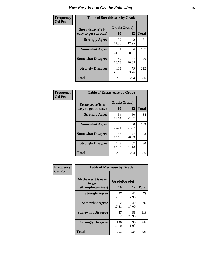| Frequency      | <b>Table of Steroidsease by Grade</b>               |                    |             |              |  |  |  |  |  |  |
|----------------|-----------------------------------------------------|--------------------|-------------|--------------|--|--|--|--|--|--|
| <b>Col Pct</b> | <b>Steroidsease</b> (It is<br>easy to get steroids) | Grade(Grade)<br>10 | 12          | <b>Total</b> |  |  |  |  |  |  |
|                | <b>Strongly Agree</b>                               | 39<br>13.36        | 42<br>17.95 | 81           |  |  |  |  |  |  |
|                | <b>Somewhat Agree</b>                               | 71<br>24.32        | 66<br>28.21 | 137          |  |  |  |  |  |  |
|                | <b>Somewhat Disagree</b>                            | 49<br>16.78        | 47<br>20.09 | 96           |  |  |  |  |  |  |
|                | <b>Strongly Disagree</b>                            | 133<br>45.55       | 79<br>33.76 | 212          |  |  |  |  |  |  |
|                | <b>Total</b>                                        | 292                | 234         | 526          |  |  |  |  |  |  |

| Frequency      | <b>Table of Ecstasyease by Grade</b>              |                    |             |              |  |  |  |  |  |  |
|----------------|---------------------------------------------------|--------------------|-------------|--------------|--|--|--|--|--|--|
| <b>Col Pct</b> | <b>Ecstasyease</b> (It is<br>easy to get ecstasy) | Grade(Grade)<br>10 | 12          | <b>Total</b> |  |  |  |  |  |  |
|                | <b>Strongly Agree</b>                             | 34<br>11.64        | 50<br>21.37 | 84           |  |  |  |  |  |  |
|                | <b>Somewhat Agree</b>                             | 59<br>20.21        | 50<br>21.37 | 109          |  |  |  |  |  |  |
|                | <b>Somewhat Disagree</b>                          | 56<br>19.18        | 47<br>20.09 | 103          |  |  |  |  |  |  |
|                | <b>Strongly Disagree</b>                          | 143<br>48.97       | 87<br>37.18 | 230          |  |  |  |  |  |  |
|                | <b>Total</b>                                      | 292                | 234         | 526          |  |  |  |  |  |  |

| Frequency      | <b>Table of Methease by Grade</b>                          |                    |             |              |
|----------------|------------------------------------------------------------|--------------------|-------------|--------------|
| <b>Col Pct</b> | <b>Methease</b> (It is easy<br>to get<br>methamphetamines) | Grade(Grade)<br>10 | 12          | <b>Total</b> |
|                | <b>Strongly Agree</b>                                      | 37<br>12.67        | 42<br>17.95 | 79           |
|                | <b>Somewhat Agree</b>                                      | 52<br>17.81        | 40<br>17.09 | 92           |
|                | <b>Somewhat Disagree</b>                                   | 57<br>19.52        | 56<br>23.93 | 113          |
|                | <b>Strongly Disagree</b>                                   | 146<br>50.00       | 96<br>41.03 | 242          |
|                | Total                                                      | 292                | 234         | 526          |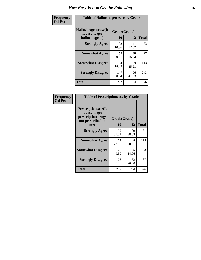| <b>Frequency</b> | <b>Table of Hallucinogensease by Grade</b>               |                    |             |              |  |  |  |  |  |  |
|------------------|----------------------------------------------------------|--------------------|-------------|--------------|--|--|--|--|--|--|
| <b>Col Pct</b>   | Hallucinogensease(It<br>is easy to get<br>hallucinogens) | Grade(Grade)<br>10 | 12          | <b>Total</b> |  |  |  |  |  |  |
|                  | <b>Strongly Agree</b>                                    | 32<br>10.96        | 41<br>17.52 | 73           |  |  |  |  |  |  |
|                  | <b>Somewhat Agree</b>                                    | 59<br>20.21        | 38<br>16.24 | 97           |  |  |  |  |  |  |
|                  | <b>Somewhat Disagree</b>                                 | 54<br>18.49        | 59<br>25.21 | 113          |  |  |  |  |  |  |
|                  | <b>Strongly Disagree</b>                                 | 147<br>50.34       | 96<br>41.03 | 243          |  |  |  |  |  |  |
|                  | <b>Total</b>                                             | 292                | 234         | 526          |  |  |  |  |  |  |

| Frequency<br>  Col Pct |
|------------------------|
|                        |

| <b>Table of Prescriptionease by Grade</b>                                                |              |              |              |  |  |  |  |  |  |  |
|------------------------------------------------------------------------------------------|--------------|--------------|--------------|--|--|--|--|--|--|--|
| <b>Prescriptionease</b> (It<br>is easy to get<br>prescription drugs<br>not prescribed to |              | Grade(Grade) |              |  |  |  |  |  |  |  |
| me)                                                                                      | 10           | 12           | <b>Total</b> |  |  |  |  |  |  |  |
| <b>Strongly Agree</b>                                                                    | 92<br>31.51  | 89<br>38.03  | 181          |  |  |  |  |  |  |  |
| <b>Somewhat Agree</b>                                                                    | 67<br>22.95  | 48<br>20.51  | 115          |  |  |  |  |  |  |  |
| <b>Somewhat Disagree</b>                                                                 | 28<br>9.59   | 35<br>14.96  | 63           |  |  |  |  |  |  |  |
| <b>Strongly Disagree</b>                                                                 | 105<br>35.96 | 62<br>26.50  | 167          |  |  |  |  |  |  |  |
| Total                                                                                    | 292          | 234          | 526          |  |  |  |  |  |  |  |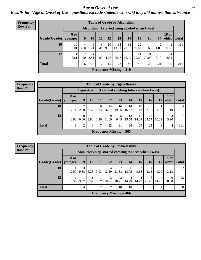*Age at Onset of Use* **27** *Results for "Age at Onset of Use" questions exclude students who said they did not use that substance*

| Frequency      |              |                        |                                                  |           |           |            |                           | <b>Table of Grade by Alcoholinit</b> |             |             |             |                       |              |  |  |  |  |
|----------------|--------------|------------------------|--------------------------------------------------|-----------|-----------|------------|---------------------------|--------------------------------------|-------------|-------------|-------------|-----------------------|--------------|--|--|--|--|
| <b>Row Pct</b> |              |                        | Alcoholinit (I started using alcohol when I was) |           |           |            |                           |                                      |             |             |             |                       |              |  |  |  |  |
|                | Grade(Grade) | <b>8 or</b><br>younger | $\boldsymbol{9}$                                 | 10        | <b>11</b> | 12         | 13                        | 14                                   | 15          | <b>16</b>   | 17          | <b>18 or</b><br>older | <b>Total</b> |  |  |  |  |
|                | 10           | 10<br>9.01             | 4<br>3.60                                        | 6<br>5.41 | 6<br>5.41 | 10<br>9.01 | 15<br>13.51               | 31<br>27.93                          | 22<br>19.82 | 4<br>3.60   | າ<br>1.80   | 0.90                  | 111          |  |  |  |  |
|                | 12           | $\overline{4}$<br>3.81 | 2<br>1.90                                        | 4<br>3.81 | 0.95      | 4.76       | ℸ<br>6.67                 | 17<br>16.19                          | 21<br>20.00 | 21<br>20.00 | 19<br>18.10 | 4<br>3.81             | 105          |  |  |  |  |
|                | <b>Total</b> | 14                     | 6                                                | 10        | ⇁         | 15         | 22                        | 48                                   | 43          | 25          | 21          | 5                     | 216          |  |  |  |  |
|                |              |                        |                                                  |           |           |            | Frequency Missing $= 310$ |                                      |             |             |             |                       |              |  |  |  |  |

#### **Frequency Row Pct**

| <b>Table of Grade by Cigarettesinit</b> |                                                       |                  |           |           |                           |             |             |             |             |            |                       |              |
|-----------------------------------------|-------------------------------------------------------|------------------|-----------|-----------|---------------------------|-------------|-------------|-------------|-------------|------------|-----------------------|--------------|
|                                         | Cigarettesinit (I started smoking tobacco when I was) |                  |           |           |                           |             |             |             |             |            |                       |              |
| Grade(Grade)                            | 8 or<br>younger                                       | 9                | 10        | 11        | 12                        | 13          | 14          | 15          | 16          | 17         | <b>18 or</b><br>older | <b>Total</b> |
| 10                                      | 6<br>7.14                                             | 2<br>2.38        | 3<br>3.57 | 6<br>7.14 | 14<br>16.67               | 16<br>19.05 | 14<br>16.67 | 18<br>21.43 | 3<br>3.57   | 1.19       | 1.19                  | 84           |
| 12                                      | 3<br>3.90                                             | $\theta$<br>0.00 | 3<br>3.90 | 1.30      | 9<br>11.69                | 5<br>6.49   | 12<br>15.58 | 11<br>14.29 | 22<br>28.57 | 8<br>10.39 | 3<br>3.90             | 77           |
| <b>Total</b>                            | $\mathbf Q$                                           | ↑                | 6         | 7         | 23                        | 21          | 26          | 29          | 25          | 9          | 4                     | 161          |
|                                         |                                                       |                  |           |           | Frequency Missing $= 365$ |             |             |             |             |            |                       |              |

**Frequency Row Pct**

| <b>Table of Grade by Smokelessinit</b> |            |                                                     |      |           |                           |            |            |            |            |                  |                       |              |
|----------------------------------------|------------|-----------------------------------------------------|------|-----------|---------------------------|------------|------------|------------|------------|------------------|-----------------------|--------------|
|                                        |            | Smokelessinit(I started chewing tobacco when I was) |      |           |                           |            |            |            |            |                  |                       |              |
| Grade(Grade)   younger                 | 8 or       | 9                                                   | 10   | <b>11</b> | 12                        | 13         | 14         | 15         | 16         | <b>17</b>        | <b>18 or</b><br>older | <b>Total</b> |
| 10                                     | 4<br>12.50 | 9.38                                                | 6.25 | 3.13      | 4<br>12.50                | 7<br>21.88 | 6<br>18.75 | 3<br>9.38  | 3.13       | $\theta$<br>0.00 | 3.13                  | 32           |
| 12                                     | 3.57       | 3.57                                                | 3.57 | 3.57      | 3<br>10.71                | 3<br>10.71 | 4<br>14.29 | 4<br>14.29 | 6<br>21.43 | 4<br>14.29       | $\Omega$<br>0.00      | 28           |
| <b>Total</b>                           |            | 4                                                   | 3    | 2         | 7                         | 10         | 10         | 7          | ⇁          | 4                |                       | 60           |
|                                        |            |                                                     |      |           | Frequency Missing $= 466$ |            |            |            |            |                  |                       |              |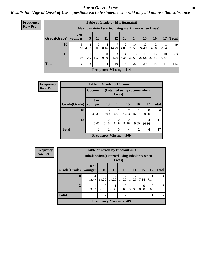#### *Age at Onset of Use* **28**

*Results for "Age at Onset of Use" questions exclude students who said they did not use that substance*

| <b>Frequency</b> |              |                        |                           |                  |                            | <b>Table of Grade by Marijuanainit</b> |           |             |             |                                                      |             |              |
|------------------|--------------|------------------------|---------------------------|------------------|----------------------------|----------------------------------------|-----------|-------------|-------------|------------------------------------------------------|-------------|--------------|
| <b>Row Pct</b>   |              |                        |                           |                  |                            |                                        |           |             |             | Marijuanainit (I started using marijuana when I was) |             |              |
|                  | Grade(Grade) | <b>8 or</b><br>younger | 9                         | 10               | 11                         | 12                                     | 13        | 14          | 15          | 16                                                   | 17          | <b>Total</b> |
|                  | 10           | 5<br>10.20             | 2<br>4.08                 | $\left($<br>0.00 | 4<br>8.16                  | 14.29                                  | 2<br>4.08 | 14<br>28.57 | 12<br>24.49 | 4.08                                                 | 2.04        | 49           |
|                  | 12           | 1.59                   | $1.59$   $1.59$           |                  | $\overline{0}$<br>$0.00\,$ | 3<br>4.76                              | 4<br>6.35 | 13<br>20.63 | 17<br>26.98 | 13<br>20.63                                          | 10<br>15.87 | 63           |
|                  | <b>Total</b> | 6                      | 3                         |                  | 4                          | 10                                     | 6         | 27          | 29          | 15                                                   | 11          | 112          |
|                  |              |                        | Frequency Missing $= 414$ |                  |                            |                                        |           |             |             |                                                      |             |              |

| <b>Frequency</b> |                        | <b>Table of Grade by Cocaineinit</b>        |                               |                         |                                             |                |                  |              |
|------------------|------------------------|---------------------------------------------|-------------------------------|-------------------------|---------------------------------------------|----------------|------------------|--------------|
| <b>Row Pct</b>   |                        | Cocaine in it (I started using cocaine when |                               | I was)                  |                                             |                |                  |              |
|                  | Grade(Grade)   younger | 8 or                                        | 13                            | 14                      | <b>15</b>                                   | <b>16</b>      | 17               | <b>Total</b> |
|                  | 10                     | $\overline{2}$<br>33.33                     | $\Omega$<br>0.00 <sub>l</sub> | 16.67                   | $\overline{2}$<br>33.33                     | 16.67          | $\Omega$<br>0.00 | 6            |
|                  | 12                     | $\theta$<br>0.00                            | $\mathfrak{D}$<br>18.18       | $\mathfrak{D}$<br>18.18 | $\overline{2}$<br>18.18                     | 9.09           | 4<br>36.36       | 11           |
|                  | <b>Total</b>           | $\overline{2}$                              | $\overline{2}$                | 3                       | 4                                           | $\mathfrak{D}$ | 4                | 17           |
|                  |                        |                                             |                               |                         | <b>Frequency Missing <math>= 509</math></b> |                |                  |              |

**Frequency Row Pct**

|              | <b>Table of Grade by Inhalantsinit</b> |                                                                                                                                                                          |                         |                        |                                   |                  |           |    |  |  |  |
|--------------|----------------------------------------|--------------------------------------------------------------------------------------------------------------------------------------------------------------------------|-------------------------|------------------------|-----------------------------------|------------------|-----------|----|--|--|--|
|              |                                        | Inhalantsinit (I started using inhalants when<br>I was)                                                                                                                  |                         |                        |                                   |                  |           |    |  |  |  |
| Grade(Grade) | 8 or<br>younger                        | <b>10</b><br><b>12</b><br>13<br>15<br>14<br>17                                                                                                                           |                         |                        |                                   |                  |           |    |  |  |  |
| 10           | 4<br>28.57                             | $\mathcal{D}_{\mathcal{A}}^{\mathcal{A}}(\mathcal{A})=\mathcal{D}_{\mathcal{A}}^{\mathcal{A}}(\mathcal{A})\mathcal{D}_{\mathcal{A}}^{\mathcal{A}}(\mathcal{A})$<br>14.29 | $\overline{2}$<br>14.29 | $\mathcal{D}$<br>14.29 | $\overline{\mathcal{L}}$<br>14.29 | 7.14             | 7.14      | 14 |  |  |  |
| 12           | 33.33                                  | 0.00                                                                                                                                                                     | 33.33                   | 0<br>0.00              | 33.33                             | $\Omega$<br>0.00 | 0<br>0.00 | 3  |  |  |  |
| <b>Total</b> | 5                                      | 3<br>$\overline{2}$<br>$\overline{c}$<br>3                                                                                                                               |                         |                        |                                   |                  |           |    |  |  |  |
|              |                                        | <b>Frequency Missing = <math>509</math></b>                                                                                                                              |                         |                        |                                   |                  |           |    |  |  |  |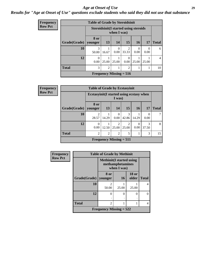#### *Age at Onset of Use* **29**

### *Results for "Age at Onset of Use" questions exclude students who said they did not use that substance*

| <b>Frequency</b> |              | <b>Table of Grade by Steroidsinit</b> |                                                             |                                |                  |                  |       |                |  |  |  |
|------------------|--------------|---------------------------------------|-------------------------------------------------------------|--------------------------------|------------------|------------------|-------|----------------|--|--|--|
| <b>Row Pct</b>   |              |                                       | <b>Steroidsinit(I started using steroids</b><br>when I was) |                                |                  |                  |       |                |  |  |  |
|                  | Grade(Grade) | 8 or<br>younger                       | 13                                                          | 14                             | 15               | <b>16</b>        | 17    | <b>Total</b>   |  |  |  |
|                  | 10           | 3<br>50.00                            | 16.67                                                       | 0<br>0.00                      | 2<br>33.33       | $\Omega$<br>0.00 | 0.00  | 6              |  |  |  |
|                  | 12           | $\theta$<br>0.00                      | 25.00                                                       | 25.00                          | $\Omega$<br>0.00 | 25.00            | 25.00 | $\overline{4}$ |  |  |  |
|                  | <b>Total</b> | 3                                     | $\overline{2}$                                              |                                | $\overline{2}$   |                  |       | 10             |  |  |  |
|                  |              |                                       |                                                             | <b>Frequency Missing = 516</b> |                  |                  |       |                |  |  |  |

| <b>Frequency</b> |              | <b>Table of Grade by Ecstasyinit</b>      |                |                                             |                         |           |                  |              |
|------------------|--------------|-------------------------------------------|----------------|---------------------------------------------|-------------------------|-----------|------------------|--------------|
| <b>Row Pct</b>   |              | Ecstasyinit (I started using ecstasy when |                | I was)                                      |                         |           |                  |              |
|                  | Grade(Grade) | 8 or<br>younger                           | 13             | 14                                          | 15                      | <b>16</b> | 17               | <b>Total</b> |
|                  | 10           | $\overline{2}$<br>28.57                   | 14.29          | 0<br>0.00                                   | 3<br>42.86              | 14.29     | $\Omega$<br>0.00 |              |
|                  | 12           | $\theta$<br>0.00                          | 12.50          | $\overline{2}$<br>25.00                     | $\overline{2}$<br>25.00 | 0<br>0.00 | 3<br>37.50       | 8            |
|                  | <b>Total</b> | 2                                         | $\overline{2}$ | $\overline{2}$                              | 5                       |           | 3                | 15           |
|                  |              |                                           |                | <b>Frequency Missing <math>= 511</math></b> |                         |           |                  |              |

| Frequency      |                      | <b>Table of Grade by Methinit</b>                                   |           |                  |              |
|----------------|----------------------|---------------------------------------------------------------------|-----------|------------------|--------------|
| <b>Row Pct</b> |                      | <b>Methinit</b> (I started using<br>methamphetamines<br>when I was) |           |                  |              |
|                | <b>Grade</b> (Grade) | 8 or<br>younger                                                     | <b>16</b> | $18$ or<br>older | <b>Total</b> |
|                | 10                   | $\mathfrak{D}$<br>50.00                                             | 25.00     | 25.00            | 4            |
|                | 12                   | 0                                                                   | 0         | 0                |              |
|                | <b>Total</b>         | 2                                                                   |           |                  | 4            |
|                |                      | Frequency Missing $= 522$                                           |           |                  |              |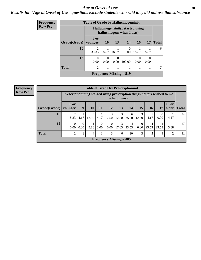#### Age at Onset of Use **30**

### *Results for "Age at Onset of Use" questions exclude students who said they did not use that substance*

| Frequency      |              | <b>Table of Grade by Hallucinogensinit</b> |           |                  |                                                                |           |           |              |
|----------------|--------------|--------------------------------------------|-----------|------------------|----------------------------------------------------------------|-----------|-----------|--------------|
| <b>Row Pct</b> |              |                                            |           |                  | Hallucinogensinit(I started using<br>hallucinogens when I was) |           |           |              |
|                | Grade(Grade) | 8 or<br>  vounger                          | <b>10</b> | 13               | 14                                                             | 16        | 17        | <b>Total</b> |
|                | 10           | $\mathfrak{D}$<br>33.33                    | 16.67     | 16.67            | $\Omega$<br>0.00                                               | 16.67     | 16.67     | 6            |
|                | 12           | $\Omega$<br>0.00                           | 0.00      | $\Omega$<br>0.00 | 100.00                                                         | 0<br>0.00 | 0<br>0.00 | 1            |
|                | <b>Total</b> | $\overline{2}$                             |           |                  |                                                                |           |           | 7            |
|                |              |                                            |           |                  | Frequency Missing $= 519$                                      |           |           |              |

| <b>Frequency</b> |
|------------------|
| <b>Row Pct</b>   |

| <b>Table of Grade by Prescriptioninit</b> |                        |                                                                                       |            |                  |                           |            |            |                      |            |                  |                       |              |
|-------------------------------------------|------------------------|---------------------------------------------------------------------------------------|------------|------------------|---------------------------|------------|------------|----------------------|------------|------------------|-----------------------|--------------|
|                                           |                        | Prescription in the Islam at a prescription drugs not prescribed to me<br>when I was) |            |                  |                           |            |            |                      |            |                  |                       |              |
| Grade(Grade)                              | <b>8 or</b><br>younger | 9                                                                                     | <b>10</b>  | 11               | 12                        | 13         | 14         | 15                   | <b>16</b>  | 17               | <b>18 or</b><br>older | <b>Total</b> |
| 10                                        | າ<br>8.33              | 4.17                                                                                  | 3<br>12.50 | 4.17             | 3<br>12.50                | 3<br>12.50 | 6<br>25.00 | 3<br>12.50           | 4.17       | $\theta$<br>0.00 | 4.17                  | 24           |
| 12                                        | $\Omega$<br>0.00       | $\theta$<br>0.00                                                                      | 5.88       | $\Omega$<br>0.00 | $\Omega$<br>$0.00\,$      | 3<br>17.65 | 4<br>23.53 | $\Omega$<br>$0.00\,$ | 4<br>23.53 | 4<br>23.53       | 5.88                  | 17           |
| <b>Total</b>                              | $\overline{2}$         |                                                                                       | 4          |                  | 3                         | 6          | 10         | 3                    | 5          | 4                | 2                     | 41           |
|                                           |                        |                                                                                       |            |                  | Frequency Missing $= 485$ |            |            |                      |            |                  |                       |              |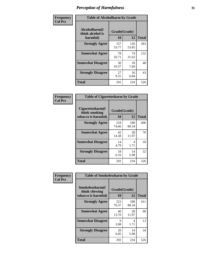| Frequency      |                                               | <b>Table of Alcoholharm by Grade</b> |              |              |  |  |  |  |  |
|----------------|-----------------------------------------------|--------------------------------------|--------------|--------------|--|--|--|--|--|
| <b>Col Pct</b> | Alcoholharm(I<br>think alcohol is<br>harmful) | Grade(Grade)<br>10                   | 12           | <b>Total</b> |  |  |  |  |  |
|                | <b>Strongly Agree</b>                         | 157<br>53.77                         | 126<br>53.85 | 283          |  |  |  |  |  |
|                | <b>Somewhat Agree</b>                         | 78<br>26.71                          | 74<br>31.62  | 152          |  |  |  |  |  |
|                | <b>Somewhat Disagree</b>                      | 30<br>10.27                          | 18<br>7.69   | 48           |  |  |  |  |  |
|                | <b>Strongly Disagree</b>                      | 27<br>9.25                           | 16<br>6.84   | 43           |  |  |  |  |  |
|                | <b>Total</b>                                  | 292                                  | 234          | 526          |  |  |  |  |  |

|                                                          |                    | <b>Table of Cigarettesharm by Grade</b> |              |  |  |  |  |  |  |  |  |
|----------------------------------------------------------|--------------------|-----------------------------------------|--------------|--|--|--|--|--|--|--|--|
| Cigarettesharm(I<br>think smoking<br>tobacco is harmful) | Grade(Grade)<br>10 | 12                                      | <b>Total</b> |  |  |  |  |  |  |  |  |
| <b>Strongly Agree</b>                                    | 218<br>74.66       | 188<br>80.34                            | 406          |  |  |  |  |  |  |  |  |
| <b>Somewhat Agree</b>                                    | 42<br>14.38        | 28<br>11.97                             | 70           |  |  |  |  |  |  |  |  |
| <b>Somewhat Disagree</b>                                 | 14<br>4.79         | 4<br>1.71                               | 18           |  |  |  |  |  |  |  |  |
| <b>Strongly Disagree</b>                                 | 18<br>6.16         | 14<br>5.98                              | 32           |  |  |  |  |  |  |  |  |
| <b>Total</b>                                             | 292                | 234                                     | 526          |  |  |  |  |  |  |  |  |

| Frequency      | <b>Table of Smokelessharm by Grade</b>                  |                    |              |     |
|----------------|---------------------------------------------------------|--------------------|--------------|-----|
| <b>Col Pct</b> | Smokelessharm(I<br>think chewing<br>tobacco is harmful) | Grade(Grade)<br>10 | <b>Total</b> |     |
|                | <b>Strongly Agree</b>                                   | 223<br>76.37       | 188<br>80.34 | 411 |
|                | <b>Somewhat Agree</b>                                   | 40<br>13.70        | 28<br>11.97  | 68  |
|                | <b>Somewhat Disagree</b>                                | 9<br>3.08          | 4<br>1.71    | 13  |
|                | <b>Strongly Disagree</b>                                | 20<br>6.85         | 14<br>5.98   | 34  |
|                | Total                                                   | 292                | 234          | 526 |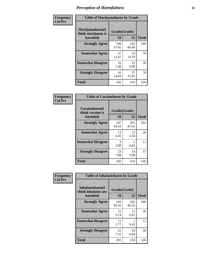| Frequency      |                                                   | <b>Table of Marijuanaharm by Grade</b> |              |              |  |
|----------------|---------------------------------------------------|----------------------------------------|--------------|--------------|--|
| <b>Col Pct</b> | Marijuanaharm(I<br>think marijuana is<br>harmful) | Grade(Grade)<br>10                     | 12           | <b>Total</b> |  |
|                | <b>Strongly Agree</b>                             | 198<br>67.81                           | 142<br>60.68 | 340          |  |
|                | <b>Somewhat Agree</b>                             | 37<br>12.67                            | 33<br>14.10  | 70           |  |
|                | <b>Somewhat Disagree</b>                          | 16<br>5.48                             | 22<br>9.40   | 38           |  |
|                | <b>Strongly Disagree</b>                          | 41<br>14.04                            | 37<br>15.81  | 78           |  |
|                | <b>Total</b>                                      | 292                                    | 234          | 526          |  |

| <b>Table of Cocaineharm by Grade</b>          |                    |                        |              |  |  |
|-----------------------------------------------|--------------------|------------------------|--------------|--|--|
| Cocaineharm(I<br>think cocaine is<br>harmful) | Grade(Grade)<br>10 | 12                     | <b>Total</b> |  |  |
| <b>Strongly Agree</b>                         | 247<br>84.59       | 205<br>87.61           | 452          |  |  |
| <b>Somewhat Agree</b>                         | 13<br>4.45         | 13<br>5.56             | 26           |  |  |
| <b>Somewhat Disagree</b>                      | 9<br>3.08          | $\mathfrak{D}$<br>0.85 | 11           |  |  |
| <b>Strongly Disagree</b>                      | 23<br>7.88         | 14<br>5.98             | 37           |  |  |
| <b>Total</b>                                  | 292                | 234                    | 526          |  |  |

| Frequency      | <b>Table of Inhalantsharm by Grade</b>             |                    |              |              |
|----------------|----------------------------------------------------|--------------------|--------------|--------------|
| <b>Col Pct</b> | Inhalantsharm(I<br>think inhalants are<br>harmful) | Grade(Grade)<br>10 | 12           | <b>Total</b> |
|                | <b>Strongly Agree</b>                              | 244<br>83.56       | 202<br>86.32 | 446          |
|                | <b>Somewhat Agree</b>                              | 15<br>5.14         | 15<br>6.41   | 30           |
|                | <b>Somewhat Disagree</b>                           | 11<br>3.77         | 0.43         | 12           |
|                | <b>Strongly Disagree</b>                           | 22<br>7.53         | 16<br>6.84   | 38           |
|                | <b>Total</b>                                       | 292                | 234          | 526          |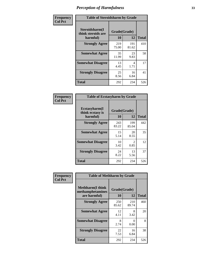| Frequency      | <b>Table of Steroidsharm by Grade</b>            |                    |              |              |
|----------------|--------------------------------------------------|--------------------|--------------|--------------|
| <b>Col Pct</b> | Steroidsharm(I<br>think steroids are<br>harmful) | Grade(Grade)<br>10 | 12           | <b>Total</b> |
|                | <b>Strongly Agree</b>                            | 219<br>75.00       | 191<br>81.62 | 410          |
|                | <b>Somewhat Agree</b>                            | 35<br>11.99        | 23<br>9.83   | 58           |
|                | <b>Somewhat Disagree</b>                         | 13<br>4.45         | 4<br>1.71    | 17           |
|                | <b>Strongly Disagree</b>                         | 25<br>8.56         | 16<br>6.84   | 41           |
|                | <b>Total</b>                                     | 292                | 234          | 526          |

| <b>Table of Ecstasyharm by Grade</b>          |                    |                        |              |  |  |
|-----------------------------------------------|--------------------|------------------------|--------------|--|--|
| Ecstasyharm(I<br>think ecstasy is<br>harmful) | Grade(Grade)<br>10 | 12                     | <b>Total</b> |  |  |
| <b>Strongly Agree</b>                         | 243<br>83.22       | 199<br>85.04           | 442          |  |  |
| <b>Somewhat Agree</b>                         | 15<br>5.14         | 20<br>8.55             | 35           |  |  |
| <b>Somewhat Disagree</b>                      | 10<br>3.42         | $\mathfrak{D}$<br>0.85 | 12           |  |  |
| <b>Strongly Disagree</b>                      | 24<br>8.22         | 13<br>5.56             | 37           |  |  |
| Total                                         | 292                | 234                    | 526          |  |  |

| Frequency      | <b>Table of Methharm by Grade</b>                            |                    |              |              |
|----------------|--------------------------------------------------------------|--------------------|--------------|--------------|
| <b>Col Pct</b> | <b>Methharm</b> (I think<br>methamphetamines<br>are harmful) | Grade(Grade)<br>10 | 12           | <b>Total</b> |
|                | <b>Strongly Agree</b>                                        | 250<br>85.62       | 210<br>89.74 | 460          |
|                | <b>Somewhat Agree</b>                                        | 12<br>4.11         | 8<br>3.42    | 20           |
|                | <b>Somewhat Disagree</b>                                     | 8<br>2.74          | 0<br>0.00    | 8            |
|                | <b>Strongly Disagree</b>                                     | 22<br>7.53         | 16<br>6.84   | 38           |
|                | <b>Total</b>                                                 | 292                | 234          | 526          |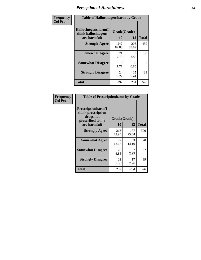| Frequency      | <b>Table of Hallucinogensharm by Grade</b>                 |                    |                       |                |
|----------------|------------------------------------------------------------|--------------------|-----------------------|----------------|
| <b>Col Pct</b> | Hallucinogensharm(I<br>think hallucinogens<br>are harmful) | Grade(Grade)<br>10 | 12                    | <b>Total</b>   |
|                | <b>Strongly Agree</b>                                      | 242<br>82.88       | 208<br>88.89          | 450            |
|                | <b>Somewhat Agree</b>                                      | 21<br>7.19         | 9<br>3.85             | 30             |
|                | <b>Somewhat Disagree</b>                                   | 5<br>1.71          | $\mathcal{L}$<br>0.85 | $\overline{7}$ |
|                | <b>Strongly Disagree</b>                                   | 24<br>8.22         | 15<br>6.41            | 39             |
|                | <b>Total</b>                                               | 292                | 234                   | 526            |

| <b>Table of Prescriptionharm by Grade</b>                                         |              |              |              |  |
|-----------------------------------------------------------------------------------|--------------|--------------|--------------|--|
| <b>Prescriptionharm(I)</b><br>think prescription<br>drugs not<br>prescribed to me | Grade(Grade) |              |              |  |
| are harmful)                                                                      | 10           | 12           | <b>Total</b> |  |
| <b>Strongly Agree</b>                                                             | 213<br>72.95 | 177<br>75.64 | 390          |  |
| <b>Somewhat Agree</b>                                                             | 37<br>12.67  | 33<br>14.10  | 70           |  |
| <b>Somewhat Disagree</b>                                                          | 20<br>6.85   | 2.99         | 27           |  |
| <b>Strongly Disagree</b>                                                          | 22<br>7.53   | 17<br>7.26   | 39           |  |
| <b>Total</b>                                                                      | 292          | 234          | 526          |  |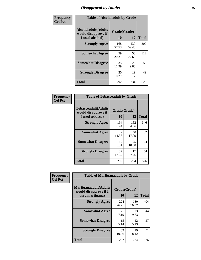# *Disapproval by Adults* **35**

| Frequency      | <b>Table of Alcoholadult by Grade</b>                         |                    |              |              |
|----------------|---------------------------------------------------------------|--------------------|--------------|--------------|
| <b>Col Pct</b> | Alcoholadult(Adults<br>would disapprove if<br>I used alcohol) | Grade(Grade)<br>10 | 12           | <b>Total</b> |
|                | <b>Strongly Agree</b>                                         | 168<br>57.53       | 139<br>59.40 | 307          |
|                | <b>Somewhat Agree</b>                                         | 59<br>20.21        | 53<br>22.65  | 112          |
|                | <b>Somewhat Disagree</b>                                      | 35<br>11.99        | 23<br>9.83   | 58           |
|                | <b>Strongly Disagree</b>                                      | 30<br>10.27        | 19<br>8.12   | 49           |
|                | <b>Total</b>                                                  | 292                | 234          | 526          |

|                                                                       | <b>Table of Tobaccoadult by Grade</b> |              |              |  |  |
|-----------------------------------------------------------------------|---------------------------------------|--------------|--------------|--|--|
| <b>Tobaccoadult</b> (Adults<br>would disapprove if<br>I used tobacco) | Grade(Grade)<br>10                    | 12           | <b>Total</b> |  |  |
| <b>Strongly Agree</b>                                                 | 194<br>66.44                          | 152<br>64.96 | 346          |  |  |
| <b>Somewhat Agree</b>                                                 | 42<br>14.38                           | 40<br>17.09  | 82           |  |  |
| <b>Somewhat Disagree</b>                                              | 19<br>6.51                            | 25<br>10.68  | 44           |  |  |
| <b>Strongly Disagree</b>                                              | 37<br>12.67                           | 17<br>7.26   | 54           |  |  |
| <b>Total</b>                                                          | 292                                   | 234          | 526          |  |  |

| Frequency<br><b>Col Pct</b> | <b>Table of Marijuanaadult by Grade</b>                           |                    |              |              |
|-----------------------------|-------------------------------------------------------------------|--------------------|--------------|--------------|
|                             | Marijuanaadult(Adults<br>would disapprove if I<br>used marijuana) | Grade(Grade)<br>10 | 12           | <b>Total</b> |
|                             | <b>Strongly Agree</b>                                             | 224<br>76.71       | 180<br>76.92 | 404          |
|                             | <b>Somewhat Agree</b>                                             | 21<br>7.19         | 23<br>9.83   | 44           |
|                             | <b>Somewhat Disagree</b>                                          | 15<br>5.14         | 12<br>5.13   | 27           |
|                             | <b>Strongly Disagree</b>                                          | 32<br>10.96        | 19<br>8.12   | 51           |
|                             | <b>Total</b>                                                      | 292                | 234          | 526          |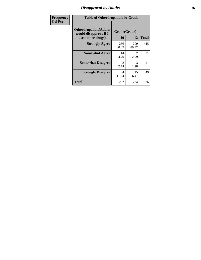# *Disapproval by Adults* **36**

| Frequency      | <b>Table of Otherdrugadult by Grade</b>                                     |                    |              |              |
|----------------|-----------------------------------------------------------------------------|--------------------|--------------|--------------|
| <b>Col Pct</b> | <b>Otherdrugadult</b> (Adults<br>would disapprove if I<br>used other drugs) | Grade(Grade)<br>10 | 12           | <b>Total</b> |
|                | <b>Strongly Agree</b>                                                       | 236<br>80.82       | 209<br>89.32 | 445          |
|                | <b>Somewhat Agree</b>                                                       | 14<br>4.79         | 2.99         | 21           |
|                | <b>Somewhat Disagree</b>                                                    | 8<br>2.74          | 3<br>1.28    | 11           |
|                | <b>Strongly Disagree</b>                                                    | 34<br>11.64        | 15<br>6.41   | 49           |
|                | <b>Total</b>                                                                | 292                | 234          | 526          |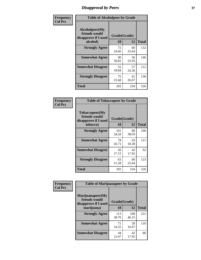# *Disapproval by Peers* **37**

| Frequency      | <b>Table of Alcoholpeer by Grade</b>                    |              |             |              |  |
|----------------|---------------------------------------------------------|--------------|-------------|--------------|--|
| <b>Col Pct</b> | Alcoholpeer(My<br>friends would<br>disapprove if I used | Grade(Grade) |             |              |  |
|                | alcohol)                                                | 10           | 12          | <b>Total</b> |  |
|                | <b>Strongly Agree</b>                                   | 72<br>24.66  | 60<br>25.64 | 132          |  |
|                | <b>Somewhat Agree</b>                                   | 90<br>30.82  | 56<br>23.93 | 146          |  |
|                | <b>Somewhat Disagree</b>                                | 55<br>18.84  | 57<br>24.36 | 112          |  |
|                | <b>Strongly Disagree</b>                                | 75<br>25.68  | 61<br>26.07 | 136          |  |
|                | Total                                                   | 292          | 234         | 526          |  |

| Frequency      | <b>Table of Tobaccopeer by Grade</b>                                |                    |             |              |
|----------------|---------------------------------------------------------------------|--------------------|-------------|--------------|
| <b>Col Pct</b> | Tobaccopeer(My<br>friends would<br>disapprove if I used<br>tobacco) | Grade(Grade)<br>10 | 12          | <b>Total</b> |
|                | <b>Strongly Agree</b>                                               | 101<br>34.59       | 89<br>38.03 | 190          |
|                | <b>Somewhat Agree</b>                                               | 78<br>26.71        | 43<br>18.38 | 121          |
|                | <b>Somewhat Disagree</b>                                            | 50<br>17.12        | 42<br>17.95 | 92           |
|                | <b>Strongly Disagree</b>                                            | 63<br>21.58        | 60<br>25.64 | 123          |
|                | <b>Total</b>                                                        | 292                | 234         | 526          |

| Frequency<br><b>Col Pct</b> | <b>Table of Marijuanapeer by Grade</b>                    |              |              |              |
|-----------------------------|-----------------------------------------------------------|--------------|--------------|--------------|
|                             | Marijuanapeer(My<br>friends would<br>disapprove if I used | Grade(Grade) |              |              |
|                             | marijuana)                                                | <b>10</b>    | 12           | <b>Total</b> |
|                             | <b>Strongly Agree</b>                                     | 113<br>38.70 | 108<br>46.15 | 221          |
|                             | <b>Somewhat Agree</b>                                     | 71<br>24.32  | 39<br>16.67  | 110          |
|                             | <b>Somewhat Disagree</b>                                  | 44<br>15.07  | 42<br>17.95  | 86           |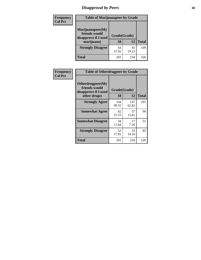# *Disapproval by Peers* **38**

| Frequency<br><b>Col Pct</b> | <b>Table of Marijuanapeer by Grade</b>                                  |                    |             |              |
|-----------------------------|-------------------------------------------------------------------------|--------------------|-------------|--------------|
|                             | Marijuanapeer(My<br>friends would<br>disapprove if I used<br>marijuana) | Grade(Grade)<br>10 | 12          | <b>Total</b> |
|                             | <b>Strongly Disagree</b>                                                | 64<br>21.92        | 45<br>19.23 | 109          |
|                             | Total                                                                   | 292                | 234         | 526          |

| Frequency      | <b>Table of Otherdrugpeer by Grade</b>                                    |                    |              |              |
|----------------|---------------------------------------------------------------------------|--------------------|--------------|--------------|
| <b>Col Pct</b> | Otherdrugpeer(My<br>friends would<br>disapprove if I used<br>other drugs) | Grade(Grade)<br>10 | 12           | <b>Total</b> |
|                | <b>Strongly Agree</b>                                                     | 144<br>49.32       | 147<br>62.82 | 291          |
|                | <b>Somewhat Agree</b>                                                     | 62<br>21.23        | 37<br>15.81  | 99           |
|                | <b>Somewhat Disagree</b>                                                  | 34<br>11.64        | 17<br>7.26   | 51           |
|                | <b>Strongly Disagree</b>                                                  | 52<br>17.81        | 33<br>14.10  | 85           |
|                | Total                                                                     | 292                | 234          | 526          |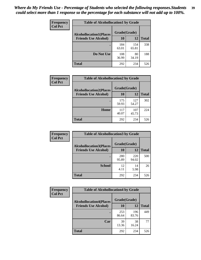| Frequency      | <b>Table of Alcohollocation1 by Grade</b> |              |              |              |
|----------------|-------------------------------------------|--------------|--------------|--------------|
| <b>Col Pct</b> | <b>Alcohollocation1(Places</b>            | Grade(Grade) |              |              |
|                | <b>Friends Use Alcohol)</b>               | 10           | 12           | <b>Total</b> |
|                |                                           | 184<br>63.01 | 154<br>65.81 | 338          |
|                | Do Not Use                                | 108<br>36.99 | 80<br>34.19  | 188          |
|                | <b>Total</b>                              | 292          | 234          | 526          |

| <b>Frequency</b> | <b>Table of Alcohollocation2 by Grade</b>                     |                    |              |              |
|------------------|---------------------------------------------------------------|--------------------|--------------|--------------|
| <b>Col Pct</b>   | <b>Alcohollocation2(Places</b><br><b>Friends Use Alcohol)</b> | Grade(Grade)<br>10 | 12           | <b>Total</b> |
|                  |                                                               | 175<br>59.93       | 127<br>54.27 | 302          |
|                  | Home                                                          | 117<br>40.07       | 107<br>45.73 | 224          |
|                  | <b>Total</b>                                                  | 292                | 234          | 526          |

| Frequency<br><b>Col Pct</b> | <b>Table of Alcohollocation 3 by Grade</b>                    |                    |              |              |
|-----------------------------|---------------------------------------------------------------|--------------------|--------------|--------------|
|                             | <b>Alcohollocation3(Places</b><br><b>Friends Use Alcohol)</b> | Grade(Grade)<br>10 | 12           | <b>Total</b> |
|                             |                                                               | 280<br>95.89       | 220<br>94.02 | 500          |
|                             | <b>School</b>                                                 | 12<br>4.11         | 14<br>5.98   | 26           |
|                             | <b>Total</b>                                                  | 292                | 234          | 526          |

| <b>Frequency</b> | <b>Table of Alcohollocation4 by Grade</b> |              |              |              |  |
|------------------|-------------------------------------------|--------------|--------------|--------------|--|
| <b>Col Pct</b>   | <b>Alcohollocation4(Places</b>            | Grade(Grade) |              |              |  |
|                  | <b>Friends Use Alcohol)</b>               | 10           | 12           | <b>Total</b> |  |
|                  |                                           | 253<br>86.64 | 196<br>83.76 | 449          |  |
|                  | Car                                       | 39<br>13.36  | 38<br>16.24  | 77           |  |
|                  | <b>Total</b>                              | 292          | 234          | 526          |  |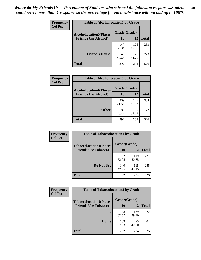| Frequency<br><b>Col Pct</b> | <b>Table of Alcohollocation5 by Grade</b> |              |              |              |
|-----------------------------|-------------------------------------------|--------------|--------------|--------------|
|                             | <b>Alcohollocation5(Places</b>            | Grade(Grade) |              |              |
|                             | <b>Friends Use Alcohol)</b>               | 10           | 12           | <b>Total</b> |
|                             |                                           | 147<br>50.34 | 106<br>45.30 | 253          |
|                             | <b>Friend's House</b>                     | 145<br>49.66 | 128<br>54.70 | 273          |
|                             | <b>Total</b>                              | 292          | 234          | 526          |

| <b>Frequency</b> | <b>Table of Alcohollocation6 by Grade</b>                     |              |              |              |
|------------------|---------------------------------------------------------------|--------------|--------------|--------------|
| <b>Col Pct</b>   | <b>Alcohollocation6(Places</b><br><b>Friends Use Alcohol)</b> | Grade(Grade) |              |              |
|                  |                                                               | 10           | 12           | <b>Total</b> |
|                  |                                                               | 209<br>71.58 | 145<br>61.97 | 354          |
|                  | <b>Other</b>                                                  | 83<br>28.42  | 89<br>38.03  | 172          |
|                  | <b>Total</b>                                                  | 292          | 234          | 526          |

| Frequency      | <b>Table of Tobaccolocation1 by Grade</b> |              |              |              |
|----------------|-------------------------------------------|--------------|--------------|--------------|
| <b>Col Pct</b> | <b>Tobaccolocation1(Places</b>            | Grade(Grade) |              |              |
|                | <b>Friends Use Tobacco)</b>               | 10           | 12           | <b>Total</b> |
|                |                                           | 152<br>52.05 | 119<br>50.85 | 271          |
|                | Do Not Use                                | 140<br>47.95 | 115<br>49.15 | 255          |
|                | <b>Total</b>                              | 292          | 234          | 526          |

| <b>Frequency</b><br><b>Col Pct</b> | <b>Table of Tobaccolocation2 by Grade</b> |              |              |              |
|------------------------------------|-------------------------------------------|--------------|--------------|--------------|
|                                    | <b>Tobaccolocation2(Places</b>            | Grade(Grade) |              |              |
|                                    | <b>Friends Use Tobacco)</b>               | 10           | 12           | <b>Total</b> |
|                                    |                                           | 183<br>62.67 | 139<br>59.40 | 322          |
|                                    | Home                                      | 109<br>37.33 | 95<br>40.60  | 204          |
|                                    | <b>Total</b>                              | 292          | 234          | 526          |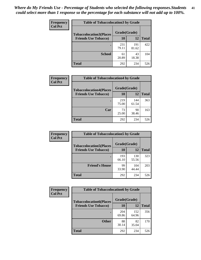| Frequency      | <b>Table of Tobaccolocation 3 by Grade</b> |              |              |              |  |
|----------------|--------------------------------------------|--------------|--------------|--------------|--|
| <b>Col Pct</b> | <b>Tobaccolocation3(Places</b>             | Grade(Grade) |              |              |  |
|                | <b>Friends Use Tobacco)</b>                | 10           | 12           | <b>Total</b> |  |
|                |                                            | 231<br>79.11 | 191<br>81.62 | 422          |  |
|                | <b>School</b>                              | 61<br>20.89  | 43<br>18.38  | 104          |  |
|                | <b>Total</b>                               | 292          | 234          | 526          |  |

| <b>Frequency</b> | <b>Table of Tobaccolocation4 by Grade</b> |              |              |              |
|------------------|-------------------------------------------|--------------|--------------|--------------|
| <b>Col Pct</b>   | <b>Tobaccolocation4(Places</b>            | Grade(Grade) |              |              |
|                  | <b>Friends Use Tobacco)</b>               | 10           | 12           | <b>Total</b> |
|                  |                                           | 219<br>75.00 | 144<br>61.54 | 363          |
|                  | Car                                       | 73<br>25.00  | 90<br>38.46  | 163          |
|                  | <b>Total</b>                              | 292          | 234          | 526          |

| Frequency      | <b>Table of Tobaccolocation5 by Grade</b> |              |              |              |
|----------------|-------------------------------------------|--------------|--------------|--------------|
| <b>Col Pct</b> | <b>Tobaccolocation5(Places</b>            | Grade(Grade) |              |              |
|                | <b>Friends Use Tobacco)</b>               | 10           | 12           | <b>Total</b> |
|                |                                           | 193<br>66.10 | 130<br>55.56 | 323          |
|                | <b>Friend's House</b>                     | 99<br>33.90  | 104<br>44.44 | 203          |
|                | <b>Total</b>                              | 292          | 234          | 526          |

| <b>Frequency</b> | <b>Table of Tobaccolocation6 by Grade</b> |              |              |              |
|------------------|-------------------------------------------|--------------|--------------|--------------|
| <b>Col Pct</b>   | <b>Tobaccolocation6(Places</b>            | Grade(Grade) |              |              |
|                  | <b>Friends Use Tobacco)</b>               | 10           | 12           | <b>Total</b> |
|                  |                                           | 204<br>69.86 | 152<br>64.96 | 356          |
|                  | <b>Other</b>                              | 88<br>30.14  | 82<br>35.04  | 170          |
|                  | <b>Total</b>                              | 292          | 234          | 526          |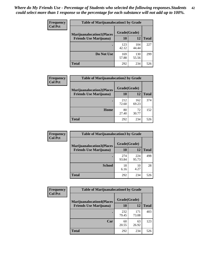| <b>Frequency</b> | <b>Table of Marijuanalocation1 by Grade</b> |              |              |              |
|------------------|---------------------------------------------|--------------|--------------|--------------|
| <b>Col Pct</b>   | <b>Marijuanalocation1(Places</b>            | Grade(Grade) |              |              |
|                  | <b>Friends Use Marijuana</b> )              | 10           | 12           | <b>Total</b> |
|                  |                                             | 123<br>42.12 | 104<br>44.44 | 227          |
|                  | Do Not Use                                  | 169<br>57.88 | 130<br>55.56 | 299          |
|                  | <b>Total</b>                                | 292          | 234          | 526          |

| <b>Frequency</b> | <b>Table of Marijuanalocation2 by Grade</b> |              |              |              |
|------------------|---------------------------------------------|--------------|--------------|--------------|
| <b>Col Pct</b>   | <b>Marijuanalocation2(Places</b>            | Grade(Grade) |              |              |
|                  | <b>Friends Use Marijuana</b> )              | 10           | 12           | <b>Total</b> |
|                  |                                             | 212<br>72.60 | 162<br>69.23 | 374          |
|                  | Home                                        | 80<br>27.40  | 72<br>30.77  | 152          |
|                  | <b>Total</b>                                | 292          | 234          | 526          |

| <b>Frequency</b> | <b>Table of Marijuanalocation3 by Grade</b> |              |              |              |
|------------------|---------------------------------------------|--------------|--------------|--------------|
| <b>Col Pct</b>   | <b>Marijuanalocation3</b> (Places           | Grade(Grade) |              |              |
|                  | <b>Friends Use Marijuana</b> )              | 10           | 12           | <b>Total</b> |
|                  |                                             | 274<br>93.84 | 224<br>95.73 | 498          |
|                  | <b>School</b>                               | 18<br>6.16   | 10<br>4.27   | 28           |
|                  | <b>Total</b>                                | 292          | 234          | 526          |

| <b>Frequency</b> | <b>Table of Marijuanalocation4 by Grade</b> |              |              |              |  |
|------------------|---------------------------------------------|--------------|--------------|--------------|--|
| <b>Col Pct</b>   | <b>Marijuanalocation4(Places</b>            | Grade(Grade) |              |              |  |
|                  | <b>Friends Use Marijuana</b> )              | 10           | 12           | <b>Total</b> |  |
|                  |                                             | 232<br>79.45 | 171<br>73.08 | 403          |  |
|                  | Car                                         | 60<br>20.55  | 63<br>26.92  | 123          |  |
|                  | <b>Total</b>                                | 292          | 234          | 526          |  |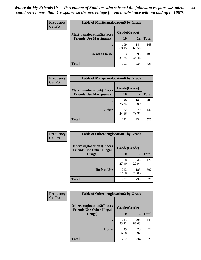| <b>Frequency</b> | <b>Table of Marijuanalocation5 by Grade</b> |              |              |              |
|------------------|---------------------------------------------|--------------|--------------|--------------|
| <b>Col Pct</b>   | <b>Marijuanalocation5</b> (Places           | Grade(Grade) |              |              |
|                  | <b>Friends Use Marijuana</b> )              | 10           | 12           | <b>Total</b> |
|                  |                                             | 199<br>68.15 | 144<br>61.54 | 343          |
|                  | <b>Friend's House</b>                       | 93<br>31.85  | 90<br>38.46  | 183          |
|                  | <b>Total</b>                                | 292          | 234          | 526          |

| <b>Frequency</b> | <b>Table of Marijuanalocation6 by Grade</b>                        |                    |              |              |
|------------------|--------------------------------------------------------------------|--------------------|--------------|--------------|
| <b>Col Pct</b>   | <b>Marijuanalocation6(Places</b><br><b>Friends Use Marijuana</b> ) | Grade(Grade)<br>10 | 12           | <b>Total</b> |
|                  |                                                                    | 220<br>75.34       | 164<br>70.09 | 384          |
|                  | <b>Other</b>                                                       | 72<br>24.66        | 70<br>29.91  | 142          |
|                  | <b>Total</b>                                                       | 292                | 234          | 526          |

| Frequency      | <b>Table of Otherdruglocation1 by Grade</b>                          |              |              |              |
|----------------|----------------------------------------------------------------------|--------------|--------------|--------------|
| <b>Col Pct</b> | <b>Otherdruglocation1(Places</b><br><b>Friends Use Other Illegal</b> | Grade(Grade) |              |              |
|                | Drugs)                                                               | 10           | 12           | <b>Total</b> |
|                |                                                                      | 80<br>27.40  | 49<br>20.94  | 129          |
|                | Do Not Use                                                           | 212<br>72.60 | 185<br>79.06 | 397          |
|                | <b>Total</b>                                                         | 292          | 234          | 526          |

| Frequency      | <b>Table of Otherdruglocation2 by Grade</b>                          |              |              |              |
|----------------|----------------------------------------------------------------------|--------------|--------------|--------------|
| <b>Col Pct</b> | <b>Otherdruglocation2(Places</b><br><b>Friends Use Other Illegal</b> | Grade(Grade) |              |              |
|                | Drugs)                                                               | 10           | 12           | <b>Total</b> |
|                |                                                                      | 243<br>83.22 | 206<br>88.03 | 449          |
|                | Home                                                                 | 49<br>16.78  | 28<br>11.97  | 77           |
|                | <b>Total</b>                                                         | 292          | 234          | 526          |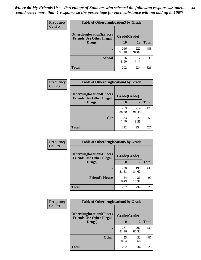| <b>Frequency</b> | <b>Table of Otherdruglocation 3 by Grade</b>                         |              |              |              |
|------------------|----------------------------------------------------------------------|--------------|--------------|--------------|
| <b>Col Pct</b>   | <b>Otherdruglocation3(Places</b><br><b>Friends Use Other Illegal</b> | Grade(Grade) |              |              |
|                  | Drugs)                                                               | 10           | 12           | <b>Total</b> |
|                  |                                                                      | 266<br>91.10 | 222<br>94.87 | 488          |
|                  | <b>School</b>                                                        | 26<br>8.90   | 12<br>5.13   | 38           |
|                  | <b>Total</b>                                                         | 292          | 234          | 526          |

| <b>Frequency</b> | <b>Table of Otherdruglocation4 by Grade</b>                          |              |              |              |
|------------------|----------------------------------------------------------------------|--------------|--------------|--------------|
| <b>Col Pct</b>   | <b>Otherdruglocation4(Places</b><br><b>Friends Use Other Illegal</b> | Grade(Grade) |              |              |
|                  | Drugs)                                                               | 10           | 12           | <b>Total</b> |
|                  |                                                                      | 259<br>88.70 | 214<br>91.45 | 473          |
|                  | Car                                                                  | 33<br>11.30  | 20<br>8.55   | 53           |
|                  | <b>Total</b>                                                         | 292          | 234          | 526          |

| Frequency      | <b>Table of Otherdruglocation5 by Grade</b>                          |              |              |              |
|----------------|----------------------------------------------------------------------|--------------|--------------|--------------|
| <b>Col Pct</b> | <b>Otherdruglocation5(Places</b><br><b>Friends Use Other Illegal</b> | Grade(Grade) |              |              |
|                | Drugs)                                                               | 10           | 12           | <b>Total</b> |
|                |                                                                      | 238<br>81.51 | 198<br>84.62 | 436          |
|                | <b>Friend's House</b>                                                | 54<br>18.49  | 36<br>15.38  | 90           |
|                | <b>Total</b>                                                         | 292          | 234          | 526          |

| <b>Frequency</b> | <b>Table of Otherdruglocation6 by Grade</b>                           |              |              |              |
|------------------|-----------------------------------------------------------------------|--------------|--------------|--------------|
| <b>Col Pct</b>   | <b>Otherdruglocation6(Places)</b><br><b>Friends Use Other Illegal</b> | Grade(Grade) |              |              |
|                  | Drugs)                                                                | 10           | 12           | <b>Total</b> |
|                  |                                                                       | 237<br>81.16 | 202<br>86.32 | 439          |
|                  | <b>Other</b>                                                          | 55<br>18.84  | 32<br>13.68  | 87           |
|                  | <b>Total</b>                                                          | 292          | 234          | 526          |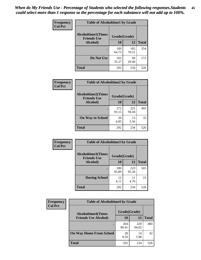| Frequency      | <b>Table of Alcoholtime1 by Grade</b>           |              |              |              |
|----------------|-------------------------------------------------|--------------|--------------|--------------|
| <b>Col Pct</b> | <b>Alcoholtime1(Times</b><br><b>Friends Use</b> | Grade(Grade) |              |              |
|                | Alcohol)                                        | 10           | 12           | <b>Total</b> |
|                |                                                 | 189<br>64.73 | 165<br>70.51 | 354          |
|                | Do Not Use                                      | 103<br>35.27 | 69<br>29.49  | 172          |
|                | <b>Total</b>                                    | 292          | 234          | 526          |

| Frequency      | <b>Table of Alcoholtime2 by Grade</b>           |              |              |              |
|----------------|-------------------------------------------------|--------------|--------------|--------------|
| <b>Col Pct</b> | <b>Alcoholtime2(Times</b><br><b>Friends Use</b> | Grade(Grade) |              |              |
|                | Alcohol)                                        | 10           | 12           | <b>Total</b> |
|                |                                                 | 272<br>93.15 | 221<br>94.44 | 493          |
|                | <b>On Way to School</b>                         | 20<br>6.85   | 13<br>5.56   | 33           |
|                | <b>Total</b>                                    | 292          | 234          | 526          |

| Frequency<br>Col Pct | <b>Table of Alcoholtime3 by Grade</b>                    |              |              |              |
|----------------------|----------------------------------------------------------|--------------|--------------|--------------|
|                      | Alcoholtime3(Times<br>Grade(Grade)<br><b>Friends Use</b> |              |              |              |
|                      | Alcohol)                                                 | 10           | 12           | <b>Total</b> |
|                      |                                                          | 280<br>95.89 | 223<br>95.30 | 503          |
|                      | <b>During School</b>                                     | 12<br>4.11   | 11<br>4.70   | 23           |
|                      | Total                                                    | 292          | 234          | 526          |

| <b>Frequency</b><br><b>Col Pct</b> | <b>Table of Alcoholtime4 by Grade</b> |              |              |              |
|------------------------------------|---------------------------------------|--------------|--------------|--------------|
|                                    | <b>Alcoholtime4(Times</b>             | Grade(Grade) |              |              |
|                                    | <b>Friends Use Alcohol)</b>           | 10           | 12           | <b>Total</b> |
|                                    |                                       | 264<br>90.41 | 220<br>94.02 | 484          |
|                                    | <b>On Way Home From School</b>        | 28<br>9.59   | 14<br>5.98   | 42           |
|                                    | <b>Total</b>                          | 292          | 234          | 526          |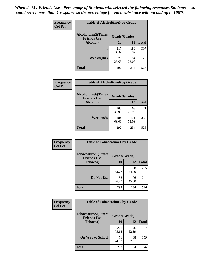*When do My Friends Use - Percentage of Students who selected the following responses.Students could select more than 1 response so the percentage for each substance will not add up to 100%.* **46**

| Frequency      | <b>Table of Alcoholtime5 by Grade</b>           |              |              |              |
|----------------|-------------------------------------------------|--------------|--------------|--------------|
| <b>Col Pct</b> | <b>Alcoholtime5(Times</b><br><b>Friends Use</b> | Grade(Grade) |              |              |
|                | <b>Alcohol</b> )                                | 10           | 12           | <b>Total</b> |
|                |                                                 | 217<br>74.32 | 180<br>76.92 | 397          |
|                | Weeknights                                      | 75<br>25.68  | 54<br>23.08  | 129          |
|                | <b>Total</b>                                    | 292          | 234          | 526          |

| Frequency      | <b>Table of Alcoholtime6 by Grade</b>           |              |              |              |
|----------------|-------------------------------------------------|--------------|--------------|--------------|
| <b>Col Pct</b> | <b>Alcoholtime6(Times</b><br><b>Friends Use</b> | Grade(Grade) |              |              |
|                | Alcohol)                                        | 10           | 12           | <b>Total</b> |
|                | ٠                                               | 108<br>36.99 | 63<br>26.92  | 171          |
|                | Weekends                                        | 184<br>63.01 | 171<br>73.08 | 355          |
|                | <b>Total</b>                                    | 292          | 234          | 526          |

| Frequency      | <b>Table of Tobaccotime1 by Grade</b>           |              |              |              |
|----------------|-------------------------------------------------|--------------|--------------|--------------|
| <b>Col Pct</b> | <b>Tobaccotime1(Times</b><br><b>Friends Use</b> | Grade(Grade) |              |              |
|                | <b>Tobacco</b> )                                | 10           | 12           | <b>Total</b> |
|                |                                                 | 157<br>53.77 | 128<br>54.70 | 285          |
|                | Do Not Use                                      | 135<br>46.23 | 106<br>45.30 | 241          |
|                | <b>Total</b>                                    | 292          | 234          | 526          |

| <b>Frequency</b> | <b>Table of Tobaccotime2 by Grade</b>           |              |              |              |
|------------------|-------------------------------------------------|--------------|--------------|--------------|
| <b>Col Pct</b>   | <b>Tobaccotime2(Times</b><br><b>Friends Use</b> | Grade(Grade) |              |              |
|                  | <b>Tobacco</b> )                                | 10           | 12           | <b>Total</b> |
|                  |                                                 | 221<br>75.68 | 146<br>62.39 | 367          |
|                  | <b>On Way to School</b>                         | 71<br>24.32  | 88<br>37.61  | 159          |
|                  | <b>Total</b>                                    | 292          | 234          | 526          |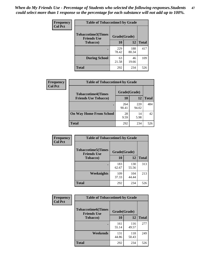*When do My Friends Use - Percentage of Students who selected the following responses.Students could select more than 1 response so the percentage for each substance will not add up to 100%.* **47**

| <b>Frequency</b> | <b>Table of Tobaccotime3 by Grade</b>           |              |              |              |
|------------------|-------------------------------------------------|--------------|--------------|--------------|
| <b>Col Pct</b>   | <b>Tobaccotime3(Times</b><br><b>Friends Use</b> |              | Grade(Grade) |              |
|                  | Tobacco)                                        | 10           | 12           | <b>Total</b> |
|                  |                                                 | 229<br>78.42 | 188<br>80.34 | 417          |
|                  | <b>During School</b>                            | 63<br>21.58  | 46<br>19.66  | 109          |
|                  | Total                                           | 292          | 234          | 526          |

| <b>Frequency</b><br><b>Col Pct</b> | <b>Table of Tobaccotime4 by Grade</b> |              |              |              |
|------------------------------------|---------------------------------------|--------------|--------------|--------------|
|                                    | <b>Tobaccotime4(Times</b>             | Grade(Grade) |              |              |
|                                    | <b>Friends Use Tobacco)</b>           | 10           | 12           | <b>Total</b> |
|                                    |                                       | 264<br>90.41 | 220<br>94.02 | 484          |
|                                    | <b>On Way Home From School</b>        | 28<br>9.59   | 14<br>5.98   | 42           |
|                                    | <b>Total</b>                          | 292          | 234          | 526          |

| <b>Frequency</b> | <b>Table of Tobaccotime5 by Grade</b>           |              |              |              |
|------------------|-------------------------------------------------|--------------|--------------|--------------|
| <b>Col Pct</b>   | <b>Tobaccotime5(Times</b><br><b>Friends Use</b> | Grade(Grade) |              |              |
|                  | <b>Tobacco</b> )                                | 10           | 12           | <b>Total</b> |
|                  |                                                 | 183<br>62.67 | 130<br>55.56 | 313          |
|                  | Weeknights                                      | 109<br>37.33 | 104<br>44.44 | 213          |
|                  | <b>Total</b>                                    | 292          | 234          | 526          |

| Frequency      | <b>Table of Tobaccotime6 by Grade</b>           |              |              |              |
|----------------|-------------------------------------------------|--------------|--------------|--------------|
| <b>Col Pct</b> | <b>Tobaccotime6(Times</b><br><b>Friends Use</b> | Grade(Grade) |              |              |
|                | <b>Tobacco</b> )                                | 10           | 12           | <b>Total</b> |
|                |                                                 | 161<br>55.14 | 116<br>49.57 | 277          |
|                | Weekends                                        | 131<br>44.86 | 118<br>50.43 | 249          |
|                | <b>Total</b>                                    | 292          | 234          | 526          |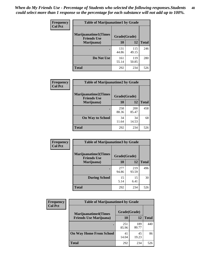| Frequency      | <b>Table of Marijuanatime1 by Grade</b>           |              |              |              |
|----------------|---------------------------------------------------|--------------|--------------|--------------|
| <b>Col Pct</b> | <b>Marijuanatime1(Times</b><br><b>Friends Use</b> | Grade(Grade) |              |              |
|                | Marijuana)                                        | 10           | 12           | <b>Total</b> |
|                |                                                   | 131<br>44.86 | 115<br>49.15 | 246          |
|                | Do Not Use                                        | 161<br>55.14 | 119<br>50.85 | 280          |
|                | <b>Total</b>                                      | 292          | 234          | 526          |

| <b>Frequency</b> | <b>Table of Marijuanatime2 by Grade</b>           |              |              |              |
|------------------|---------------------------------------------------|--------------|--------------|--------------|
| <b>Col Pct</b>   | <b>Marijuanatime2(Times</b><br><b>Friends Use</b> | Grade(Grade) |              |              |
|                  | Marijuana)                                        | 10           | 12           | <b>Total</b> |
|                  |                                                   | 258<br>88.36 | 200<br>85.47 | 458          |
|                  | <b>On Way to School</b>                           | 34<br>11.64  | 34<br>14.53  | 68           |
|                  | <b>Total</b>                                      | 292          | 234          | 526          |

| Frequency      | <b>Table of Marijuanatime3 by Grade</b>    |              |              |              |
|----------------|--------------------------------------------|--------------|--------------|--------------|
| <b>Col Pct</b> | Marijuanatime3(Times<br><b>Friends Use</b> | Grade(Grade) |              |              |
|                | Marijuana)                                 | 10           | 12           | <b>Total</b> |
|                |                                            | 277<br>94.86 | 219<br>93.59 | 496          |
|                | <b>During School</b>                       | 15<br>5.14   | 15<br>6.41   | 30           |
|                | <b>Total</b>                               | 292          | 234          | 526          |

| <b>Frequency</b> | <b>Table of Marijuanatime4 by Grade</b> |              |              |              |
|------------------|-----------------------------------------|--------------|--------------|--------------|
| <b>Col Pct</b>   | <b>Marijuanatime4</b> (Times            | Grade(Grade) |              |              |
|                  | <b>Friends Use Marijuana</b> )          | 10           | 12           | <b>Total</b> |
|                  |                                         | 251<br>85.96 | 189<br>80.77 | 440          |
|                  | <b>On Way Home From School</b>          | 41<br>14.04  | 45<br>19.23  | 86           |
|                  | <b>Total</b>                            | 292          | 234          | 526          |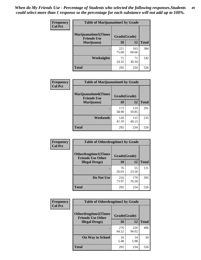| Frequency      | <b>Table of Marijuanatime5 by Grade</b>            |              |              |              |
|----------------|----------------------------------------------------|--------------|--------------|--------------|
| <b>Col Pct</b> | <b>Marijuanatime5</b> (Times<br><b>Friends Use</b> | Grade(Grade) |              |              |
|                | Marijuana)                                         | 10           | 12           | <b>Total</b> |
|                |                                                    | 221<br>75.68 | 163<br>69.66 | 384          |
|                | Weeknights                                         | 71<br>24.32  | 71<br>30.34  | 142          |
|                | <b>Total</b>                                       | 292          | 234          | 526          |

| <b>Frequency</b> | <b>Table of Marijuanatime6 by Grade</b>    |              |              |              |
|------------------|--------------------------------------------|--------------|--------------|--------------|
| <b>Col Pct</b>   | Marijuanatime6(Times<br><b>Friends Use</b> | Grade(Grade) |              |              |
|                  | Marijuana)                                 | 10           | 12           | <b>Total</b> |
|                  |                                            | 172<br>58.90 | 119<br>50.85 | 291          |
|                  | Weekends                                   | 120<br>41.10 | 115<br>49.15 | 235          |
|                  | <b>Total</b>                               | 292          | 234          | 526          |

| Frequency<br><b>Col Pct</b> | <b>Table of Otherdrugtime1 by Grade</b>                 |              |              |              |
|-----------------------------|---------------------------------------------------------|--------------|--------------|--------------|
|                             | <b>Otherdrugtime1(Times</b><br><b>Friends Use Other</b> | Grade(Grade) |              |              |
|                             | <b>Illegal Drugs</b> )                                  | 10           | 12           | <b>Total</b> |
|                             |                                                         | 76<br>26.03  | 55<br>23.50  | 131          |
|                             | Do Not Use                                              | 216<br>73.97 | 179<br>76.50 | 395          |
|                             | Total                                                   | 292          | 234          | 526          |

| <b>Frequency</b> | <b>Table of Otherdrugtime2 by Grade</b>                 |              |              |              |  |  |
|------------------|---------------------------------------------------------|--------------|--------------|--------------|--|--|
| <b>Col Pct</b>   | <b>Otherdrugtime2(Times</b><br><b>Friends Use Other</b> | Grade(Grade) |              |              |  |  |
|                  | <b>Illegal Drugs</b> )                                  | 10           | 12           | <b>Total</b> |  |  |
|                  |                                                         | 276<br>94.52 | 220<br>94.02 | 496          |  |  |
|                  | <b>On Way to School</b>                                 | 16<br>5.48   | 14<br>5.98   | 30           |  |  |
|                  | Total                                                   | 292          | 234          | 526          |  |  |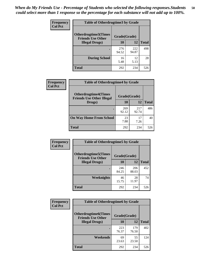| <b>Frequency</b> | <b>Table of Otherdrugtime3 by Grade</b>          |              |              |              |  |  |
|------------------|--------------------------------------------------|--------------|--------------|--------------|--|--|
| <b>Col Pct</b>   | Otherdrugtime3(Times<br><b>Friends Use Other</b> | Grade(Grade) |              |              |  |  |
|                  | <b>Illegal Drugs</b> )                           | 10           | 12           | <b>Total</b> |  |  |
|                  |                                                  | 276<br>94.52 | 222<br>94.87 | 498          |  |  |
|                  | <b>During School</b>                             | 16<br>5.48   | 12<br>5.13   | 28           |  |  |
|                  | <b>Total</b>                                     | 292          | 234          | 526          |  |  |

| Frequency      | <b>Table of Otherdrugtime4 by Grade</b>                         |              |              |              |  |  |  |
|----------------|-----------------------------------------------------------------|--------------|--------------|--------------|--|--|--|
| <b>Col Pct</b> | <b>Otherdrugtime4(Times</b><br><b>Friends Use Other Illegal</b> | Grade(Grade) |              |              |  |  |  |
|                | Drugs)                                                          | 10           | 12           | <b>Total</b> |  |  |  |
|                |                                                                 | 269<br>92.12 | 217<br>92.74 | 486          |  |  |  |
|                | <b>On Way Home From School</b>                                  | 23<br>7.88   | 17<br>7.26   | 40           |  |  |  |
|                | <b>Total</b>                                                    | 292          | 234          | 526          |  |  |  |

| <b>Frequency</b><br><b>Col Pct</b> | <b>Table of Otherdrugtime5 by Grade</b>                  |              |              |              |  |  |
|------------------------------------|----------------------------------------------------------|--------------|--------------|--------------|--|--|
|                                    | <b>Otherdrugtime5</b> (Times<br><b>Friends Use Other</b> | Grade(Grade) |              |              |  |  |
|                                    | <b>Illegal Drugs</b> )                                   |              | 12           | <b>Total</b> |  |  |
|                                    |                                                          | 246<br>84.25 | 206<br>88.03 | 452          |  |  |
|                                    | <b>Weeknights</b>                                        | 46<br>15.75  | 28<br>11.97  | 74           |  |  |
|                                    | Total                                                    | 292          | 234          | 526          |  |  |

| <b>Frequency</b> | <b>Table of Otherdrugtime6 by Grade</b>                 |              |              |              |  |  |
|------------------|---------------------------------------------------------|--------------|--------------|--------------|--|--|
| <b>Col Pct</b>   | <b>Otherdrugtime6(Times</b><br><b>Friends Use Other</b> | Grade(Grade) |              |              |  |  |
|                  | <b>Illegal Drugs</b> )                                  | 10           | 12           | <b>Total</b> |  |  |
|                  | ٠                                                       | 223<br>76.37 | 179<br>76.50 | 402          |  |  |
|                  | Weekends                                                | 69<br>23.63  | 55<br>23.50  | 124          |  |  |
|                  | <b>Total</b>                                            | 292          | 234          | 526          |  |  |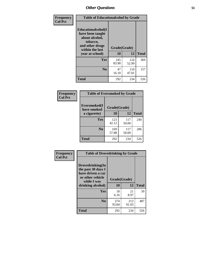| Frequency      | <b>Table of Educationalcohol by Grade</b>                                                                  |              |              |              |  |  |
|----------------|------------------------------------------------------------------------------------------------------------|--------------|--------------|--------------|--|--|
| <b>Col Pct</b> | Educationalcohol(I<br>have been taught<br>about alcohol,<br>tobacco,<br>and other drugs<br>within the last | Grade(Grade) |              |              |  |  |
|                | year at school)                                                                                            | 10           | 12           | <b>Total</b> |  |  |
|                | Yes                                                                                                        | 245<br>83.90 | 124<br>52.99 | 369          |  |  |
|                | N <sub>0</sub>                                                                                             | 47<br>16.10  | 110<br>47.01 | 157          |  |  |
|                | <b>Total</b>                                                                                               | 292          | 234          | 526          |  |  |

| Frequency      | <b>Table of Eversmoked by Grade</b> |              |              |              |  |  |  |
|----------------|-------------------------------------|--------------|--------------|--------------|--|--|--|
| <b>Col Pct</b> | Eversmoked(I<br>have smoked         | Grade(Grade) |              |              |  |  |  |
|                | a cigarette)                        | 10           | 12           | <b>Total</b> |  |  |  |
|                | Yes                                 | 123<br>42.12 | 117<br>50.00 | 240          |  |  |  |
|                | N <sub>0</sub>                      | 169<br>57.88 | 117<br>50.00 | 286          |  |  |  |
|                | <b>Total</b>                        | 292          | 234          | 526          |  |  |  |

| Frequency<br><b>Col Pct</b> | <b>Table of Drovedrinking by Grade</b>                                                                              |                    |              |              |  |  |  |
|-----------------------------|---------------------------------------------------------------------------------------------------------------------|--------------------|--------------|--------------|--|--|--|
|                             | Drovedrinking(In<br>the past 30 days I<br>have driven a car<br>or other vehicle<br>while I was<br>drinking alcohol) | Grade(Grade)<br>10 | 12           | <b>Total</b> |  |  |  |
|                             | <b>Yes</b>                                                                                                          | 18<br>6.16         | 21<br>8.97   | 39           |  |  |  |
|                             | N <sub>0</sub>                                                                                                      | 274<br>93.84       | 213<br>91.03 | 487          |  |  |  |
|                             | <b>Total</b>                                                                                                        | 292                | 234          | 526          |  |  |  |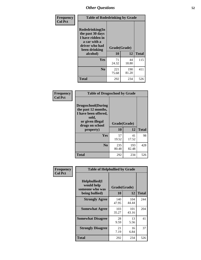| Frequency<br><b>Col Pct</b> | <b>Table of Rodedrinking by Grade</b>                                                                             |              |              |              |  |  |  |
|-----------------------------|-------------------------------------------------------------------------------------------------------------------|--------------|--------------|--------------|--|--|--|
|                             | <b>Rodedrinking(In</b><br>the past 30 days<br>I have ridden in<br>a car with a<br>driver who had<br>been drinking | Grade(Grade) |              |              |  |  |  |
|                             | alcohol)                                                                                                          | 10           | 12           | <b>Total</b> |  |  |  |
|                             | <b>Yes</b>                                                                                                        | 71<br>24.32  | 44<br>18.80  | 115          |  |  |  |
|                             | N <sub>0</sub>                                                                                                    | 221<br>75.68 | 190<br>81.20 | 411          |  |  |  |
|                             | <b>Total</b>                                                                                                      | 292          | 234          | 526          |  |  |  |

#### **Frequency Col Pct**

| <b>Table of Drugsschool by Grade</b>                                                                                      |              |       |              |  |  |  |
|---------------------------------------------------------------------------------------------------------------------------|--------------|-------|--------------|--|--|--|
| <b>Drugsschool</b> (During<br>the past 12 months,<br>I have been offered,<br>sold,<br>or given illegal<br>drugs on school | Grade(Grade) |       |              |  |  |  |
| property)                                                                                                                 | 10           | 12    | <b>Total</b> |  |  |  |
|                                                                                                                           |              |       |              |  |  |  |
| <b>Yes</b>                                                                                                                | 57           | 41    | 98           |  |  |  |
|                                                                                                                           | 19.52        | 17.52 |              |  |  |  |
| $\bf No$                                                                                                                  | 235          | 193   | 428          |  |  |  |
|                                                                                                                           | 80.48        | 82.48 |              |  |  |  |

| Frequency      | <b>Table of Helpbullied by Grade</b>                 |                    |              |              |  |  |  |  |
|----------------|------------------------------------------------------|--------------------|--------------|--------------|--|--|--|--|
| <b>Col Pct</b> | $Helpb$ ullied $(I$<br>would help<br>someone who was | Grade(Grade)<br>10 | 12           | <b>Total</b> |  |  |  |  |
|                | being bullied)                                       |                    |              |              |  |  |  |  |
|                | <b>Strongly Agree</b>                                | 140<br>47.95       | 104<br>44.44 | 244          |  |  |  |  |
|                | <b>Somewhat Agree</b>                                | 103<br>35.27       | 101<br>43.16 | 204          |  |  |  |  |
|                | <b>Somewhat Disagree</b>                             | 28<br>9.59         | 13<br>5.56   | 41           |  |  |  |  |
|                | <b>Strongly Disagree</b>                             | 21<br>7.19         | 16<br>6.84   | 37           |  |  |  |  |
|                | <b>Total</b>                                         | 292                | 234          | 526          |  |  |  |  |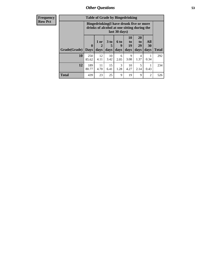| <b>Frequency</b> | <b>Table of Grade by Bingedrinking</b> |                                                                                                         |                   |                              |                   |                          |                               |                   |              |
|------------------|----------------------------------------|---------------------------------------------------------------------------------------------------------|-------------------|------------------------------|-------------------|--------------------------|-------------------------------|-------------------|--------------|
| <b>Row Pct</b>   |                                        | Bingedrinking(I have drunk five or more<br>drinks of alcohol at one sitting during the<br>last 30 days) |                   |                              |                   |                          |                               |                   |              |
|                  | Grade(Grade)                           | $\boldsymbol{0}$<br><b>Days</b>                                                                         | 1 or<br>2<br>days | 3 <sub>to</sub><br>5<br>days | 6 to<br>9<br>days | 10<br>to  <br>19<br>days | <b>20</b><br>to<br>29<br>days | All<br>30<br>days | <b>Total</b> |
|                  | 10                                     | 250<br>85.62                                                                                            | 12<br>4.11        | 10<br>3.42                   | 6<br>2.05         | 9<br>3.08                | 4<br>1.37                     | 0.34              | 292          |
|                  | 12                                     | 189<br>80.77                                                                                            | 11<br>4.70        | 15<br>6.41                   | 3<br>1.28         | 10<br>4.27               | 5<br>2.14                     | 0.43              | 234          |
|                  | <b>Total</b>                           | 439                                                                                                     | 23                | 25                           | 9                 | 19                       | 9                             | 2                 | 526          |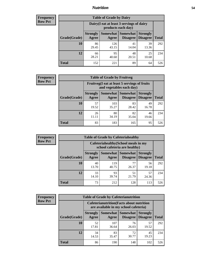## *Nutrition* **54**

| <b>Frequency</b><br>Row Pct |
|-----------------------------|
|                             |

| <b>Table of Grade by Dairy</b> |                          |                                                                 |                                    |                                    |              |
|--------------------------------|--------------------------|-----------------------------------------------------------------|------------------------------------|------------------------------------|--------------|
|                                |                          | Dairy (I eat at least 3 servings of dairy<br>products each day) |                                    |                                    |              |
| Grade(Grade)                   | <b>Strongly</b><br>Agree | <b>Somewhat</b><br>Agree                                        | <b>Somewhat</b><br><b>Disagree</b> | <b>Strongly</b><br><b>Disagree</b> | <b>Total</b> |
| 10                             | 86<br>29.45              | 126<br>43.15                                                    | 41<br>14.04                        | 39<br>13.36                        | 292          |
| 12                             | 66<br>28.21              | 95<br>40.60                                                     | 48<br>20.51                        | 25<br>10.68                        | 234          |
| <b>Total</b>                   | 152                      | 221                                                             | 89                                 | 64                                 | 526          |

| <b>Frequency</b> |
|------------------|
| <b>Row Pct</b>   |

| <b>Table of Grade by Fruitveg</b> |                          |                                                                          |                               |                                    |              |  |
|-----------------------------------|--------------------------|--------------------------------------------------------------------------|-------------------------------|------------------------------------|--------------|--|
|                                   |                          | Fruitveg(I eat at least 5 servings of fruits<br>and vegetables each day) |                               |                                    |              |  |
| Grade(Grade)                      | <b>Strongly</b><br>Agree | Agree                                                                    | Somewhat Somewhat<br>Disagree | <b>Strongly</b><br><b>Disagree</b> | <b>Total</b> |  |
| 10                                | 57<br>19.52              | 103<br>35.27                                                             | 83<br>28.42                   | 49<br>16.78                        | 292          |  |
| 12                                | 26<br>11.11              | 80<br>34.19                                                              | 82<br>35.04                   | 46<br>19.66                        | 234          |  |
| <b>Total</b>                      | 83                       | 183                                                                      | 165                           | 95                                 | 526          |  |

| <b>Frequency</b> | <b>Table of Grade by Cafeteriahealthy</b> |                          |                                                                       |                                          |                                    |              |
|------------------|-------------------------------------------|--------------------------|-----------------------------------------------------------------------|------------------------------------------|------------------------------------|--------------|
| <b>Row Pct</b>   |                                           |                          | Cafeteriahealthy (School meals in my<br>school cafeteria are healthy) |                                          |                                    |              |
|                  | Grade(Grade)                              | <b>Strongly</b><br>Agree | Agree                                                                 | Somewhat   Somewhat  <br><b>Disagree</b> | <b>Strongly</b><br><b>Disagree</b> | <b>Total</b> |
|                  | 10                                        | 40<br>13.70              | 119<br>40.75                                                          | 77<br>26.37                              | 56<br>19.18                        | 292          |
|                  | 12                                        | 33<br>14.10              | 93<br>39.74                                                           | 51<br>21.79                              | 57<br>24.36                        | 234          |
|                  | <b>Total</b>                              | 73                       | 212                                                                   | 128                                      | 113                                | 526          |

| <b>Frequency</b> |
|------------------|
| <b>Row Pct</b>   |

| <b>Table of Grade by Cafeterianutrition</b> |                          |                                                                                           |                                    |                                    |              |
|---------------------------------------------|--------------------------|-------------------------------------------------------------------------------------------|------------------------------------|------------------------------------|--------------|
|                                             |                          | <b>Cafeterianutrition</b> (Facts about nutrition<br>are available in my school cafeteria) |                                    |                                    |              |
| Grade(Grade)                                | <b>Strongly</b><br>Agree | Somewhat  <br>Agree                                                                       | <b>Somewhat</b><br><b>Disagree</b> | <b>Strongly</b><br><b>Disagree</b> | <b>Total</b> |
| 10                                          | 52<br>17.81              | 107<br>36.64                                                                              | 76<br>26.03                        | 57<br>19.52                        | 292          |
| 12                                          | 34<br>14.53              | 83<br>35.47                                                                               | 72<br>30.77                        | 45<br>19.23                        | 234          |
| <b>Total</b>                                | 86                       | 190                                                                                       | 148                                | 102                                | 526          |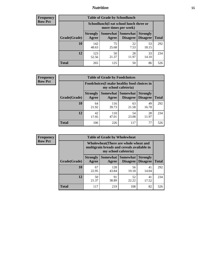## *Nutrition* **55**

| Frequency      |
|----------------|
| <b>Row Pct</b> |

| <b>Table of Grade by Schoollunch</b> |                          |                                                                 |                             |                                    |              |
|--------------------------------------|--------------------------|-----------------------------------------------------------------|-----------------------------|------------------------------------|--------------|
|                                      |                          | Schoollunch(I eat school lunch three or<br>more times per week) |                             |                                    |              |
| Grade(Grade)                         | <b>Strongly</b><br>Agree | Somewhat  <br>Agree                                             | <b>Somewhat</b><br>Disagree | <b>Strongly</b><br><b>Disagree</b> | <b>Total</b> |
| 10                                   | 142<br>48.63             | 75<br>25.68                                                     | 22<br>7.53                  | 53<br>18.15                        | 292          |
| 12                                   | 123<br>52.56             | 50<br>21.37                                                     | 28<br>11.97                 | 33<br>14.10                        | 234          |
| <b>Total</b>                         | 265                      | 125                                                             | 50                          | 86                                 | 526          |

| <b>Frequency</b> |  |
|------------------|--|
| <b>Row Pct</b>   |  |

| <b>Table of Grade by Foodchoices</b> |                          |                                                                            |                                        |                                    |              |
|--------------------------------------|--------------------------|----------------------------------------------------------------------------|----------------------------------------|------------------------------------|--------------|
|                                      |                          | <b>Foodchoices</b> (I make healthy food choices in<br>my school cafeteria) |                                        |                                    |              |
| Grade(Grade)                         | <b>Strongly</b><br>Agree | Agree                                                                      | <b>Somewhat   Somewhat</b><br>Disagree | <b>Strongly</b><br><b>Disagree</b> | <b>Total</b> |
| 10                                   | 64<br>21.92              | 116<br>39.73                                                               | 63<br>21.58                            | 49<br>16.78                        | 292          |
| 12                                   | 42<br>17.95              | 110<br>47.01                                                               | 54<br>23.08                            | 28<br>11.97                        | 234          |
| Total                                | 106                      | 226                                                                        | 117                                    | 77                                 | 526          |

| <b>Frequency</b><br>Row Pct |
|-----------------------------|
|                             |

| <b>Table of Grade by Wholewheat</b> |                                                                                                             |                     |                                    |                                    |              |  |
|-------------------------------------|-------------------------------------------------------------------------------------------------------------|---------------------|------------------------------------|------------------------------------|--------------|--|
|                                     | Wholewheat (There are whole wheat and<br>multigrain breads and cereals available in<br>my school cafeteria) |                     |                                    |                                    |              |  |
| Grade(Grade)                        | <b>Strongly</b><br>Agree                                                                                    | Somewhat  <br>Agree | <b>Somewhat</b><br><b>Disagree</b> | <b>Strongly</b><br><b>Disagree</b> | <b>Total</b> |  |
| 10                                  | 67<br>22.95                                                                                                 | 128<br>43.84        | 56<br>19.18                        | 41<br>14.04                        | 292          |  |
| 12                                  | 50<br>21.37                                                                                                 | 91<br>38.89         | 52<br>22.22                        | 41<br>17.52                        | 234          |  |
| Total                               | 117                                                                                                         | 219                 | 108                                | 82                                 | 526          |  |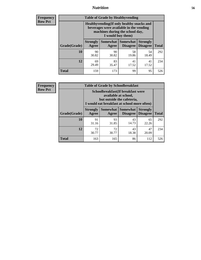## *Nutrition* **56**

**Frequency Row Pct**

| <b>Table of Grade by Healthyvending</b> |                                                                                                                                               |                          |                                    |                                    |              |  |
|-----------------------------------------|-----------------------------------------------------------------------------------------------------------------------------------------------|--------------------------|------------------------------------|------------------------------------|--------------|--|
|                                         | Healthyvending (If only healthy snacks and<br>beverages were available in the vending<br>machines during the school day,<br>I would buy them) |                          |                                    |                                    |              |  |
| Grade(Grade)                            | <b>Strongly</b><br>Agree                                                                                                                      | <b>Somewhat</b><br>Agree | <b>Somewhat</b><br><b>Disagree</b> | <b>Strongly</b><br><b>Disagree</b> | <b>Total</b> |  |
| 10                                      | 90<br>30.82                                                                                                                                   | 90<br>30.82              | 58<br>19.86                        | 54<br>18.49                        | 292          |  |
| 12                                      | 69<br>29.49                                                                                                                                   | 83<br>35.47              | 41<br>17.52                        | 41<br>17.52                        | 234          |  |
| Total                                   | 159                                                                                                                                           | 173                      | 99                                 | 95                                 | 526          |  |

**Frequency Row Pct**

| <b>Table of Grade by Schoolbreakfast</b> |                                                                                                                                        |             |                                      |                                    |              |  |
|------------------------------------------|----------------------------------------------------------------------------------------------------------------------------------------|-------------|--------------------------------------|------------------------------------|--------------|--|
|                                          | Schoolbreakfast(If breakfast were<br>available at school,<br>but outside the cafeteria,<br>I would eat breakfast at school more often) |             |                                      |                                    |              |  |
| Grade(Grade)                             | <b>Strongly</b><br>Agree                                                                                                               | Agree       | Somewhat Somewhat<br><b>Disagree</b> | <b>Strongly</b><br><b>Disagree</b> | <b>Total</b> |  |
| 10                                       | 91<br>31.16                                                                                                                            | 93<br>31.85 | 43<br>14.73                          | 65<br>22.26                        | 292          |  |
| 12                                       | 72<br>30.77                                                                                                                            | 72<br>30.77 | 43<br>18.38                          | 47<br>20.09                        | 234          |  |
| <b>Total</b>                             | 163                                                                                                                                    | 165         | 86                                   | 112                                | 526          |  |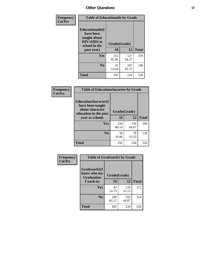| Frequency<br><b>Col Pct</b> | <b>Table of Educationaids by Grade</b>                                                                    |                    |              |              |
|-----------------------------|-----------------------------------------------------------------------------------------------------------|--------------------|--------------|--------------|
|                             | <b>Educationaids</b> (I<br>have been<br>taught about<br><b>HIV/AIDS</b> at<br>school in the<br>past year) | Grade(Grade)<br>10 | 12           | <b>Total</b> |
|                             |                                                                                                           |                    |              |              |
|                             | Yes                                                                                                       | 251<br>85.96       | 127<br>54.27 | 378          |
|                             | N <sub>0</sub>                                                                                            | 41<br>14.04        | 107<br>45.73 | 148          |
|                             | <b>Total</b>                                                                                              | 292                | 234          | 526          |

| Frequency      | <b>Table of Educationcharacter by Grade</b>                                                                     |              |              |              |  |
|----------------|-----------------------------------------------------------------------------------------------------------------|--------------|--------------|--------------|--|
| <b>Col Pct</b> | <b>Educationcharacter(I)</b><br>have been taught<br>about character<br>education in the past<br>year at school) | Grade(Grade) |              |              |  |
|                |                                                                                                                 | 10           | 12           | <b>Total</b> |  |
|                | Yes                                                                                                             | 234<br>80.14 | 156<br>66.67 | 390          |  |
|                | N <sub>0</sub>                                                                                                  | 58<br>19.86  | 78<br>33.33  | 136          |  |
|                | <b>Total</b>                                                                                                    | 292          | 234          | 526          |  |

| Frequency      | <b>Table of Gradcoach1 by Grade</b>              |              |              |              |
|----------------|--------------------------------------------------|--------------|--------------|--------------|
| <b>Col Pct</b> | Gradcoach1(I<br>know who my<br><b>Graduation</b> | Grade(Grade) |              |              |
|                | Coach is)                                        | 10           | 12           | <b>Total</b> |
|                | Yes                                              | 43<br>14.73  | 129<br>55.13 | 172          |
|                | N <sub>0</sub>                                   | 249<br>85.27 | 105<br>44.87 | 354          |
|                | <b>Total</b>                                     | 292          | 234          | 526          |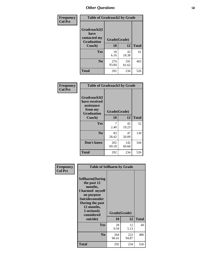| Frequency      | <b>Table of Gradcoach2 by Grade</b> |              |              |              |
|----------------|-------------------------------------|--------------|--------------|--------------|
| <b>Col Pct</b> |                                     |              |              |              |
|                | Gradcoach2(I<br>have                |              |              |              |
|                | contacted my<br><b>Graduation</b>   | Grade(Grade) |              |              |
|                | Coach)                              | 10           | 12           | <b>Total</b> |
|                | Yes                                 | 18<br>6.16   | 43<br>18.38  | 61           |
|                | N <sub>0</sub>                      | 274<br>93.84 | 191<br>81.62 | 465          |
|                | <b>Total</b>                        | 292          | 234          | 526          |

| Frequency<br><b>Col Pct</b> | <b>Table of Gradcoach3 by Grade</b>                                         |              |              |              |
|-----------------------------|-----------------------------------------------------------------------------|--------------|--------------|--------------|
|                             | Gradcoach3(I<br>have received<br>assistance<br>from my<br><b>Graduation</b> | Grade(Grade) |              |              |
|                             | Coach)                                                                      | 10           | 12           | <b>Total</b> |
|                             | Yes                                                                         | 7<br>2.40    | 45<br>19.23  | 52           |
|                             | N <sub>0</sub>                                                              | 83<br>28.42  | 47<br>20.09  | 130          |
|                             | Don't know                                                                  | 202<br>69.18 | 142<br>60.68 | 344          |
|                             | <b>Total</b>                                                                | 292          | 234          | 526          |

| Frequency      | <b>Table of Selfharm by Grade</b>                                                                                                                                               |                    |              |              |
|----------------|---------------------------------------------------------------------------------------------------------------------------------------------------------------------------------|--------------------|--------------|--------------|
| <b>Col Pct</b> | <b>Selfharm</b> (During<br>the past 12<br>months,<br>I harmed myself<br>on purpose<br>Suicideconsider<br>During the past<br>12 months,<br>I seriously<br>considered<br>suicide) | Grade(Grade)<br>10 | 12           | <b>Total</b> |
|                | Yes                                                                                                                                                                             | 28<br>9.59         | 12<br>5.13   | 40           |
|                | N <sub>0</sub>                                                                                                                                                                  | 264<br>90.41       | 222<br>94.87 | 486          |
|                | <b>Total</b>                                                                                                                                                                    | 292                | 234          | 526          |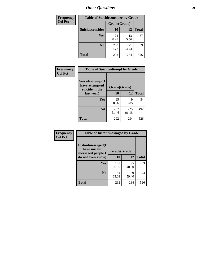| <b>Frequency</b> | <b>Table of Suicideconsider by Grade</b> |              |              |              |
|------------------|------------------------------------------|--------------|--------------|--------------|
| <b>Col Pct</b>   |                                          | Grade(Grade) |              |              |
|                  | <b>Suicideconsider</b>                   | <b>10</b>    | 12           | <b>Total</b> |
|                  | <b>Yes</b>                               | 24<br>8.22   | 13<br>5.56   | 37           |
|                  | N <sub>0</sub>                           | 268<br>91.78 | 221<br>94.44 | 489          |
|                  | <b>Total</b>                             | 292          | 234          | 526          |

| Frequency      | <b>Table of Suicideattempt by Grade</b>                            |              |              |              |
|----------------|--------------------------------------------------------------------|--------------|--------------|--------------|
| <b>Col Pct</b> | Suicideattempt(I<br>have attempted<br>suicide in the<br>last year) | Grade(Grade) |              |              |
|                |                                                                    | 10           | 12           | <b>Total</b> |
|                | Yes                                                                | 25<br>8.56   | q<br>3.85    | 34           |
|                | $\bf No$                                                           | 267<br>91.44 | 225<br>96.15 | 492          |
|                | <b>Total</b>                                                       | 292          | 234          | 526          |

| Frequency      | <b>Table of Instantmessaged by Grade</b>               |              |              |              |
|----------------|--------------------------------------------------------|--------------|--------------|--------------|
| <b>Col Pct</b> | Instantmessaged(I<br>have instant<br>messaged people I | Grade(Grade) |              |              |
|                | do not even know)                                      | 10           | 12           | <b>Total</b> |
|                | Yes                                                    | 108<br>36.99 | 95<br>40.60  | 203          |
|                | N <sub>0</sub>                                         | 184<br>63.01 | 139<br>59.40 | 323          |
|                | <b>Total</b>                                           | 292          | 234          | 526          |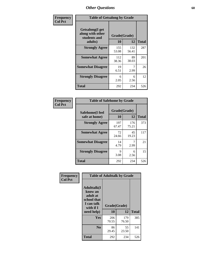| Frequency      | <b>Table of Getsalong by Grade</b>                          |              |              |              |  |  |  |
|----------------|-------------------------------------------------------------|--------------|--------------|--------------|--|--|--|
| <b>Col Pct</b> | <b>Getsalong</b> (I get<br>along with other<br>students and | Grade(Grade) |              |              |  |  |  |
|                | adults)                                                     | 10           | 12           | <b>Total</b> |  |  |  |
|                | <b>Strongly Agree</b>                                       | 155<br>53.08 | 132<br>56.41 | 287          |  |  |  |
|                | <b>Somewhat Agree</b>                                       | 112<br>38.36 | 89<br>38.03  | 201          |  |  |  |
|                | <b>Somewhat Disagree</b>                                    | 19<br>6.51   | 7<br>2.99    | 26           |  |  |  |
|                | <b>Strongly Disagree</b>                                    | 6<br>2.05    | 6<br>2.56    | 12           |  |  |  |
|                | <b>Total</b>                                                | 292          | 234          | 526          |  |  |  |

| Frequency      | <b>Table of Safehome by Grade</b> |                    |              |              |  |  |  |
|----------------|-----------------------------------|--------------------|--------------|--------------|--|--|--|
| <b>Col Pct</b> | Safehome(I feel<br>safe at home)  | Grade(Grade)<br>10 | 12           | <b>Total</b> |  |  |  |
|                | <b>Strongly Agree</b>             | 197<br>67.47       | 176<br>75.21 | 373          |  |  |  |
|                | <b>Somewhat Agree</b>             | 72<br>24.66        | 45<br>19.23  | 117          |  |  |  |
|                | <b>Somewhat Disagree</b>          | 14<br>4.79         | 2.99         | 21           |  |  |  |
|                | <b>Strongly Disagree</b>          | 9<br>3.08          | 6<br>2.56    | 15           |  |  |  |
|                | <b>Total</b>                      | 292                | 234          | 526          |  |  |  |

| Frequency      |                                                                                     | <b>Table of Adulttalk by Grade</b> |              |              |
|----------------|-------------------------------------------------------------------------------------|------------------------------------|--------------|--------------|
| <b>Col Pct</b> | <b>Adulttalk(I</b><br>know an<br>adult at<br>school that<br>I can talk<br>with if I | Grade(Grade)                       |              |              |
|                | need help)                                                                          | 10                                 | 12           | <b>Total</b> |
|                | <b>Yes</b>                                                                          | 206<br>70.55                       | 179<br>76.50 | 385          |
|                | N <sub>0</sub>                                                                      | 86<br>29.45                        | 55<br>23.50  | 141          |
|                | <b>Total</b>                                                                        | 292                                | 234          | 526          |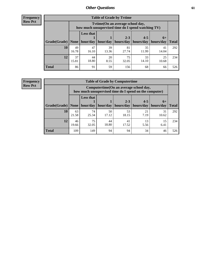**Frequency Row Pct**

| <b>Table of Grade by Tytime</b> |             |                                                                                         |             |             |             |             |              |  |  |  |
|---------------------------------|-------------|-----------------------------------------------------------------------------------------|-------------|-------------|-------------|-------------|--------------|--|--|--|
|                                 |             | Tytime (On an average school day,<br>how much unsupervised time do I spend watching TV) |             |             |             |             |              |  |  |  |
|                                 |             | <b>Less that</b>                                                                        |             | $2 - 3$     | $4 - 5$     | $6+$        |              |  |  |  |
| Grade(Grade)                    | None        | hour/day                                                                                | hour/day    | hours/day   | hours/day   | hours/day   | <b>Total</b> |  |  |  |
| 10                              | 49<br>16.78 | 47<br>16.10                                                                             | 39<br>13.36 | 81<br>27.74 | 35<br>11.99 | 41<br>14.04 | 292          |  |  |  |
| 12                              | 37<br>15.81 | 20<br>75<br>44<br>33<br>25<br>8.55<br>18.80<br>32.05<br>14.10<br>10.68                  |             |             |             |             |              |  |  |  |
| <b>Total</b>                    | 86          | 91                                                                                      | 59          | 156         | 68          | 66          | 526          |  |  |  |

**Frequency Row Pct**

| <b>Table of Grade by Computertime</b> |             |                                                                                                   |             |                      |                      |                   |              |  |  |  |  |
|---------------------------------------|-------------|---------------------------------------------------------------------------------------------------|-------------|----------------------|----------------------|-------------------|--------------|--|--|--|--|
|                                       |             | Computertime (On an average school day,<br>how much unsupervised time do I spend on the computer) |             |                      |                      |                   |              |  |  |  |  |
| Grade(Grade)                          | None        | <b>Less that</b><br>hour/day                                                                      | hour/day    | $2 - 3$<br>hours/day | $4 - 5$<br>hours/day | $6+$<br>hours/day | <b>Total</b> |  |  |  |  |
| 10                                    | 63<br>21.58 | 74<br>25.34                                                                                       | 50<br>17.12 | 53<br>18.15          | 21<br>7.19           | 31<br>10.62       | 292          |  |  |  |  |
| 12                                    | 46<br>19.66 | 75<br>44<br>41<br>13<br>15<br>18.80<br>5.56<br>32.05<br>17.52<br>6.41                             |             |                      |                      |                   |              |  |  |  |  |
| <b>Total</b>                          | 109         | 149                                                                                               | 94          | 94                   | 34                   | 46                | 526          |  |  |  |  |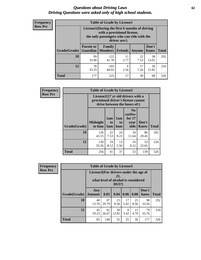#### *Questions about Driving Laws* **62** *Driving Questions were asked only of high school students.*

| <b>Frequency</b> |
|------------------|
| <b>Row Pct</b>   |

| <b>Table of Grade by License1</b> |                  |                                                                                                                                           |                |            |               |              |  |  |  |  |
|-----------------------------------|------------------|-------------------------------------------------------------------------------------------------------------------------------------------|----------------|------------|---------------|--------------|--|--|--|--|
|                                   |                  | License1(During the first 6 months of driving<br>with a provisional license,<br>the only passengers who can ride with the<br>driver are:) |                |            |               |              |  |  |  |  |
| Grade(Grade)                      | <b>Parent or</b> | <b>Family</b><br><b>Guardian</b>   Members                                                                                                | <b>Friends</b> | Anyone     | Don't<br>Know | <b>Total</b> |  |  |  |  |
| 10                                | 99<br>33.90      | 122<br>41.78                                                                                                                              | 11<br>3.77     | 22<br>7.53 | 38<br>13.01   | 292          |  |  |  |  |
| 12                                | 78<br>33.33      | 17<br>103<br>30<br>6<br>44.02<br>12.82<br>7.26<br>2.56                                                                                    |                |            |               |              |  |  |  |  |
| Total                             | 177              | 225                                                                                                                                       | 17             | 39         | 68            | 526          |  |  |  |  |

| <b>Frequency</b> |                     | <b>Table of Grade by License2</b> |                                                                                                          |                              |                                                      |                      |              |  |  |  |
|------------------|---------------------|-----------------------------------|----------------------------------------------------------------------------------------------------------|------------------------------|------------------------------------------------------|----------------------|--------------|--|--|--|
| <b>Row Pct</b>   |                     |                                   | License2(17 yr old drivers with a<br>provisional driver's license cannot<br>drive between the hours of:) |                              |                                                      |                      |              |  |  |  |
|                  | <b>Grade(Grade)</b> | <b>Midnight</b><br>to 6am         | 1am<br>to<br>5am                                                                                         | 1am<br>t <sub>0</sub><br>6am | N <sub>0</sub><br>curfew<br>for $17$<br>year<br>olds | Don't<br><b>Know</b> | <b>Total</b> |  |  |  |
|                  | 10                  | 126<br>43.15                      | 22<br>7.53                                                                                               | 24<br>8.22                   | 34<br>11.64                                          | 86<br>29.45          | 292          |  |  |  |
|                  | 12                  | 130<br>55.56                      | 19<br>13<br>19<br>53<br>8.12<br>8.12<br>22.65<br>5.56                                                    |                              |                                                      |                      |              |  |  |  |
|                  | <b>Total</b>        | 256                               | 41                                                                                                       | 37                           | 53                                                   | 139                  | 526          |  |  |  |

| Frequency      |              | <b>Table of Grade by License3</b><br>License3(For drivers under the age of<br>21,<br>what level of alcohol is considered<br>$DUI$ ?) |             |             |            |            |               |              |
|----------------|--------------|--------------------------------------------------------------------------------------------------------------------------------------|-------------|-------------|------------|------------|---------------|--------------|
| <b>Row Pct</b> |              |                                                                                                                                      |             |             |            |            |               |              |
|                | Grade(Grade) | Any<br><b>Amount</b>                                                                                                                 | 0.02        | 0.04        | 0.06       | 0.08       | Don't<br>know | <b>Total</b> |
|                | <b>10</b>    | 40<br>13.70                                                                                                                          | 87<br>29.79 | 25<br>8.56  | 17<br>5.82 | 25<br>8.56 | 98<br>33.56   | 292          |
|                | 12           | 45<br>19.23                                                                                                                          | 61<br>26.07 | 30<br>12.82 | 8<br>3.42  | 11<br>4.70 | 79<br>33.76   | 234          |
|                | <b>Total</b> | 85                                                                                                                                   | 148         | 55          | 25         | 36         | 177           | 526          |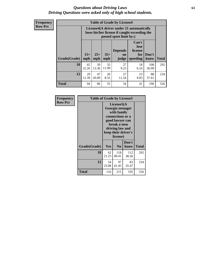#### *Questions about Driving Laws* **63** *Driving Questions were asked only of high school students.*

**Frequency Row Pct**

| <b>Table of Grade by License4</b> |             |                                                                                                                                                                                                                                                                                |             |            |            |              |     |  |  |  |
|-----------------------------------|-------------|--------------------------------------------------------------------------------------------------------------------------------------------------------------------------------------------------------------------------------------------------------------------------------|-------------|------------|------------|--------------|-----|--|--|--|
|                                   |             | License4(A driver under 21 automatically<br>loses his/her license if caught exceeding the<br>posted speet limit by:)<br>Can't<br>lose<br><b>Depends</b><br>license<br>$15+$<br>$25+$<br>$35+$<br>Don't<br>for<br>on<br><b>Total</b><br>mph<br>speeding<br>mph<br>judge<br>know |             |            |            |              |     |  |  |  |
| Grade(Grade)                      | mph         |                                                                                                                                                                                                                                                                                |             |            |            |              |     |  |  |  |
| 10                                | 65<br>22.26 | 39<br>13.36                                                                                                                                                                                                                                                                    | 35<br>11.99 | 27<br>9.25 | 18<br>6.16 | 108<br>36.99 | 292 |  |  |  |
| 12                                | 29<br>12.39 | 27<br>47<br>20<br>23<br>88<br>20.09<br>8.55<br>11.54<br>9.83<br>37.61                                                                                                                                                                                                          |             |            |            |              |     |  |  |  |
| <b>Total</b>                      | 94          | 86                                                                                                                                                                                                                                                                             | 55          | 54         | 41         | 196          | 526 |  |  |  |

| Frequency      | <b>Table of Grade by License5</b> |                                                                                                                                                             |                |               |       |
|----------------|-----------------------------------|-------------------------------------------------------------------------------------------------------------------------------------------------------------|----------------|---------------|-------|
| <b>Row Pct</b> |                                   | License5(A)<br>Georgia teenager<br>with family<br>connections or a<br>good lawyer can<br>break a teen<br>driving law and<br>keep their driver's<br>license) |                |               |       |
|                | Grade(Grade)                      | Yes                                                                                                                                                         | N <sub>0</sub> | Don't<br>know | Total |
|                | 10                                | 62<br>21.23                                                                                                                                                 | 118<br>40.41   | 112<br>38.36  | 292   |
|                | 12                                | 54<br>23.08                                                                                                                                                 | 97<br>41.45    | 83<br>35.47   | 234   |
|                | <b>Total</b>                      | 116                                                                                                                                                         | 215            | 195           | 526   |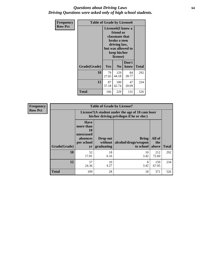### *Questions about Driving Laws* **64** *Driving Questions were asked only of high school students.*

| <b>Frequency</b> | <b>Table of Grade by License6</b> |                                                                                                                                                 |                |               |       |
|------------------|-----------------------------------|-------------------------------------------------------------------------------------------------------------------------------------------------|----------------|---------------|-------|
| <b>Row Pct</b>   |                                   | License <sub>6</sub> (I know a<br>friend or<br>classmate that<br>broke a teen<br>driving law,<br>but was allowed to<br>keep his/her<br>license) |                |               |       |
|                  | Grade(Grade)                      | <b>Yes</b>                                                                                                                                      | N <sub>0</sub> | Don't<br>know | Total |
|                  | 10                                | 79<br>27.05                                                                                                                                     | 129<br>44.18   | 84<br>28.77   | 292   |
|                  | 12                                | 87<br>37.18                                                                                                                                     | 234            |               |       |
|                  | <b>Total</b>                      | 166                                                                                                                                             | 229            | 131           | 526   |

| <b>Frequency</b> | <b>Table of Grade by License7</b> |                                                                             |                                   |                                                                                               |                        |              |
|------------------|-----------------------------------|-----------------------------------------------------------------------------|-----------------------------------|-----------------------------------------------------------------------------------------------|------------------------|--------------|
| <b>Row Pct</b>   |                                   |                                                                             |                                   | License7(A student under the age of 18 cam loser<br>his/her driving privileges if he or she:) |                        |              |
|                  | Grade(Grade)                      | <b>Have</b><br>more than<br>10<br>unexcused<br>absences<br>per school<br>yr | Drop out<br>without<br>graduating | Bring<br>alcohol/drugs/weapon<br>to school                                                    | All of<br>the<br>above | <b>Total</b> |
|                  | 10                                | 52<br>17.81                                                                 | 18<br>6.16                        | 10<br>3.42                                                                                    | 212<br>72.60           | 292          |
|                  | 12                                | 57<br>24.36                                                                 | 10<br>4.27                        | 8<br>3.42                                                                                     | 159<br>67.95           | 234          |
|                  | <b>Total</b>                      | 109                                                                         | 28                                | 18                                                                                            | 371                    | 526          |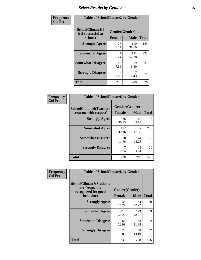# *Select Results by Gender* **65**

| Frequency      | <b>Table of SchoolClimate2 by Gender</b>          |                                 |              |              |
|----------------|---------------------------------------------------|---------------------------------|--------------|--------------|
| <b>Col Pct</b> | SchoolClimate2(I<br>feel successful at<br>school) | Gender(Gender)<br><b>Female</b> | <b>Male</b>  | <b>Total</b> |
|                | <b>Strongly Agree</b>                             | 75<br>31.51                     | 110<br>38.19 | 185          |
|                | <b>Somewhat Agree</b>                             | 141<br>59.24                    | 152<br>52.78 | 293          |
|                | <b>Somewhat Disagree</b>                          | 18<br>7.56                      | 19<br>6.60   | 37           |
|                | <b>Strongly Disagree</b>                          | 4<br>1.68                       | 7<br>2.43    | 11           |
|                | <b>Total</b>                                      | 238                             | 288          | 526          |

| Frequency      | <b>Table of SchoolClimate6 by Gender</b>                 |                          |              |              |  |
|----------------|----------------------------------------------------------|--------------------------|--------------|--------------|--|
| <b>Col Pct</b> | <b>SchoolClimate6(Teachers</b><br>treat me with respect) | Gender(Gender)<br>Female | <b>Male</b>  | <b>Total</b> |  |
|                | <b>Strongly Agree</b>                                    | 86<br>36.13              | 109<br>37.85 | 195          |  |
|                | <b>Somewhat Agree</b>                                    | 117<br>49.16             | 122<br>42.36 | 239          |  |
|                | <b>Somewhat Disagree</b>                                 | 28<br>11.76              | 44<br>15.28  | 72           |  |
|                | <b>Strongly Disagree</b>                                 | 7<br>2.94                | 13<br>4.51   | 20           |  |
|                | <b>Total</b>                                             | 238                      | 288          | 526          |  |

| <b>Frequency</b> | <b>Table of SchoolClimate8 by Gender</b>                                             |                                 |              |     |
|------------------|--------------------------------------------------------------------------------------|---------------------------------|--------------|-----|
| <b>Col Pct</b>   | <b>SchoolClimate8(Students</b><br>are frequently<br>recognized for good<br>behavior) | Gender(Gender)<br><b>Female</b> | <b>Total</b> |     |
|                  |                                                                                      |                                 | <b>Male</b>  |     |
|                  | <b>Strongly Agree</b>                                                                | 35<br>14.71                     | 64<br>22.22  | 99  |
|                  | <b>Somewhat Agree</b>                                                                | 110<br>46.22                    | 123<br>42.71 | 233 |
|                  | <b>Somewhat Disagree</b>                                                             | 69<br>28.99                     | 63<br>21.88  | 132 |
|                  | <b>Strongly Disagree</b>                                                             | 24<br>10.08                     | 38<br>13.19  | 62  |
|                  | Total                                                                                | 238                             | 288          | 526 |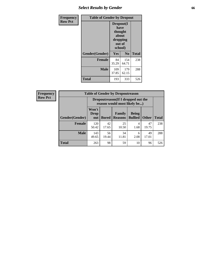## *Select Results by Gender* **66**

| Frequency      | <b>Table of Gender by Dropout</b> |                                                                        |                |              |
|----------------|-----------------------------------|------------------------------------------------------------------------|----------------|--------------|
| <b>Row Pct</b> |                                   | Dropout(I<br>have<br>thought<br>about<br>dropping<br>out of<br>school) |                |              |
|                | Gender(Gender)                    | Yes                                                                    | N <sub>0</sub> | <b>Total</b> |
|                | <b>Female</b>                     | 84<br>35.29                                                            | 154<br>64.71   | 238          |
|                | <b>Male</b>                       | 109<br>37.85                                                           | 179<br>62.15   | 288          |
|                | <b>Total</b>                      | 193                                                                    | 333            | 526          |

| <b>Frequency</b> | <b>Table of Gender by Dropoutreason</b> |                                                                     |              |                                    |              |              |  |
|------------------|-----------------------------------------|---------------------------------------------------------------------|--------------|------------------------------------|--------------|--------------|--|
| <b>Row Pct</b>   |                                         | Dropoutreason (If I dropped out the<br>reason would most likely be) |              |                                    |              |              |  |
|                  | Gender(Gender)                          | Won't<br><b>Drop</b><br>out                                         | <b>Bored</b> | Family<br><b>Reasons   Bullied</b> | <b>Being</b> | <b>Other</b> |  |
|                  |                                         |                                                                     |              |                                    |              |              |  |
|                  | Female                                  | 120<br>50.42                                                        | 42<br>17.65  | 25<br>10.50                        | 1.68         | 47<br>19.75  |  |

143<br>49.65

56 19.44

**Total** 263 98 59 10 96 526

**Male** 

 $\mathsf{r}$ ٦

**Total**

238

288

49 17.01

34 11.81

> 6 2.08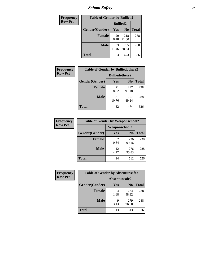*School Safety* **67**

| Frequency      | <b>Table of Gender by Bullied2</b> |                 |                |              |
|----------------|------------------------------------|-----------------|----------------|--------------|
| <b>Row Pct</b> |                                    | <b>Bullied2</b> |                |              |
|                | Gender(Gender)                     | Yes             | N <sub>0</sub> | <b>Total</b> |
|                | <b>Female</b>                      | 20<br>8.40      | 218<br>91.60   | 238          |
|                | <b>Male</b>                        | 33<br>11.46     | 255<br>88.54   | 288          |
|                | <b>Total</b>                       | 53              | 473            | 526          |

| Frequency      | <b>Table of Gender by Bulliedothers2</b> |                       |                |              |
|----------------|------------------------------------------|-----------------------|----------------|--------------|
| <b>Row Pct</b> |                                          | <b>Bulliedothers2</b> |                |              |
|                | Gender(Gender)                           | Yes                   | N <sub>0</sub> | <b>Total</b> |
|                | <b>Female</b>                            | 21<br>8.82            | 217<br>91.18   | 238          |
|                | <b>Male</b>                              | 31<br>10.76           | 257<br>89.24   | 288          |
|                | <b>Total</b>                             | 52                    | 474            | 526          |

| Frequency      | <b>Table of Gender by Weaponschool2</b> |                      |                |              |
|----------------|-----------------------------------------|----------------------|----------------|--------------|
| <b>Row Pct</b> |                                         | <b>Weaponschool2</b> |                |              |
|                | Gender(Gender)                          | Yes                  | N <sub>0</sub> | <b>Total</b> |
|                | <b>Female</b>                           | 0.84                 | 236<br>99.16   | 238          |
|                | <b>Male</b>                             | 12<br>4.17           | 276<br>95.83   | 288          |
|                | <b>Total</b>                            | 14                   | 512            | 526          |

| Frequency      | <b>Table of Gender by Absentunsafe2</b> |               |                |              |
|----------------|-----------------------------------------|---------------|----------------|--------------|
| <b>Row Pct</b> |                                         | Absentunsafe2 |                |              |
|                | Gender(Gender)                          | Yes           | N <sub>0</sub> | <b>Total</b> |
|                | <b>Female</b>                           | 4<br>1.68     | 234<br>98.32   | 238          |
|                | <b>Male</b>                             | q<br>3.13     | 279<br>96.88   | 288          |
|                | <b>Total</b>                            | 13            | 513            | 526          |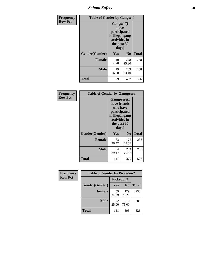*School Safety* **68**

| Frequency      | <b>Table of Gender by Gangself</b> |                                                                                                |                |              |
|----------------|------------------------------------|------------------------------------------------------------------------------------------------|----------------|--------------|
| <b>Row Pct</b> |                                    | Gangself(I<br>have<br>participated<br>in illegal gang<br>activities in<br>the past 30<br>days) |                |              |
|                | Gender(Gender)                     | Yes                                                                                            | N <sub>0</sub> | <b>Total</b> |
|                | <b>Female</b>                      | 10<br>4.20                                                                                     | 228<br>95.80   | 238          |
|                | <b>Male</b>                        | 19<br>6.60                                                                                     | 269<br>93.40   | 288          |
|                | <b>Total</b>                       | 29                                                                                             | 497            | 526          |

| Frequency      | <b>Table of Gender by Gangpeers</b> |                                                                                                                             |                |       |
|----------------|-------------------------------------|-----------------------------------------------------------------------------------------------------------------------------|----------------|-------|
| <b>Row Pct</b> |                                     | <b>Gangpeers</b> (I<br>have friends<br>who have<br>participated<br>in illegal gang<br>activities in<br>the past 30<br>days) |                |       |
|                | Gender(Gender)                      | Yes                                                                                                                         | N <sub>0</sub> | Total |
|                | <b>Female</b>                       | 63<br>26.47                                                                                                                 | 175<br>73.53   | 238   |
|                | <b>Male</b>                         | 84<br>29.17                                                                                                                 | 204<br>70.83   | 288   |
|                | Total                               | 147                                                                                                                         | 379            | 526   |

| Frequency      | <b>Table of Gender by Pickedon2</b> |             |                |              |
|----------------|-------------------------------------|-------------|----------------|--------------|
| <b>Row Pct</b> |                                     | Pickedon2   |                |              |
|                | Gender(Gender)                      | Yes         | N <sub>0</sub> | <b>Total</b> |
|                | <b>Female</b>                       | 59<br>24.79 | 179<br>75.21   | 238          |
|                | <b>Male</b>                         | 72<br>25.00 | 216<br>75.00   | 288          |
|                | <b>Total</b>                        | 131         | 395            | 526          |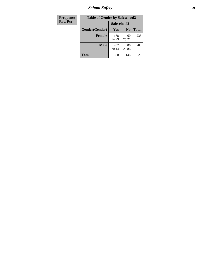*School Safety* **69**

| Frequency      | <b>Table of Gender by Safeschool2</b> |              |                |              |
|----------------|---------------------------------------|--------------|----------------|--------------|
| <b>Row Pct</b> |                                       | Safeschool2  |                |              |
|                | Gender(Gender)                        | Yes          | N <sub>0</sub> | <b>Total</b> |
|                | <b>Female</b>                         | 178<br>74.79 | 60<br>25.21    | 238          |
|                | <b>Male</b>                           | 202<br>70.14 | 86<br>29.86    | 288          |
|                | <b>Total</b>                          | 380          | 146            | 526          |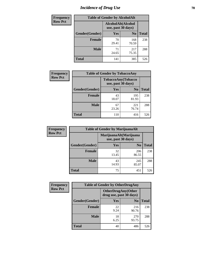# *Incidence of Drug Use* **70**

| <b>Frequency</b> | <b>Table of Gender by AlcoholAlt</b> |                                          |                |              |
|------------------|--------------------------------------|------------------------------------------|----------------|--------------|
| <b>Row Pct</b>   |                                      | AlcoholAlt(Alcohol<br>use, past 30 days) |                |              |
|                  | Gender(Gender)                       | <b>Yes</b>                               | N <sub>0</sub> | <b>Total</b> |
|                  | <b>Female</b>                        | 70<br>29.41                              | 168<br>70.59   | 238          |
|                  | <b>Male</b>                          | 71<br>24.65                              | 217<br>75.35   | 288          |
|                  | <b>Total</b>                         | 141                                      | 385            | 526          |

| Frequency      | <b>Table of Gender by TobaccoAny</b> |                                          |                |              |  |
|----------------|--------------------------------------|------------------------------------------|----------------|--------------|--|
| <b>Row Pct</b> |                                      | TobaccoAny(Tobacco<br>use, past 30 days) |                |              |  |
|                | Gender(Gender)                       | Yes                                      | N <sub>0</sub> | <b>Total</b> |  |
|                | <b>Female</b>                        | 43<br>18.07                              | 195<br>81.93   | 238          |  |
|                | <b>Male</b>                          | 67<br>23.26                              | 221<br>76.74   | 288          |  |
|                | <b>Total</b>                         | 110                                      | 416            | 526          |  |

| <b>Frequency</b> | <b>Table of Gender by MarijuanaAlt</b> |                                              |                |              |  |
|------------------|----------------------------------------|----------------------------------------------|----------------|--------------|--|
| <b>Row Pct</b>   |                                        | MarijuanaAlt(Marijuana<br>use, past 30 days) |                |              |  |
|                  | Gender(Gender)                         | <b>Yes</b>                                   | N <sub>0</sub> | <b>Total</b> |  |
|                  | <b>Female</b>                          | 32<br>13.45                                  | 206<br>86.55   | 238          |  |
|                  | <b>Male</b>                            | 43<br>14.93                                  | 245<br>85.07   | 288          |  |
|                  | <b>Total</b>                           | 75                                           | 451            | 526          |  |

| <b>Frequency</b> | <b>Table of Gender by OtherDrugAny</b> |                                                      |                |              |
|------------------|----------------------------------------|------------------------------------------------------|----------------|--------------|
| <b>Row Pct</b>   |                                        | <b>OtherDrugAny(Other</b><br>drug use, past 30 days) |                |              |
|                  | Gender(Gender)                         | <b>Yes</b>                                           | N <sub>0</sub> | <b>Total</b> |
|                  | <b>Female</b>                          | 22<br>9.24                                           | 216<br>90.76   | 238          |
|                  | <b>Male</b>                            | 18<br>6.25                                           | 270<br>93.75   | 288          |
|                  | <b>Total</b>                           | 40                                                   | 486            | 526          |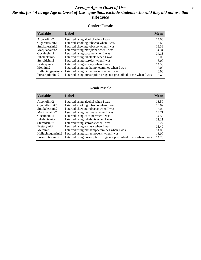### *Average Age at Onset of Use* **71** *Results for "Average Age at Onset of Use" questions exclude students who said they did not use that substance*

#### **Gender=Female**

| <b>Variable</b>    | Label                                                              | <b>Mean</b> |
|--------------------|--------------------------------------------------------------------|-------------|
| Alcoholinit2       | I started using alcohol when I was                                 | 14.03       |
| Cigarettesinit2    | I started smoking tobacco when I was                               | 13.65       |
| Smokelessinit2     | I started chewing tobacco when I was                               | 13.33       |
| Marijuanainit2     | I started using marijuana when I was                               | 14.34       |
| Cocaineinit2       | I started using cocaine when I was                                 | 14.13       |
| Inhalantsinit2     | I started using inhalants when I was                               | 12.00       |
| Steroidsinit2      | I started using steroids when I was                                | 8.00        |
| Ecstasyinit2       | I started using ecstasy when I was                                 | 14.50       |
| Methinit2          | I started using methamphetamines when I was                        | 8.00        |
| Hallucinogensinit2 | I started using hallucinogens when I was                           | 8.00        |
| Prescriptioninit2  | I started using prescription drugs not prescribed to me when I was | 13.45       |

#### **Gender=Male**

| <b>Variable</b>                 | Label                                                              | <b>Mean</b> |
|---------------------------------|--------------------------------------------------------------------|-------------|
| Alcoholinit2                    | I started using alcohol when I was                                 | 13.50       |
| Cigarettesinit2                 | I started smoking tobacco when I was                               | 13.67       |
| Smokelessinit2                  | I started chewing tobacco when I was                               | 13.02       |
| Marijuanainit2                  | I started using marijuana when I was                               | 13.71       |
| Cocaineinit2                    | I started using cocaine when I was                                 | 14.56       |
| Inhalantsinit2                  | I started using inhalants when I was                               | 11.11       |
| Steroidsinit2                   | I started using steroids when I was                                | 13.22       |
| Ecstasyinit2                    | I started using ecstasy when I was                                 | 13.40       |
| Methinit2                       | I started using methamphetamines when I was                        | 14.00       |
| Hallucinogensinit2              | I started using hallucinogens when I was                           | 13.00       |
| Prescription in it <sub>2</sub> | I started using prescription drugs not prescribed to me when I was | 14.20       |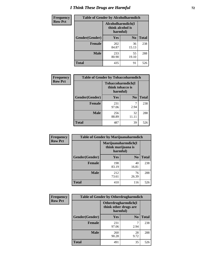# *I Think These Drugs are Harmful* **72**

| <b>Frequency</b> | <b>Table of Gender by Alcoholharmdich</b> |              |                                                   |              |
|------------------|-------------------------------------------|--------------|---------------------------------------------------|--------------|
| <b>Row Pct</b>   |                                           |              | Alcoholharmdich(I<br>think alcohol is<br>harmful) |              |
|                  | Gender(Gender)                            | Yes          | N <sub>0</sub>                                    | <b>Total</b> |
|                  | <b>Female</b>                             | 202<br>84.87 | 36<br>15.13                                       | 238          |
|                  | <b>Male</b>                               | 233<br>80.90 | 55<br>19.10                                       | 288          |
|                  | <b>Total</b>                              | 435          | 91                                                | 526          |

| Frequency      | <b>Table of Gender by Tobaccoharmdich</b> |                  |                               |              |
|----------------|-------------------------------------------|------------------|-------------------------------|--------------|
| <b>Row Pct</b> |                                           | think tobacco is | Tobaccoharmdich(I<br>harmful) |              |
|                | Gender(Gender)                            | Yes              | N <sub>0</sub>                | <b>Total</b> |
|                | <b>Female</b>                             | 231<br>97.06     | 2.94                          | 238          |
|                | <b>Male</b>                               | 256<br>88.89     | 32<br>11.11                   | 288          |
|                | Total                                     | 487              | 39                            | 526          |

| Frequency      | <b>Table of Gender by Marijuanaharmdich</b> |                                                       |                |              |  |
|----------------|---------------------------------------------|-------------------------------------------------------|----------------|--------------|--|
| <b>Row Pct</b> |                                             | Marijuanaharmdich(I<br>think marijuana is<br>harmful) |                |              |  |
|                | Gender(Gender)                              | <b>Yes</b>                                            | N <sub>0</sub> | <b>Total</b> |  |
|                | <b>Female</b>                               | 198<br>83.19                                          | 40<br>16.81    | 238          |  |
|                | <b>Male</b>                                 | 212<br>73.61                                          | 76<br>26.39    | 288          |  |
|                | <b>Total</b>                                | 410                                                   | 116            | 526          |  |

| Frequency      | <b>Table of Gender by Otherdrugharmdich</b> |                                                          |                |              |  |
|----------------|---------------------------------------------|----------------------------------------------------------|----------------|--------------|--|
| <b>Row Pct</b> |                                             | Otherdrugharmdich(I<br>think other drugs are<br>harmful) |                |              |  |
|                | Gender(Gender)                              | <b>Yes</b>                                               | N <sub>0</sub> | <b>Total</b> |  |
|                | <b>Female</b>                               | 231<br>97.06                                             | 2.94           | 238          |  |
|                | <b>Male</b>                                 | 260<br>90.28                                             | 28<br>9.72     | 288          |  |
|                | <b>Total</b>                                | 491                                                      | 35             | 526          |  |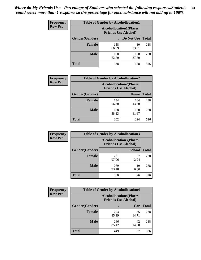| <b>Frequency</b> | <b>Table of Gender by Alcohollocation1</b> |                                                               |              |              |
|------------------|--------------------------------------------|---------------------------------------------------------------|--------------|--------------|
| <b>Row Pct</b>   |                                            | <b>Alcohollocation1(Places</b><br><b>Friends Use Alcohol)</b> |              |              |
|                  | Gender(Gender)                             |                                                               | Do Not Use   | <b>Total</b> |
|                  | <b>Female</b>                              | 158<br>66.39                                                  | 80<br>33.61  | 238          |
|                  | <b>Male</b>                                | 180<br>62.50                                                  | 108<br>37.50 | 288          |
|                  | <b>Total</b>                               | 338                                                           | 188          | 526          |

| <b>Frequency</b> | <b>Table of Gender by Alcohollocation2</b> |                                |                             |              |
|------------------|--------------------------------------------|--------------------------------|-----------------------------|--------------|
| <b>Row Pct</b>   |                                            | <b>Alcohollocation2(Places</b> | <b>Friends Use Alcohol)</b> |              |
|                  | Gender(Gender)                             |                                | Home                        | <b>Total</b> |
|                  | <b>Female</b>                              | 134<br>56.30                   | 104<br>43.70                | 238          |
|                  | <b>Male</b>                                | 168<br>58.33                   | 120<br>41.67                | 288          |
|                  | <b>Total</b>                               | 302                            | 224                         | 526          |

| Frequency      | <b>Table of Gender by Alcohollocation3</b> |                                                               |               |              |
|----------------|--------------------------------------------|---------------------------------------------------------------|---------------|--------------|
| <b>Row Pct</b> |                                            | <b>Alcohollocation3(Places</b><br><b>Friends Use Alcohol)</b> |               |              |
|                | Gender(Gender)                             |                                                               | <b>School</b> | <b>Total</b> |
|                | <b>Female</b>                              | 231<br>97.06                                                  | 2.94          | 238          |
|                | <b>Male</b>                                | 269<br>93.40                                                  | 19<br>6.60    | 288          |
|                | <b>Total</b>                               | 500                                                           | 26            | 526          |

| Frequency      | <b>Table of Gender by Alcohollocation4</b> |                                                               |             |              |
|----------------|--------------------------------------------|---------------------------------------------------------------|-------------|--------------|
| <b>Row Pct</b> |                                            | <b>Alcohollocation4(Places</b><br><b>Friends Use Alcohol)</b> |             |              |
|                | Gender(Gender)                             |                                                               | Car         | <b>Total</b> |
|                | <b>Female</b>                              | 203<br>85.29                                                  | 35<br>14.71 | 238          |
|                | <b>Male</b>                                | 246<br>85.42                                                  | 42<br>14.58 | 288          |
|                | <b>Total</b>                               | 449                                                           | 77          | 526          |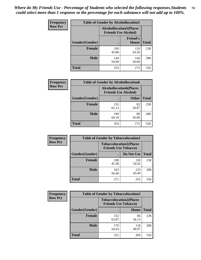| <b>Frequency</b> |                | <b>Table of Gender by Alcohollocation5</b>                     |                                 |              |
|------------------|----------------|----------------------------------------------------------------|---------------------------------|--------------|
| <b>Row Pct</b>   |                | <b>Alcohollocation5</b> (Places<br><b>Friends Use Alcohol)</b> |                                 |              |
|                  | Gender(Gender) |                                                                | <b>Friend's</b><br><b>House</b> | <b>Total</b> |
|                  | <b>Female</b>  | 109<br>45.80                                                   | 129<br>54.20                    | 238          |
|                  | <b>Male</b>    | 144<br>50.00                                                   | 144<br>50.00                    | 288          |
|                  | <b>Total</b>   | 253                                                            | 273                             | 526          |

| <b>Frequency</b> | <b>Table of Gender by Alcohollocation6</b> |                                                               |              |              |
|------------------|--------------------------------------------|---------------------------------------------------------------|--------------|--------------|
| <b>Row Pct</b>   |                                            | <b>Alcohollocation6(Places</b><br><b>Friends Use Alcohol)</b> |              |              |
|                  | <b>Gender</b> (Gender)                     |                                                               | <b>Other</b> | <b>Total</b> |
|                  | <b>Female</b>                              | 155<br>65.13                                                  | 83<br>34.87  | 238          |
|                  | <b>Male</b>                                | 199<br>69.10                                                  | 89<br>30.90  | 288          |
|                  | <b>Total</b>                               | 354                                                           | 172          | 526          |

| Frequency      | <b>Table of Gender by Tobaccolocation1</b> |                                                               |              |              |  |
|----------------|--------------------------------------------|---------------------------------------------------------------|--------------|--------------|--|
| <b>Row Pct</b> |                                            | <b>Tobaccolocation1(Places</b><br><b>Friends Use Tobacco)</b> |              |              |  |
|                | Gender(Gender)                             |                                                               | Do Not Use   | <b>Total</b> |  |
|                | <b>Female</b>                              | 108<br>45.38                                                  | 130<br>54.62 | 238          |  |
|                | <b>Male</b>                                | 163<br>56.60                                                  | 125<br>43.40 | 288          |  |
|                | <b>Total</b>                               | 271                                                           | 255          | 526          |  |

| <b>Frequency</b> | <b>Table of Gender by Tobaccolocation2</b> |                                                               |              |              |  |
|------------------|--------------------------------------------|---------------------------------------------------------------|--------------|--------------|--|
| <b>Row Pct</b>   |                                            | <b>Tobaccolocation2(Places</b><br><b>Friends Use Tobacco)</b> |              |              |  |
|                  | Gender(Gender)                             |                                                               | Home         | <b>Total</b> |  |
|                  | Female                                     | 152<br>63.87                                                  | 86<br>36.13  | 238          |  |
|                  | <b>Male</b>                                | 170<br>59.03                                                  | 118<br>40.97 | 288          |  |
|                  | <b>Total</b>                               | 322                                                           | 204          | 526          |  |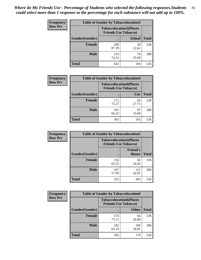| <b>Frequency</b> | <b>Table of Gender by Tobaccolocation3</b> |                                                               |               |              |
|------------------|--------------------------------------------|---------------------------------------------------------------|---------------|--------------|
| <b>Row Pct</b>   |                                            | <b>Tobaccolocation3(Places</b><br><b>Friends Use Tobacco)</b> |               |              |
|                  | Gender(Gender)                             |                                                               | <b>School</b> | <b>Total</b> |
|                  | <b>Female</b>                              | 208<br>87.39                                                  | 30<br>12.61   | 238          |
|                  | <b>Male</b>                                | 214<br>74.31                                                  | 74<br>25.69   | 288          |
|                  | Total                                      | 422                                                           | 104           | 526          |

| <b>Frequency</b> | <b>Table of Gender by Tobaccolocation4</b> |                                                               |             |              |
|------------------|--------------------------------------------|---------------------------------------------------------------|-------------|--------------|
| <b>Row Pct</b>   |                                            | <b>Tobaccolocation4(Places</b><br><b>Friends Use Tobacco)</b> |             |              |
|                  | Gender(Gender)                             |                                                               | Car         | <b>Total</b> |
|                  | <b>Female</b>                              | 172<br>72.27                                                  | 66<br>27.73 | 238          |
|                  | <b>Male</b>                                | 191<br>66.32                                                  | 97<br>33.68 | 288          |
|                  | <b>Total</b>                               | 363                                                           | 163         | 526          |

| <b>Frequency</b> | <b>Table of Gender by Tobaccolocation5</b> |                                                               |                                 |              |
|------------------|--------------------------------------------|---------------------------------------------------------------|---------------------------------|--------------|
| <b>Row Pct</b>   |                                            | <b>Tobaccolocation5(Places</b><br><b>Friends Use Tobacco)</b> |                                 |              |
|                  | Gender(Gender)                             |                                                               | <b>Friend's</b><br><b>House</b> | <b>Total</b> |
|                  | <b>Female</b>                              | 156<br>65.55                                                  | 82<br>34.45                     | 238          |
|                  | <b>Male</b>                                | 167<br>57.99                                                  | 121<br>42.01                    | 288          |
|                  | <b>Total</b>                               | 323                                                           | 203                             | 526          |

| <b>Frequency</b> | <b>Table of Gender by Tobaccolocation6</b> |                             |                                |              |
|------------------|--------------------------------------------|-----------------------------|--------------------------------|--------------|
| <b>Row Pct</b>   |                                            | <b>Friends Use Tobacco)</b> | <b>Tobaccolocation6(Places</b> |              |
|                  | Gender(Gender)                             |                             | <b>Other</b>                   | <b>Total</b> |
|                  | Female                                     | 174<br>73.11                | 64<br>26.89                    | 238          |
|                  | <b>Male</b>                                | 182<br>63.19                | 106<br>36.81                   | 288          |
|                  | <b>Total</b>                               | 356                         | 170                            | 526          |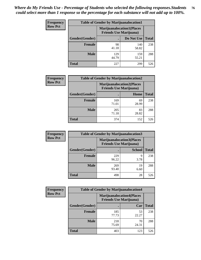| <b>Frequency</b> | <b>Table of Gender by Marijuanalocation1</b> |                                                                    |              |              |  |
|------------------|----------------------------------------------|--------------------------------------------------------------------|--------------|--------------|--|
| <b>Row Pct</b>   |                                              | <b>Marijuanalocation1(Places</b><br><b>Friends Use Marijuana</b> ) |              |              |  |
|                  | Gender(Gender)                               |                                                                    | Do Not Use   | <b>Total</b> |  |
|                  | <b>Female</b>                                | 98<br>41.18                                                        | 140<br>58.82 | 238          |  |
|                  | <b>Male</b>                                  | 129<br>44.79                                                       | 159<br>55.21 | 288          |  |
|                  | <b>Total</b>                                 | 227                                                                | 299          | 526          |  |

| <b>Frequency</b> | <b>Table of Gender by Marijuanalocation2</b> |                                                                    |             |              |  |
|------------------|----------------------------------------------|--------------------------------------------------------------------|-------------|--------------|--|
| <b>Row Pct</b>   |                                              | <b>Marijuanalocation2(Places</b><br><b>Friends Use Marijuana</b> ) |             |              |  |
|                  | Gender(Gender)                               |                                                                    | Home        | <b>Total</b> |  |
|                  | <b>Female</b>                                | 169<br>71.01                                                       | 69<br>28.99 | 238          |  |
|                  | <b>Male</b>                                  | 205<br>71.18                                                       | 83<br>28.82 | 288          |  |
|                  | <b>Total</b>                                 | 374                                                                | 152         | 526          |  |

| Frequency      | <b>Table of Gender by Marijuanalocation3</b> |                                                                    |               |              |
|----------------|----------------------------------------------|--------------------------------------------------------------------|---------------|--------------|
| <b>Row Pct</b> |                                              | <b>Marijuanalocation3(Places</b><br><b>Friends Use Marijuana</b> ) |               |              |
|                | Gender(Gender)                               |                                                                    | <b>School</b> | <b>Total</b> |
|                | Female                                       | 229<br>96.22                                                       | q<br>3.78     | 238          |
|                | <b>Male</b>                                  | 269<br>93.40                                                       | 19<br>6.60    | 288          |
|                | <b>Total</b>                                 | 498                                                                | 28            | 526          |

| <b>Frequency</b> | <b>Table of Gender by Marijuanalocation4</b> |                                |                                  |              |  |
|------------------|----------------------------------------------|--------------------------------|----------------------------------|--------------|--|
| <b>Row Pct</b>   |                                              | <b>Friends Use Marijuana</b> ) | <b>Marijuanalocation4(Places</b> |              |  |
|                  | Gender(Gender)                               |                                | Car                              | <b>Total</b> |  |
|                  | <b>Female</b>                                | 185<br>77.73                   | 53<br>22.27                      | 238          |  |
|                  | <b>Male</b>                                  | 218<br>75.69                   | 70<br>24.31                      | 288          |  |
|                  | <b>Total</b>                                 | 403                            | 123                              | 526          |  |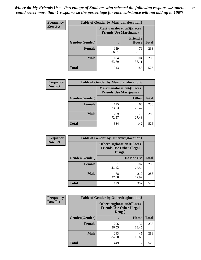| <b>Frequency</b> | <b>Table of Gender by Marijuanalocation5</b> |                                                                     |                                 |              |
|------------------|----------------------------------------------|---------------------------------------------------------------------|---------------------------------|--------------|
| <b>Row Pct</b>   |                                              | <b>Marijuanalocation5</b> (Places<br><b>Friends Use Marijuana</b> ) |                                 |              |
|                  | Gender(Gender)                               |                                                                     | <b>Friend's</b><br><b>House</b> | <b>Total</b> |
|                  | <b>Female</b>                                | 159<br>66.81                                                        | 79<br>33.19                     | 238          |
|                  | <b>Male</b>                                  | 184<br>63.89                                                        | 104<br>36.11                    | 288          |
|                  | <b>Total</b>                                 | 343                                                                 | 183                             | 526          |

| <b>Frequency</b> | <b>Table of Gender by Marijuanalocation6</b> |                                |                                  |              |
|------------------|----------------------------------------------|--------------------------------|----------------------------------|--------------|
| <b>Row Pct</b>   |                                              | <b>Friends Use Marijuana</b> ) | <b>Marijuanalocation6(Places</b> |              |
|                  | <b>Gender</b> (Gender)                       |                                | <b>Other</b>                     | <b>Total</b> |
|                  | Female                                       | 175<br>73.53                   | 63<br>26.47                      | 238          |
|                  | <b>Male</b>                                  | 209<br>72.57                   | 79<br>27.43                      | 288          |
|                  | Total                                        | 384                            | 142                              | 526          |

| <b>Frequency</b> | <b>Table of Gender by Otherdruglocation1</b> |                                                                                |              |              |
|------------------|----------------------------------------------|--------------------------------------------------------------------------------|--------------|--------------|
| <b>Row Pct</b>   |                                              | <b>Otherdruglocation1(Places</b><br><b>Friends Use Other Illegal</b><br>Drugs) |              |              |
|                  | Gender(Gender)                               |                                                                                | Do Not Use   | <b>Total</b> |
|                  | Female                                       | 51<br>21.43                                                                    | 187<br>78.57 | 238          |
|                  | <b>Male</b>                                  | 78<br>27.08                                                                    | 210<br>72.92 | 288          |
|                  | <b>Total</b>                                 | 129                                                                            | 397          | 526          |

| <b>Frequency</b> | <b>Table of Gender by Otherdruglocation2</b> |                                                                                |             |              |
|------------------|----------------------------------------------|--------------------------------------------------------------------------------|-------------|--------------|
| <b>Row Pct</b>   |                                              | <b>Otherdruglocation2(Places</b><br><b>Friends Use Other Illegal</b><br>Drugs) |             |              |
|                  | Gender(Gender)                               |                                                                                | Home        | <b>Total</b> |
|                  | <b>Female</b>                                | 206<br>86.55                                                                   | 32<br>13.45 | 238          |
|                  | <b>Male</b>                                  | 243<br>84.38                                                                   | 45<br>15.63 | 288          |
|                  | <b>Total</b>                                 | 449                                                                            | 77          | 526          |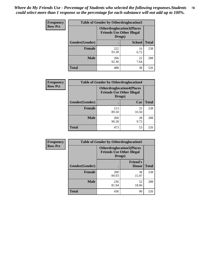| <b>Frequency</b> | <b>Table of Gender by Otherdruglocation3</b> |                                                                                |               |              |
|------------------|----------------------------------------------|--------------------------------------------------------------------------------|---------------|--------------|
| <b>Row Pct</b>   |                                              | <b>Otherdruglocation3(Places</b><br><b>Friends Use Other Illegal</b><br>Drugs) |               |              |
|                  | Gender(Gender)                               |                                                                                | <b>School</b> | <b>Total</b> |
|                  | <b>Female</b>                                | 222<br>93.28                                                                   | 16<br>6.72    | 238          |
|                  | <b>Male</b>                                  | 266<br>92.36                                                                   | 22<br>7.64    | 288          |
|                  | <b>Total</b>                                 | 488                                                                            | 38            | 526          |

| Frequency      | <b>Table of Gender by Otherdruglocation4</b> |                                                                                |             |              |
|----------------|----------------------------------------------|--------------------------------------------------------------------------------|-------------|--------------|
| <b>Row Pct</b> |                                              | <b>Otherdruglocation4(Places</b><br><b>Friends Use Other Illegal</b><br>Drugs) |             |              |
|                | <b>Gender</b> (Gender)                       |                                                                                | Car         | <b>Total</b> |
|                | <b>Female</b>                                | 213<br>89.50                                                                   | 25<br>10.50 | 238          |
|                | <b>Male</b>                                  | 260<br>90.28                                                                   | 28<br>9.72  | 288          |
|                | <b>Total</b>                                 | 473                                                                            | 53          | 526          |

| Frequency      | <b>Table of Gender by Otherdruglocation5</b> |                                                                                |                                 |              |
|----------------|----------------------------------------------|--------------------------------------------------------------------------------|---------------------------------|--------------|
| <b>Row Pct</b> |                                              | <b>Otherdruglocation5(Places</b><br><b>Friends Use Other Illegal</b><br>Drugs) |                                 |              |
|                | Gender(Gender)                               |                                                                                | <b>Friend's</b><br><b>House</b> | <b>Total</b> |
|                | <b>Female</b>                                | <b>200</b><br>84.03                                                            | 38<br>15.97                     | 238          |
|                | <b>Male</b>                                  | 236<br>81.94                                                                   | 52<br>18.06                     | 288          |
|                | <b>Total</b>                                 | 436                                                                            | 90                              | 526          |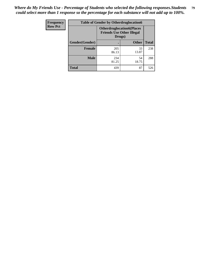| <b>Frequency</b> | <b>Table of Gender by Otherdruglocation6</b> |                                            |                                  |              |
|------------------|----------------------------------------------|--------------------------------------------|----------------------------------|--------------|
| <b>Row Pct</b>   |                                              | <b>Friends Use Other Illegal</b><br>Drugs) | <b>Otherdruglocation6(Places</b> |              |
|                  | Gender(Gender)                               |                                            | <b>Other</b>                     | <b>Total</b> |
|                  | Female                                       | 205<br>86.13                               | 33<br>13.87                      | 238          |
|                  | <b>Male</b>                                  | 234<br>81.25                               | 54<br>18.75                      | 288          |
|                  | <b>Total</b>                                 | 439                                        | 87                               | 526          |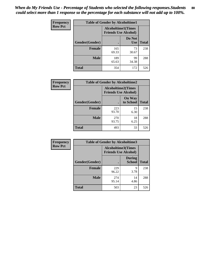| <b>Frequency</b> | <b>Table of Gender by Alcoholtime1</b> |                                                          |                      |              |
|------------------|----------------------------------------|----------------------------------------------------------|----------------------|--------------|
| <b>Row Pct</b>   |                                        | <b>Alcoholtime1(Times</b><br><b>Friends Use Alcohol)</b> |                      |              |
|                  | Gender(Gender)                         | $\bullet$                                                | Do Not<br><b>Use</b> | <b>Total</b> |
|                  | <b>Female</b>                          | 165<br>69.33                                             | 73<br>30.67          | 238          |
|                  | <b>Male</b>                            | 189<br>65.63                                             | 99<br>34.38          | 288          |
|                  | <b>Total</b>                           | 354                                                      | 172                  | 526          |

| <b>Frequency</b> | <b>Table of Gender by Alcoholtime2</b> |                                                          |                            |              |
|------------------|----------------------------------------|----------------------------------------------------------|----------------------------|--------------|
| <b>Row Pct</b>   |                                        | <b>Alcoholtime2(Times</b><br><b>Friends Use Alcohol)</b> |                            |              |
|                  | Gender(Gender)                         |                                                          | <b>On Way</b><br>to School | <b>Total</b> |
|                  | <b>Female</b>                          | 223<br>93.70                                             | 15<br>6.30                 | 238          |
|                  | <b>Male</b>                            | 270<br>93.75                                             | 18<br>6.25                 | 288          |
|                  | <b>Total</b>                           | 493                                                      | 33                         | 526          |

| Frequency      | <b>Table of Gender by Alcoholtime3</b> |                                                          |                                |              |
|----------------|----------------------------------------|----------------------------------------------------------|--------------------------------|--------------|
| <b>Row Pct</b> |                                        | <b>Alcoholtime3(Times</b><br><b>Friends Use Alcohol)</b> |                                |              |
|                | Gender(Gender)                         |                                                          | <b>During</b><br><b>School</b> | <b>Total</b> |
|                | <b>Female</b>                          | 229<br>96.22                                             | 9<br>3.78                      | 238          |
|                | <b>Male</b>                            | 274<br>95.14                                             | 14<br>4.86                     | 288          |
|                | <b>Total</b>                           | 503                                                      | 23                             | 526          |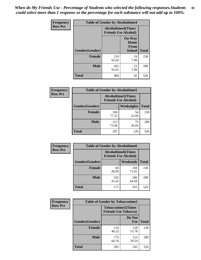*When do My Friends Use - Percentage of Students who selected the following responses.Students could select more than 1 response so the percentage for each substance will not add up to 100%.* **81**

| <b>Frequency</b> | <b>Table of Gender by Alcoholtime4</b> |                                                          |                                                       |              |
|------------------|----------------------------------------|----------------------------------------------------------|-------------------------------------------------------|--------------|
| <b>Row Pct</b>   |                                        | <b>Alcoholtime4(Times</b><br><b>Friends Use Alcohol)</b> |                                                       |              |
|                  | Gender(Gender)                         |                                                          | <b>On Way</b><br>Home<br><b>From</b><br><b>School</b> | <b>Total</b> |
|                  | <b>Female</b>                          | 219<br>92.02                                             | 19<br>7.98                                            | 238          |
|                  | <b>Male</b>                            | 265<br>92.01                                             | 23<br>7.99                                            | 288          |
|                  | <b>Total</b>                           | 484                                                      | 42                                                    | 526          |

| <b>Frequency</b> | <b>Table of Gender by Alcoholtime5</b> |              |                                                           |              |
|------------------|----------------------------------------|--------------|-----------------------------------------------------------|--------------|
| <b>Row Pct</b>   |                                        |              | <b>Alcoholtime5</b> (Times<br><b>Friends Use Alcohol)</b> |              |
|                  | Gender(Gender)                         |              | Weeknights                                                | <b>Total</b> |
|                  | <b>Female</b>                          | 184<br>77.31 | 54<br>22.69                                               | 238          |
|                  | <b>Male</b>                            | 213<br>73.96 | 75<br>26.04                                               | 288          |
|                  | <b>Total</b>                           | 397          | 129                                                       | 526          |

| <b>Frequency</b> | <b>Table of Gender by Alcoholtime6</b> |              |                                                          |              |  |
|------------------|----------------------------------------|--------------|----------------------------------------------------------|--------------|--|
| <b>Row Pct</b>   |                                        |              | <b>Alcoholtime6(Times</b><br><b>Friends Use Alcohol)</b> |              |  |
|                  | Gender(Gender)                         |              | Weekends                                                 | <b>Total</b> |  |
|                  | Female                                 | 69<br>28.99  | 169<br>71.01                                             | 238          |  |
|                  | <b>Male</b>                            | 102<br>35.42 | 186<br>64.58                                             | 288          |  |
|                  | <b>Total</b>                           | 171          | 355                                                      | 526          |  |

| Frequency      | <b>Table of Gender by Tobaccotime1</b> |                                                          |                      |              |
|----------------|----------------------------------------|----------------------------------------------------------|----------------------|--------------|
| <b>Row Pct</b> |                                        | <b>Tobaccotime1(Times</b><br><b>Friends Use Tobacco)</b> |                      |              |
|                | Gender(Gender)                         |                                                          | Do Not<br><b>Use</b> | <b>Total</b> |
|                | <b>Female</b>                          | 110<br>46.22                                             | 128<br>53.78         | 238          |
|                | <b>Male</b>                            | 175<br>60.76                                             | 113<br>39.24         | 288          |
|                | <b>Total</b>                           | 285                                                      | 241                  | 526          |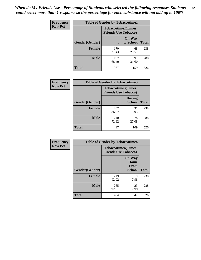| <b>Frequency</b> | <b>Table of Gender by Tobaccotime2</b> |                                                          |                            |              |
|------------------|----------------------------------------|----------------------------------------------------------|----------------------------|--------------|
| <b>Row Pct</b>   |                                        | <b>Tobaccotime2(Times</b><br><b>Friends Use Tobacco)</b> |                            |              |
|                  | Gender(Gender)                         |                                                          | <b>On Way</b><br>to School | <b>Total</b> |
|                  | <b>Female</b>                          | 170<br>71.43                                             | 68<br>28.57                | 238          |
|                  | <b>Male</b>                            | 197<br>68.40                                             | 91<br>31.60                | 288          |
|                  | <b>Total</b>                           | 367                                                      | 159                        | 526          |

| Frequency      | <b>Table of Gender by Tobaccotime3</b> |                                                          |                                |              |
|----------------|----------------------------------------|----------------------------------------------------------|--------------------------------|--------------|
| <b>Row Pct</b> |                                        | <b>Tobaccotime3(Times</b><br><b>Friends Use Tobacco)</b> |                                |              |
|                | Gender(Gender)                         |                                                          | <b>During</b><br><b>School</b> | <b>Total</b> |
|                | Female                                 | 207<br>86.97                                             | 31<br>13.03                    | 238          |
|                | <b>Male</b>                            | 210<br>72.92                                             | 78<br>27.08                    | 288          |
|                | <b>Total</b>                           | 417                                                      | 109                            | 526          |

| <b>Frequency</b> | <b>Table of Gender by Tobaccotime4</b> |                                                          |                                                       |              |
|------------------|----------------------------------------|----------------------------------------------------------|-------------------------------------------------------|--------------|
| <b>Row Pct</b>   |                                        | <b>Tobaccotime4(Times</b><br><b>Friends Use Tobacco)</b> |                                                       |              |
|                  | Gender(Gender)                         |                                                          | <b>On Way</b><br>Home<br><b>From</b><br><b>School</b> | <b>Total</b> |
|                  | <b>Female</b>                          | 219<br>92.02                                             | 19<br>7.98                                            | 238          |
|                  | <b>Male</b>                            | 265<br>92.01                                             | 23<br>7.99                                            | 288          |
|                  | <b>Total</b>                           | 484                                                      | 42                                                    | 526          |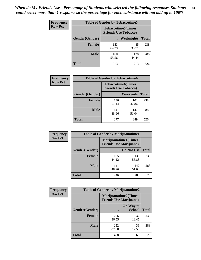| Frequency      | <b>Table of Gender by Tobaccotime5</b> |              |                                                          |              |
|----------------|----------------------------------------|--------------|----------------------------------------------------------|--------------|
| <b>Row Pct</b> |                                        |              | <b>Tobaccotime5(Times</b><br><b>Friends Use Tobacco)</b> |              |
|                | <b>Gender</b> (Gender)                 |              | Weeknights                                               | <b>Total</b> |
|                | <b>Female</b>                          | 153<br>64.29 | 85<br>35.71                                              | 238          |
|                | <b>Male</b>                            | 160<br>55.56 | 128<br>44.44                                             | 288          |
|                | <b>Total</b>                           | 313          | 213                                                      | 526          |

| <b>Frequency</b> |                | <b>Table of Gender by Tobaccotime6</b>                   |              |              |
|------------------|----------------|----------------------------------------------------------|--------------|--------------|
| <b>Row Pct</b>   |                | <b>Tobaccotime6(Times</b><br><b>Friends Use Tobacco)</b> |              |              |
|                  | Gender(Gender) |                                                          | Weekends     | <b>Total</b> |
|                  | Female         | 136<br>57.14                                             | 102<br>42.86 | 238          |
|                  | <b>Male</b>    | 141<br>48.96                                             | 147<br>51.04 | 288          |
|                  | <b>Total</b>   | 277                                                      | 249          | 526          |

| <b>Frequency</b> | <b>Table of Gender by Marijuanatime1</b> |                                                               |              |              |  |
|------------------|------------------------------------------|---------------------------------------------------------------|--------------|--------------|--|
| <b>Row Pct</b>   |                                          | <b>Marijuanatime1(Times</b><br><b>Friends Use Marijuana</b> ) |              |              |  |
|                  | Gender(Gender)                           |                                                               | Do Not Use   | <b>Total</b> |  |
|                  | <b>Female</b>                            | 105<br>44.12                                                  | 133<br>55.88 | 238          |  |
|                  | <b>Male</b>                              | 141<br>48.96                                                  | 147<br>51.04 | 288          |  |
|                  | <b>Total</b>                             | 246                                                           | 280          | 526          |  |

| <b>Frequency</b> | <b>Table of Gender by Marijuanatime2</b> |                                                               |                            |              |
|------------------|------------------------------------------|---------------------------------------------------------------|----------------------------|--------------|
| <b>Row Pct</b>   |                                          | <b>Marijuanatime2(Times</b><br><b>Friends Use Marijuana</b> ) |                            |              |
|                  | Gender(Gender)                           |                                                               | On Way to<br><b>School</b> | <b>Total</b> |
|                  | Female                                   | 206<br>86.55                                                  | 32<br>13.45                | 238          |
|                  | <b>Male</b>                              | 252<br>87.50                                                  | 36<br>12.50                | 288          |
|                  | <b>Total</b>                             | 458                                                           | 68                         | 526          |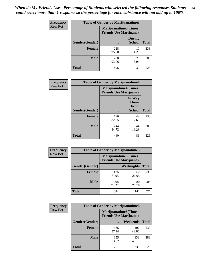| Frequency      | <b>Table of Gender by Marijuanatime3</b> |                                                        |                                |              |
|----------------|------------------------------------------|--------------------------------------------------------|--------------------------------|--------------|
| <b>Row Pct</b> |                                          | Marijuanatime3(Times<br><b>Friends Use Marijuana</b> ) |                                |              |
|                | Gender(Gender)                           |                                                        | <b>During</b><br><b>School</b> | <b>Total</b> |
|                | <b>Female</b>                            | 228<br>95.80                                           | 10<br>4.20                     | 238          |
|                | <b>Male</b>                              | 268<br>93.06                                           | 20<br>6.94                     | 288          |
|                | <b>Total</b>                             | 496                                                    | 30                             | 526          |

| <b>Frequency</b> | <b>Table of Gender by Marijuanatime4</b> |              |                                                               |              |
|------------------|------------------------------------------|--------------|---------------------------------------------------------------|--------------|
| <b>Row Pct</b>   |                                          |              | <b>Marijuanatime4(Times</b><br><b>Friends Use Marijuana</b> ) |              |
|                  |                                          |              | <b>On Way</b><br>Home<br>From                                 |              |
|                  | Gender(Gender)                           |              | School                                                        | <b>Total</b> |
|                  | <b>Female</b>                            | 196<br>82.35 | 42<br>17.65                                                   | 238          |
|                  | <b>Male</b>                              | 244<br>84.72 | 44<br>15.28                                                   | 288          |
|                  | <b>Total</b>                             | 440          | 86                                                            | 526          |

| Frequency      | <b>Table of Gender by Marijuanatime5</b> |              |                                                                |              |  |
|----------------|------------------------------------------|--------------|----------------------------------------------------------------|--------------|--|
| <b>Row Pct</b> |                                          |              | <b>Marijuanatime5</b> (Times<br><b>Friends Use Marijuana</b> ) |              |  |
|                | Gender(Gender)                           |              | Weeknights                                                     | <b>Total</b> |  |
|                | <b>Female</b>                            | 176<br>73.95 | 62<br>26.05                                                    | 238          |  |
|                | <b>Male</b>                              | 208<br>72.22 | 80<br>27.78                                                    | 288          |  |
|                | <b>Total</b>                             | 384          | 142                                                            | 526          |  |

| Frequency      |                | <b>Table of Gender by Marijuanatime6</b>                      |                 |              |  |
|----------------|----------------|---------------------------------------------------------------|-----------------|--------------|--|
| <b>Row Pct</b> |                | <b>Marijuanatime6(Times</b><br><b>Friends Use Marijuana</b> ) |                 |              |  |
|                | Gender(Gender) |                                                               | <b>Weekends</b> | <b>Total</b> |  |
|                | <b>Female</b>  | 136<br>57.14                                                  | 102<br>42.86    | 238          |  |
|                | <b>Male</b>    | 155<br>53.82                                                  | 133<br>46.18    | 288          |  |
|                | <b>Total</b>   | 291                                                           | 235             | 526          |  |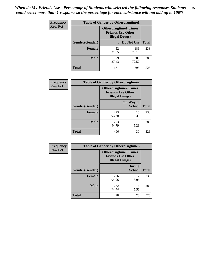*When do My Friends Use - Percentage of Students who selected the following responses.Students could select more than 1 response so the percentage for each substance will not add up to 100%.* **85**

| <b>Frequency</b> | <b>Table of Gender by Otherdrugtime1</b> |                                                                                   |                    |     |
|------------------|------------------------------------------|-----------------------------------------------------------------------------------|--------------------|-----|
| <b>Row Pct</b>   |                                          | <b>Otherdrugtime1(Times</b><br><b>Friends Use Other</b><br><b>Illegal Drugs</b> ) |                    |     |
|                  | Gender(Gender)                           |                                                                                   | Do Not Use   Total |     |
|                  | <b>Female</b>                            | 52<br>21.85                                                                       | 186<br>78.15       | 238 |
|                  | <b>Male</b>                              | 79<br>27.43                                                                       | 209<br>72.57       | 288 |
|                  | <b>Total</b>                             | 131                                                                               | 395                | 526 |

| Frequency      | <b>Table of Gender by Otherdrugtime2</b> |                                                                                   |                            |              |  |
|----------------|------------------------------------------|-----------------------------------------------------------------------------------|----------------------------|--------------|--|
| <b>Row Pct</b> |                                          | <b>Otherdrugtime2(Times</b><br><b>Friends Use Other</b><br><b>Illegal Drugs</b> ) |                            |              |  |
|                | Gender(Gender)                           |                                                                                   | On Way to<br><b>School</b> | <b>Total</b> |  |
|                | <b>Female</b>                            | 223<br>93.70                                                                      | 15<br>6.30                 | 238          |  |
|                | <b>Male</b>                              | 273<br>94.79                                                                      | 15<br>5.21                 | 288          |  |
|                | <b>Total</b>                             | 496                                                                               | 30                         | 526          |  |

| Frequency      |                | <b>Table of Gender by Otherdrugtime3</b> |                                                         |              |
|----------------|----------------|------------------------------------------|---------------------------------------------------------|--------------|
| <b>Row Pct</b> |                | <b>Illegal Drugs</b> )                   | <b>Otherdrugtime3(Times</b><br><b>Friends Use Other</b> |              |
|                | Gender(Gender) |                                          | <b>During</b><br><b>School</b>                          | <b>Total</b> |
|                | <b>Female</b>  | 226<br>94.96                             | 12<br>5.04                                              | 238          |
|                | <b>Male</b>    | 272<br>94.44                             | 16<br>5.56                                              | 288          |
|                | <b>Total</b>   | 498                                      | 28                                                      | 526          |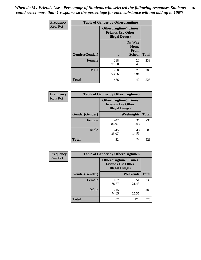*When do My Friends Use - Percentage of Students who selected the following responses.Students could select more than 1 response so the percentage for each substance will not add up to 100%.* **86**

| <b>Frequency</b> | <b>Table of Gender by Otherdrugtime4</b> |                        |                                                         |              |
|------------------|------------------------------------------|------------------------|---------------------------------------------------------|--------------|
| <b>Row Pct</b>   |                                          | <b>Illegal Drugs</b> ) | <b>Otherdrugtime4(Times</b><br><b>Friends Use Other</b> |              |
|                  | Gender(Gender)                           |                        | <b>On Way</b><br>Home<br><b>From</b><br><b>School</b>   | <b>Total</b> |
|                  | Female                                   | 218<br>91.60           | 20<br>8.40                                              | 238          |
|                  | <b>Male</b>                              | 268<br>93.06           | 20<br>6.94                                              | 288          |
|                  | <b>Total</b>                             | 486                    | 40                                                      | 526          |

| Frequency      | <b>Table of Gender by Otherdrugtime5</b> |                                                                                    |             |              |
|----------------|------------------------------------------|------------------------------------------------------------------------------------|-------------|--------------|
| <b>Row Pct</b> |                                          | <b>Otherdrugtime5</b> (Times<br><b>Friends Use Other</b><br><b>Illegal Drugs</b> ) |             |              |
|                | Gender(Gender)                           |                                                                                    | Weeknights  | <b>Total</b> |
|                | <b>Female</b>                            | 207<br>86.97                                                                       | 31<br>13.03 | 238          |
|                | <b>Male</b>                              | 245<br>85.07                                                                       | 43<br>14.93 | 288          |
|                | <b>Total</b>                             | 452                                                                                | 74          | 526          |

| <b>Frequency</b> | <b>Table of Gender by Otherdrugtime6</b> |                                                                                   |             |              |  |
|------------------|------------------------------------------|-----------------------------------------------------------------------------------|-------------|--------------|--|
| <b>Row Pct</b>   |                                          | <b>Otherdrugtime6(Times</b><br><b>Friends Use Other</b><br><b>Illegal Drugs</b> ) |             |              |  |
|                  | Gender(Gender)                           |                                                                                   | Weekends    | <b>Total</b> |  |
|                  | Female                                   | 187<br>78.57                                                                      | 51<br>21.43 | 238          |  |
|                  | <b>Male</b>                              | 215<br>74.65                                                                      | 73<br>25.35 | 288          |  |
|                  | <b>Total</b>                             | 402                                                                               | 124         | 526          |  |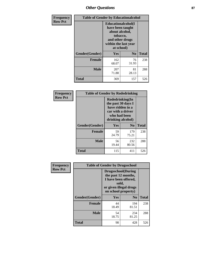# *Other Questions* **87**

| <b>Frequency</b> | <b>Table of Gender by Educationalcohol</b> |                                                                                                                                       |                |              |  |
|------------------|--------------------------------------------|---------------------------------------------------------------------------------------------------------------------------------------|----------------|--------------|--|
| <b>Row Pct</b>   |                                            | <b>Educationalcohol</b> (I<br>have been taught<br>about alcohol,<br>tobacco,<br>and other drugs<br>within the last year<br>at school) |                |              |  |
|                  | Gender(Gender)                             | <b>Yes</b>                                                                                                                            | N <sub>0</sub> | <b>Total</b> |  |
|                  | <b>Female</b>                              | 162<br>68.07                                                                                                                          | 76<br>31.93    | 238          |  |
|                  | <b>Male</b>                                | 207<br>71.88                                                                                                                          | 81<br>28.13    | 288          |  |
|                  | <b>Total</b>                               | 369                                                                                                                                   | 157            | 526          |  |

| Frequency      |                | <b>Table of Gender by Rodedrinking</b>                                                                              |                |              |  |
|----------------|----------------|---------------------------------------------------------------------------------------------------------------------|----------------|--------------|--|
| <b>Row Pct</b> |                | Rodedrinking(In<br>the past 30 days I<br>have ridden in a<br>car with a driver<br>who had been<br>drinking alcohol) |                |              |  |
|                | Gender(Gender) | Yes                                                                                                                 | N <sub>0</sub> | <b>Total</b> |  |
|                | <b>Female</b>  | 59<br>24.79                                                                                                         | 179<br>75.21   | 238          |  |
|                | <b>Male</b>    | 56<br>19.44                                                                                                         | 232<br>80.56   | 288          |  |
|                | <b>Total</b>   | 115                                                                                                                 | 411            | 526          |  |

| Frequency      | <b>Table of Gender by Drugsschool</b> |                                                                                                                                     |                |              |  |
|----------------|---------------------------------------|-------------------------------------------------------------------------------------------------------------------------------------|----------------|--------------|--|
| <b>Row Pct</b> |                                       | <b>Drugsschool</b> (During<br>the past 12 months,<br>I have been offered,<br>sold,<br>or given illegal drugs<br>on school property) |                |              |  |
|                | Gender(Gender)                        | Yes                                                                                                                                 | N <sub>0</sub> | <b>Total</b> |  |
|                | <b>Female</b>                         | 44<br>18.49                                                                                                                         | 194<br>81.51   | 238          |  |
|                | <b>Male</b>                           | 54<br>18.75                                                                                                                         | 234<br>81.25   | 288          |  |
|                | <b>Total</b>                          | 98                                                                                                                                  | 428            | 526          |  |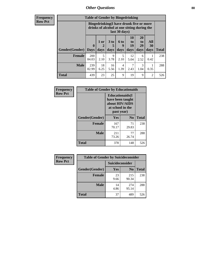# *Other Questions* **88**

**Frequency Row Pct**

| <b>Table of Gender by Bingedrinking</b> |                         |                                                                                                         |                   |                   |                        |                               |                   |              |
|-----------------------------------------|-------------------------|---------------------------------------------------------------------------------------------------------|-------------------|-------------------|------------------------|-------------------------------|-------------------|--------------|
|                                         |                         | Bingedrinking(I have drunk five or more<br>drinks of alcohol at one sitting during the<br>last 30 days) |                   |                   |                        |                               |                   |              |
| <b>Gender</b> (Gender)                  | $\bf{0}$<br><b>Days</b> | 1 or<br>days                                                                                            | 3 to<br>5<br>days | 6 to<br>9<br>days | 10<br>to<br>19<br>days | <b>20</b><br>to<br>29<br>days | All<br>30<br>days | <b>Total</b> |
| <b>Female</b>                           | 200<br>84.03            | 5<br>2.10                                                                                               | 9<br>3.78         | 5<br>2.10         | 12<br>5.04             | 6<br>2.52                     | 0.42              | 238          |
| <b>Male</b>                             | 239<br>82.99            | 18<br>6.25                                                                                              | 16<br>5.56        | 4<br>1.39         | 7<br>2.43              | 3<br>1.04                     | 0.35              | 288          |
| <b>Total</b>                            | 439                     | 23                                                                                                      | 25                | 9                 | 19                     | 9                             | $\mathfrak{D}$    | 526          |

| Frequency      | <b>Table of Gender by Educationaids</b> |                                                                                                 |             |              |  |
|----------------|-----------------------------------------|-------------------------------------------------------------------------------------------------|-------------|--------------|--|
| <b>Row Pct</b> |                                         | <b>Educationaids</b> (I<br>have been taught<br>about HIV/AIDS<br>at school in the<br>past year) |             |              |  |
|                | Gender(Gender)                          | Yes                                                                                             | $\bf N_0$   | <b>Total</b> |  |
|                | <b>Female</b>                           | 167<br>70.17                                                                                    | 71<br>29.83 | 238          |  |
|                | <b>Male</b>                             | 211<br>73.26                                                                                    | 77<br>26.74 | 288          |  |
|                | <b>Total</b>                            | 378                                                                                             | 148         | 526          |  |

| Frequency      | <b>Table of Gender by Suicideconsider</b> |                        |                |       |  |
|----------------|-------------------------------------------|------------------------|----------------|-------|--|
| <b>Row Pct</b> |                                           | <b>Suicideconsider</b> |                |       |  |
|                | Gender(Gender)                            | Yes                    | N <sub>0</sub> | Total |  |
|                | <b>Female</b>                             | 23<br>9.66             | 215<br>90.34   | 238   |  |
|                | <b>Male</b>                               | 14<br>4.86             | 274<br>95.14   | 288   |  |
|                | <b>Total</b>                              | 37                     | 489            | 526   |  |